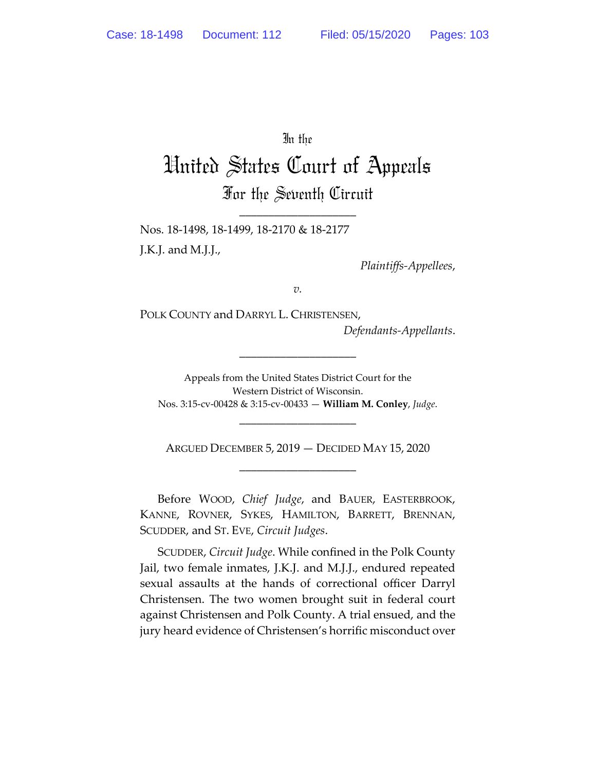# In the

# United States Court of Appeals For the Seventh Circuit

\_\_\_\_\_\_\_\_\_\_\_\_\_\_\_\_\_\_\_\_

Nos. 18-1498, 18-1499, 18-2170 & 18-2177 J.K.J. and M.J.J.,

*Plaintiffs-Appellees*,

*v.*

POLK COUNTY and DARRYL L. CHRISTENSEN,

*Defendants-Appellants*.

Appeals from the United States District Court for the Western District of Wisconsin. Nos. 3:15-cv-00428 & 3:15-cv-00433 — **William M. Conley**, *Judge*.

\_\_\_\_\_\_\_\_\_\_\_\_\_\_\_\_\_\_\_\_

ARGUED DECEMBER 5, 2019 — DECIDED MAY 15, 2020 \_\_\_\_\_\_\_\_\_\_\_\_\_\_\_\_\_\_\_\_

\_\_\_\_\_\_\_\_\_\_\_\_\_\_\_\_\_\_\_\_

Before WOOD, *Chief Judge*, and BAUER, EASTERBROOK, KANNE, ROVNER, SYKES, HAMILTON, BARRETT, BRENNAN, SCUDDER, and ST. EVE, *Circuit Judges*.

SCUDDER, *Circuit Judge*. While confined in the Polk County Jail, two female inmates, J.K.J. and M.J.J., endured repeated sexual assaults at the hands of correctional officer Darryl Christensen. The two women brought suit in federal court against Christensen and Polk County. A trial ensued, and the jury heard evidence of Christensen's horrific misconduct over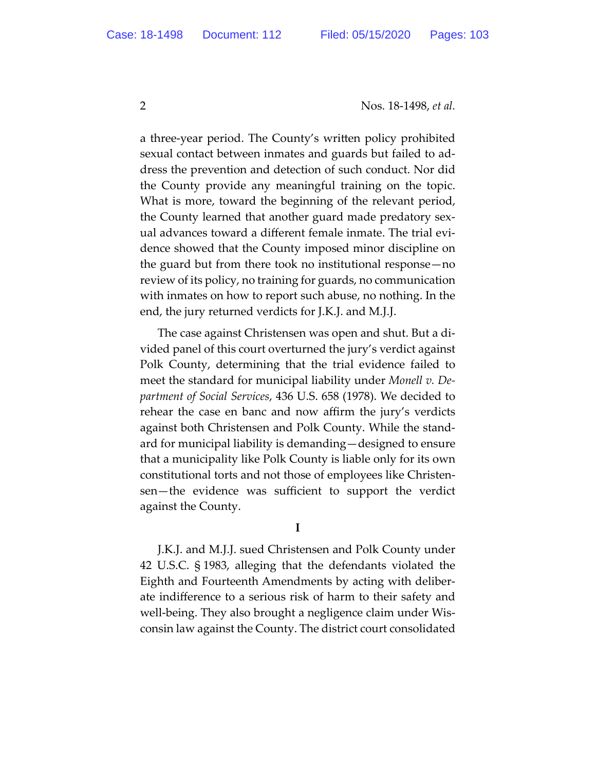a three-year period. The County's written policy prohibited sexual contact between inmates and guards but failed to address the prevention and detection of such conduct. Nor did the County provide any meaningful training on the topic. What is more, toward the beginning of the relevant period, the County learned that another guard made predatory sexual advances toward a different female inmate. The trial evidence showed that the County imposed minor discipline on the guard but from there took no institutional response—no review of its policy, no training for guards, no communication with inmates on how to report such abuse, no nothing. In the end, the jury returned verdicts for J.K.J. and M.J.J.

The case against Christensen was open and shut. But a divided panel of this court overturned the jury's verdict against Polk County, determining that the trial evidence failed to meet the standard for municipal liability under *Monell v. Department of Social Services*, 436 U.S. 658 (1978). We decided to rehear the case en banc and now affirm the jury's verdicts against both Christensen and Polk County. While the standard for municipal liability is demanding—designed to ensure that a municipality like Polk County is liable only for its own constitutional torts and not those of employees like Christensen—the evidence was sufficient to support the verdict against the County.

**I** 

J.K.J. and M.J.J. sued Christensen and Polk County under 42 U.S.C. § 1983, alleging that the defendants violated the Eighth and Fourteenth Amendments by acting with deliberate indifference to a serious risk of harm to their safety and well-being. They also brought a negligence claim under Wisconsin law against the County. The district court consolidated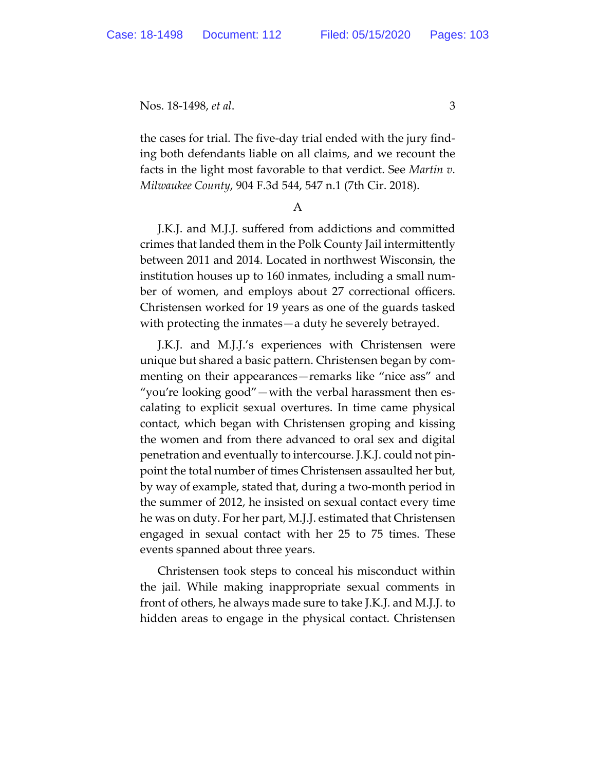the cases for trial. The five-day trial ended with the jury finding both defendants liable on all claims, and we recount the facts in the light most favorable to that verdict. See *Martin v. Milwaukee County*, 904 F.3d 544, 547 n.1 (7th Cir. 2018).

A

J.K.J. and M.J.J. suffered from addictions and committed crimes that landed them in the Polk County Jail intermittently between 2011 and 2014. Located in northwest Wisconsin, the institution houses up to 160 inmates, including a small number of women, and employs about 27 correctional officers. Christensen worked for 19 years as one of the guards tasked with protecting the inmates—a duty he severely betrayed.

J.K.J. and M.J.J.'s experiences with Christensen were unique but shared a basic pattern. Christensen began by commenting on their appearances—remarks like "nice ass" and "you're looking good"—with the verbal harassment then escalating to explicit sexual overtures. In time came physical contact, which began with Christensen groping and kissing the women and from there advanced to oral sex and digital penetration and eventually to intercourse. J.K.J. could not pinpoint the total number of times Christensen assaulted her but, by way of example, stated that, during a two-month period in the summer of 2012, he insisted on sexual contact every time he was on duty. For her part, M.J.J. estimated that Christensen engaged in sexual contact with her 25 to 75 times. These events spanned about three years.

Christensen took steps to conceal his misconduct within the jail. While making inappropriate sexual comments in front of others, he always made sure to take J.K.J. and M.J.J. to hidden areas to engage in the physical contact. Christensen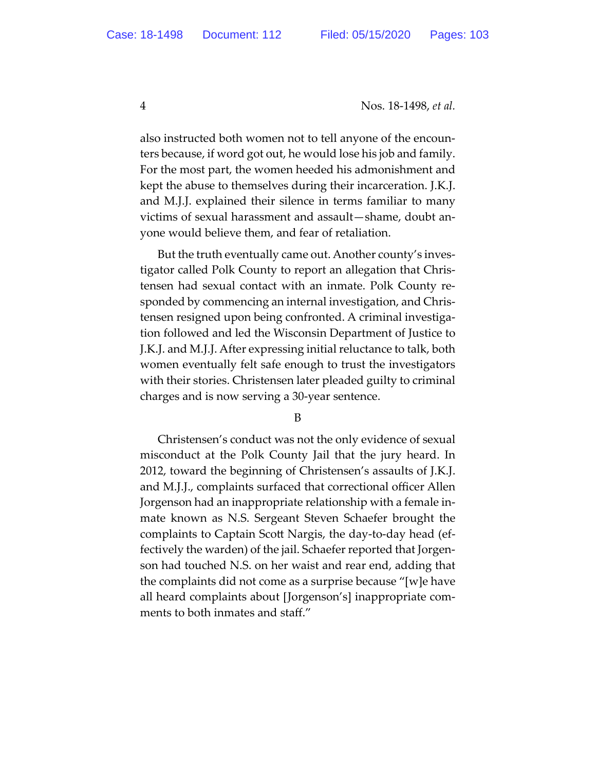also instructed both women not to tell anyone of the encounters because, if word got out, he would lose his job and family. For the most part, the women heeded his admonishment and kept the abuse to themselves during their incarceration. J.K.J. and M.J.J. explained their silence in terms familiar to many victims of sexual harassment and assault—shame, doubt anyone would believe them, and fear of retaliation.

But the truth eventually came out. Another county's investigator called Polk County to report an allegation that Christensen had sexual contact with an inmate. Polk County responded by commencing an internal investigation, and Christensen resigned upon being confronted. A criminal investigation followed and led the Wisconsin Department of Justice to J.K.J. and M.J.J. After expressing initial reluctance to talk, both women eventually felt safe enough to trust the investigators with their stories. Christensen later pleaded guilty to criminal charges and is now serving a 30-year sentence.

B

Christensen's conduct was not the only evidence of sexual misconduct at the Polk County Jail that the jury heard. In 2012, toward the beginning of Christensen's assaults of J.K.J. and M.J.J., complaints surfaced that correctional officer Allen Jorgenson had an inappropriate relationship with a female inmate known as N.S. Sergeant Steven Schaefer brought the complaints to Captain Scott Nargis, the day-to-day head (effectively the warden) of the jail. Schaefer reported that Jorgenson had touched N.S. on her waist and rear end, adding that the complaints did not come as a surprise because "[w]e have all heard complaints about [Jorgenson's] inappropriate comments to both inmates and staff."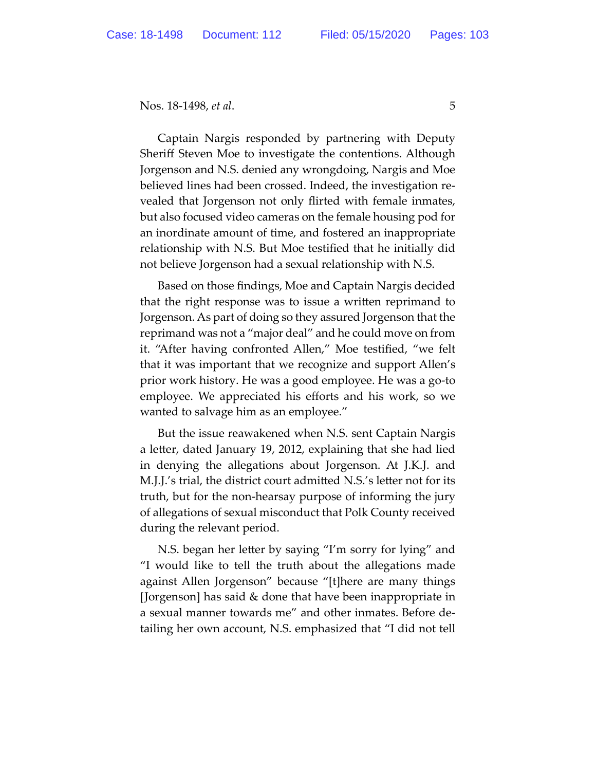Captain Nargis responded by partnering with Deputy Sheriff Steven Moe to investigate the contentions. Although Jorgenson and N.S. denied any wrongdoing, Nargis and Moe believed lines had been crossed. Indeed, the investigation revealed that Jorgenson not only flirted with female inmates, but also focused video cameras on the female housing pod for an inordinate amount of time, and fostered an inappropriate relationship with N.S. But Moe testified that he initially did not believe Jorgenson had a sexual relationship with N.S.

Based on those findings, Moe and Captain Nargis decided that the right response was to issue a written reprimand to Jorgenson. As part of doing so they assured Jorgenson that the reprimand was not a "major deal" and he could move on from it. "After having confronted Allen," Moe testified, "we felt that it was important that we recognize and support Allen's prior work history. He was a good employee. He was a go-to employee. We appreciated his efforts and his work, so we wanted to salvage him as an employee."

But the issue reawakened when N.S. sent Captain Nargis a letter, dated January 19, 2012, explaining that she had lied in denying the allegations about Jorgenson. At J.K.J. and M.J.J.'s trial, the district court admitted N.S.'s letter not for its truth, but for the non-hearsay purpose of informing the jury of allegations of sexual misconduct that Polk County received during the relevant period.

N.S. began her letter by saying "I'm sorry for lying" and "I would like to tell the truth about the allegations made against Allen Jorgenson" because "[t]here are many things [Jorgenson] has said & done that have been inappropriate in a sexual manner towards me" and other inmates. Before detailing her own account, N.S. emphasized that "I did not tell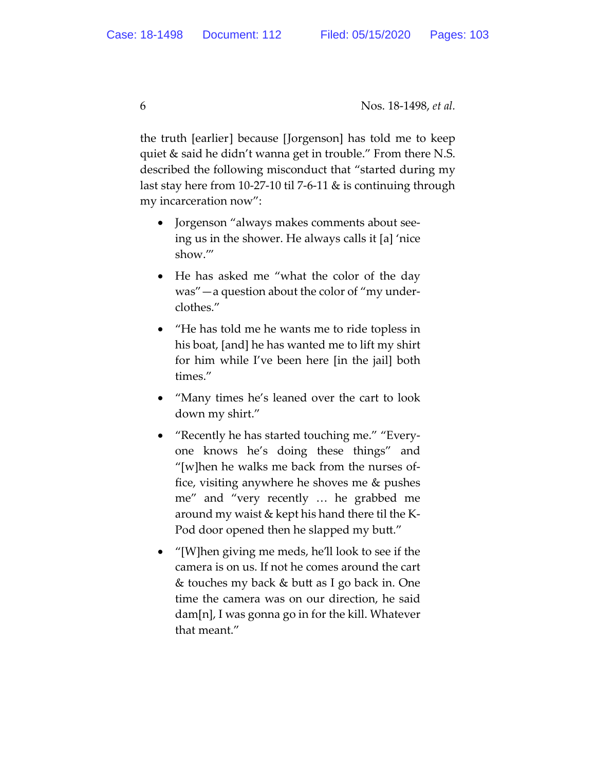the truth [earlier] because [Jorgenson] has told me to keep quiet & said he didn't wanna get in trouble." From there N.S. described the following misconduct that "started during my last stay here from 10-27-10 til 7-6-11 & is continuing through my incarceration now":

- Jorgenson "always makes comments about seeing us in the shower. He always calls it [a] 'nice show.'"
- He has asked me "what the color of the day was"—a question about the color of "my underclothes."
- "He has told me he wants me to ride topless in his boat, [and] he has wanted me to lift my shirt for him while I've been here [in the jail] both times."
- "Many times he's leaned over the cart to look down my shirt."
- "Recently he has started touching me." "Everyone knows he's doing these things" and "[w]hen he walks me back from the nurses office, visiting anywhere he shoves me & pushes me" and "very recently … he grabbed me around my waist & kept his hand there til the K-Pod door opened then he slapped my butt."
- "[W]hen giving me meds, he'll look to see if the camera is on us. If not he comes around the cart & touches my back & butt as I go back in. One time the camera was on our direction, he said dam[n], I was gonna go in for the kill. Whatever that meant."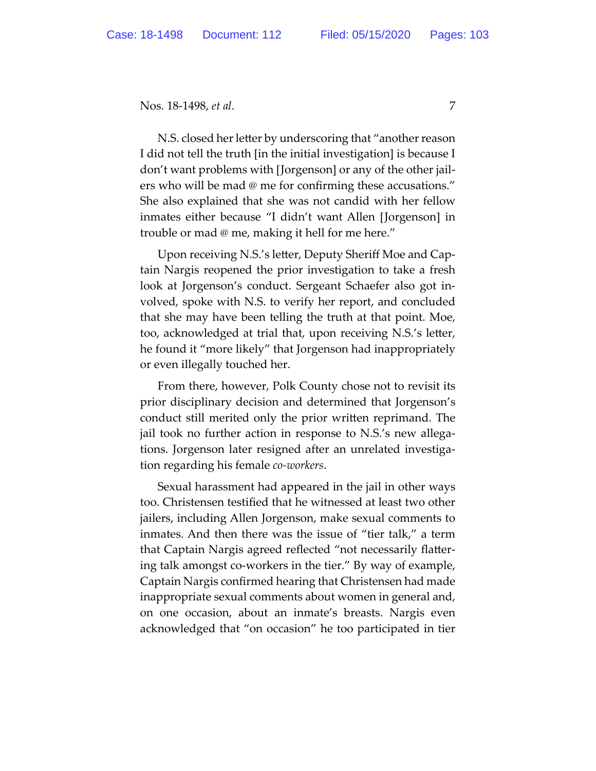N.S. closed her letter by underscoring that "another reason I did not tell the truth [in the initial investigation] is because I don't want problems with [Jorgenson] or any of the other jailers who will be mad @ me for confirming these accusations." She also explained that she was not candid with her fellow inmates either because "I didn't want Allen [Jorgenson] in trouble or mad @ me, making it hell for me here."

Upon receiving N.S.'s letter, Deputy Sheriff Moe and Captain Nargis reopened the prior investigation to take a fresh look at Jorgenson's conduct. Sergeant Schaefer also got involved, spoke with N.S. to verify her report, and concluded that she may have been telling the truth at that point. Moe, too, acknowledged at trial that, upon receiving N.S.'s letter, he found it "more likely" that Jorgenson had inappropriately or even illegally touched her.

From there, however, Polk County chose not to revisit its prior disciplinary decision and determined that Jorgenson's conduct still merited only the prior written reprimand. The jail took no further action in response to N.S.'s new allegations. Jorgenson later resigned after an unrelated investigation regarding his female *co-workers*.

Sexual harassment had appeared in the jail in other ways too. Christensen testified that he witnessed at least two other jailers, including Allen Jorgenson, make sexual comments to inmates. And then there was the issue of "tier talk," a term that Captain Nargis agreed reflected "not necessarily flattering talk amongst co-workers in the tier." By way of example, Captain Nargis confirmed hearing that Christensen had made inappropriate sexual comments about women in general and, on one occasion, about an inmate's breasts. Nargis even acknowledged that "on occasion" he too participated in tier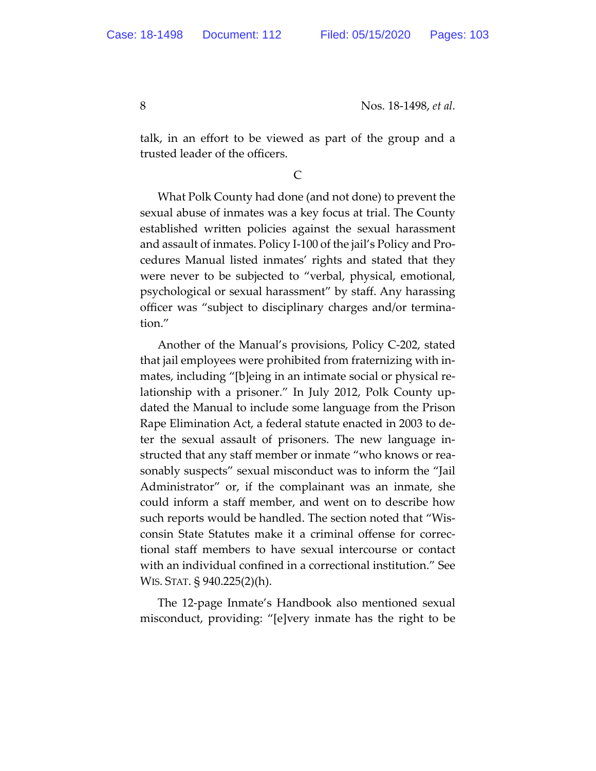talk, in an effort to be viewed as part of the group and a trusted leader of the officers.

## C

What Polk County had done (and not done) to prevent the sexual abuse of inmates was a key focus at trial. The County established written policies against the sexual harassment and assault of inmates. Policy I-100 of the jail's Policy and Procedures Manual listed inmates' rights and stated that they were never to be subjected to "verbal, physical, emotional, psychological or sexual harassment" by staff. Any harassing officer was "subject to disciplinary charges and/or termination."

Another of the Manual's provisions, Policy C-202, stated that jail employees were prohibited from fraternizing with inmates, including "[b]eing in an intimate social or physical relationship with a prisoner." In July 2012, Polk County updated the Manual to include some language from the Prison Rape Elimination Act, a federal statute enacted in 2003 to deter the sexual assault of prisoners. The new language instructed that any staff member or inmate "who knows or reasonably suspects" sexual misconduct was to inform the "Jail Administrator" or, if the complainant was an inmate, she could inform a staff member, and went on to describe how such reports would be handled. The section noted that "Wisconsin State Statutes make it a criminal offense for correctional staff members to have sexual intercourse or contact with an individual confined in a correctional institution." See WIS. STAT. § 940.225(2)(h).

The 12-page Inmate's Handbook also mentioned sexual misconduct, providing: "[e]very inmate has the right to be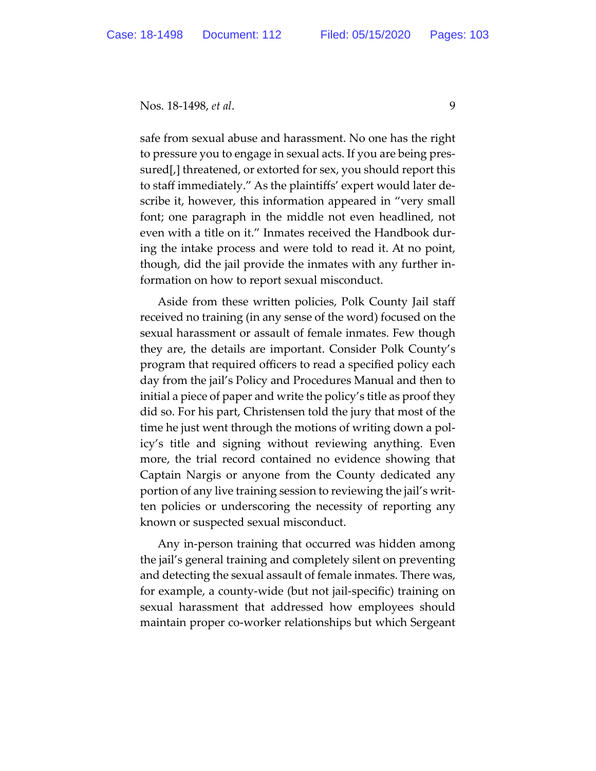safe from sexual abuse and harassment. No one has the right to pressure you to engage in sexual acts. If you are being pressured[,] threatened, or extorted for sex, you should report this to staff immediately." As the plaintiffs' expert would later describe it, however, this information appeared in "very small font; one paragraph in the middle not even headlined, not even with a title on it." Inmates received the Handbook during the intake process and were told to read it. At no point, though, did the jail provide the inmates with any further information on how to report sexual misconduct.

Aside from these written policies, Polk County Jail staff received no training (in any sense of the word) focused on the sexual harassment or assault of female inmates. Few though they are, the details are important. Consider Polk County's program that required officers to read a specified policy each day from the jail's Policy and Procedures Manual and then to initial a piece of paper and write the policy's title as proof they did so. For his part, Christensen told the jury that most of the time he just went through the motions of writing down a policy's title and signing without reviewing anything. Even more, the trial record contained no evidence showing that Captain Nargis or anyone from the County dedicated any portion of any live training session to reviewing the jail's written policies or underscoring the necessity of reporting any known or suspected sexual misconduct.

Any in-person training that occurred was hidden among the jail's general training and completely silent on preventing and detecting the sexual assault of female inmates. There was, for example, a county-wide (but not jail-specific) training on sexual harassment that addressed how employees should maintain proper co-worker relationships but which Sergeant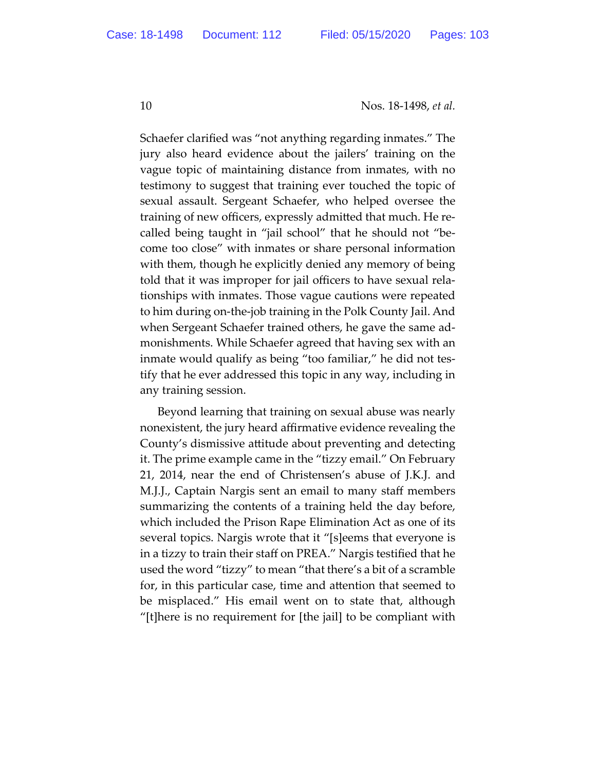Schaefer clarified was "not anything regarding inmates." The jury also heard evidence about the jailers' training on the vague topic of maintaining distance from inmates, with no testimony to suggest that training ever touched the topic of sexual assault. Sergeant Schaefer, who helped oversee the training of new officers, expressly admitted that much. He recalled being taught in "jail school" that he should not "become too close" with inmates or share personal information with them, though he explicitly denied any memory of being told that it was improper for jail officers to have sexual relationships with inmates. Those vague cautions were repeated to him during on-the-job training in the Polk County Jail. And when Sergeant Schaefer trained others, he gave the same admonishments. While Schaefer agreed that having sex with an inmate would qualify as being "too familiar," he did not testify that he ever addressed this topic in any way, including in any training session.

Beyond learning that training on sexual abuse was nearly nonexistent, the jury heard affirmative evidence revealing the County's dismissive attitude about preventing and detecting it. The prime example came in the "tizzy email." On February 21, 2014, near the end of Christensen's abuse of J.K.J. and M.J.J., Captain Nargis sent an email to many staff members summarizing the contents of a training held the day before, which included the Prison Rape Elimination Act as one of its several topics. Nargis wrote that it "[s]eems that everyone is in a tizzy to train their staff on PREA." Nargis testified that he used the word "tizzy" to mean "that there's a bit of a scramble for, in this particular case, time and attention that seemed to be misplaced." His email went on to state that, although "[t]here is no requirement for [the jail] to be compliant with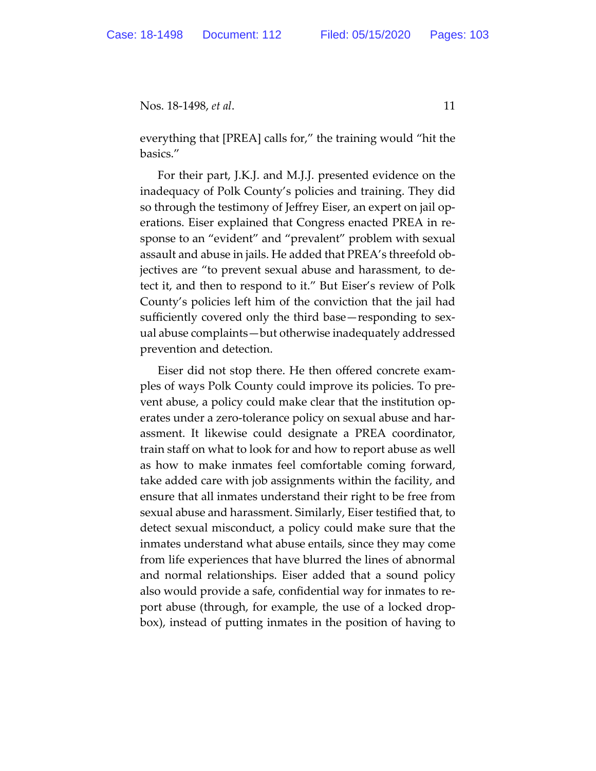everything that [PREA] calls for," the training would "hit the basics."

For their part, J.K.J. and M.J.J. presented evidence on the inadequacy of Polk County's policies and training. They did so through the testimony of Jeffrey Eiser, an expert on jail operations. Eiser explained that Congress enacted PREA in response to an "evident" and "prevalent" problem with sexual assault and abuse in jails. He added that PREA's threefold objectives are "to prevent sexual abuse and harassment, to detect it, and then to respond to it." But Eiser's review of Polk County's policies left him of the conviction that the jail had sufficiently covered only the third base—responding to sexual abuse complaints—but otherwise inadequately addressed prevention and detection.

Eiser did not stop there. He then offered concrete examples of ways Polk County could improve its policies. To prevent abuse, a policy could make clear that the institution operates under a zero-tolerance policy on sexual abuse and harassment. It likewise could designate a PREA coordinator, train staff on what to look for and how to report abuse as well as how to make inmates feel comfortable coming forward, take added care with job assignments within the facility, and ensure that all inmates understand their right to be free from sexual abuse and harassment. Similarly, Eiser testified that, to detect sexual misconduct, a policy could make sure that the inmates understand what abuse entails, since they may come from life experiences that have blurred the lines of abnormal and normal relationships. Eiser added that a sound policy also would provide a safe, confidential way for inmates to report abuse (through, for example, the use of a locked dropbox), instead of putting inmates in the position of having to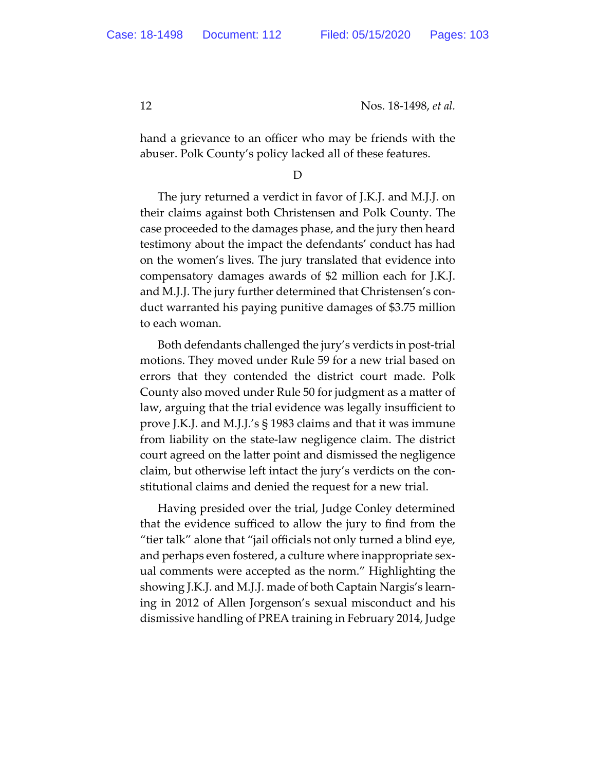hand a grievance to an officer who may be friends with the abuser. Polk County's policy lacked all of these features.

#### D

The jury returned a verdict in favor of J.K.J. and M.J.J. on their claims against both Christensen and Polk County. The case proceeded to the damages phase, and the jury then heard testimony about the impact the defendants' conduct has had on the women's lives. The jury translated that evidence into compensatory damages awards of \$2 million each for J.K.J. and M.J.J. The jury further determined that Christensen's conduct warranted his paying punitive damages of \$3.75 million to each woman.

Both defendants challenged the jury's verdicts in post-trial motions. They moved under Rule 59 for a new trial based on errors that they contended the district court made. Polk County also moved under Rule 50 for judgment as a matter of law, arguing that the trial evidence was legally insufficient to prove J.K.J. and M.J.J.'s § 1983 claims and that it was immune from liability on the state-law negligence claim. The district court agreed on the latter point and dismissed the negligence claim, but otherwise left intact the jury's verdicts on the constitutional claims and denied the request for a new trial.

Having presided over the trial, Judge Conley determined that the evidence sufficed to allow the jury to find from the "tier talk" alone that "jail officials not only turned a blind eye, and perhaps even fostered, a culture where inappropriate sexual comments were accepted as the norm." Highlighting the showing J.K.J. and M.J.J. made of both Captain Nargis's learning in 2012 of Allen Jorgenson's sexual misconduct and his dismissive handling of PREA training in February 2014, Judge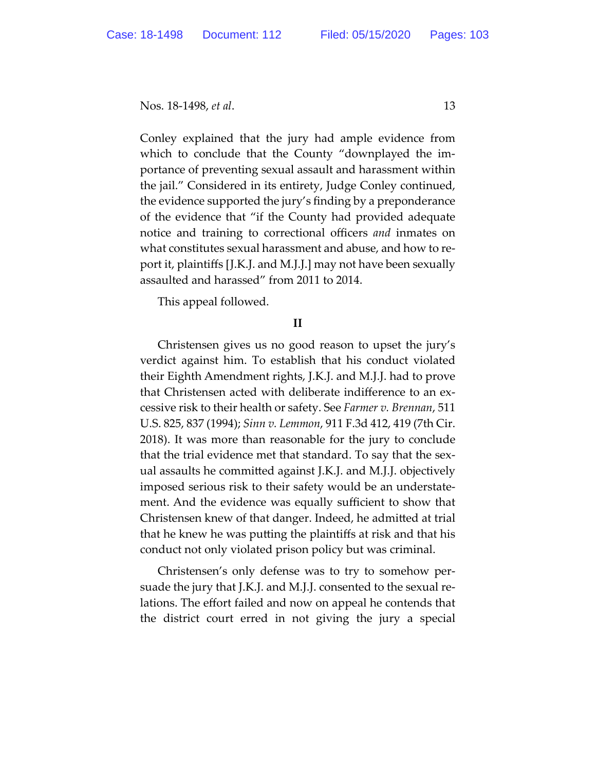Conley explained that the jury had ample evidence from which to conclude that the County "downplayed the importance of preventing sexual assault and harassment within the jail." Considered in its entirety, Judge Conley continued, the evidence supported the jury's finding by a preponderance of the evidence that "if the County had provided adequate notice and training to correctional officers *and* inmates on what constitutes sexual harassment and abuse, and how to report it, plaintiffs [J.K.J. and M.J.J.] may not have been sexually assaulted and harassed" from 2011 to 2014.

This appeal followed.

## **II**

Christensen gives us no good reason to upset the jury's verdict against him. To establish that his conduct violated their Eighth Amendment rights, J.K.J. and M.J.J. had to prove that Christensen acted with deliberate indifference to an excessive risk to their health or safety. See *Farmer v. Brennan*, 511 U.S. 825, 837 (1994); *Sinn v. Lemmon*, 911 F.3d 412, 419 (7th Cir. 2018). It was more than reasonable for the jury to conclude that the trial evidence met that standard. To say that the sexual assaults he committed against J.K.J. and M.J.J. objectively imposed serious risk to their safety would be an understatement. And the evidence was equally sufficient to show that Christensen knew of that danger. Indeed, he admitted at trial that he knew he was putting the plaintiffs at risk and that his conduct not only violated prison policy but was criminal.

Christensen's only defense was to try to somehow persuade the jury that J.K.J. and M.J.J. consented to the sexual relations. The effort failed and now on appeal he contends that the district court erred in not giving the jury a special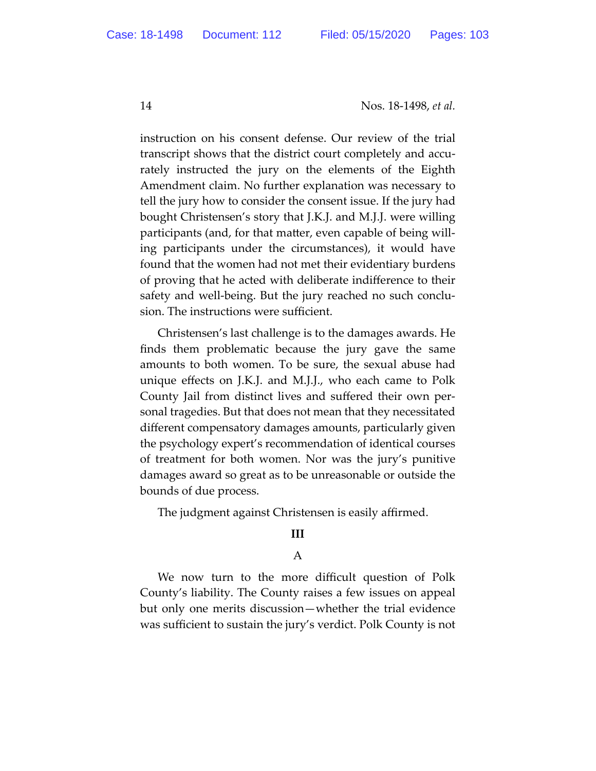instruction on his consent defense. Our review of the trial transcript shows that the district court completely and accurately instructed the jury on the elements of the Eighth Amendment claim. No further explanation was necessary to tell the jury how to consider the consent issue. If the jury had bought Christensen's story that J.K.J. and M.J.J. were willing participants (and, for that matter, even capable of being willing participants under the circumstances), it would have found that the women had not met their evidentiary burdens of proving that he acted with deliberate indifference to their safety and well-being. But the jury reached no such conclusion. The instructions were sufficient.

Christensen's last challenge is to the damages awards. He finds them problematic because the jury gave the same amounts to both women. To be sure, the sexual abuse had unique effects on J.K.J. and M.J.J., who each came to Polk County Jail from distinct lives and suffered their own personal tragedies. But that does not mean that they necessitated different compensatory damages amounts, particularly given the psychology expert's recommendation of identical courses of treatment for both women. Nor was the jury's punitive damages award so great as to be unreasonable or outside the bounds of due process.

The judgment against Christensen is easily affirmed.

## **III**

## A

We now turn to the more difficult question of Polk County's liability. The County raises a few issues on appeal but only one merits discussion—whether the trial evidence was sufficient to sustain the jury's verdict. Polk County is not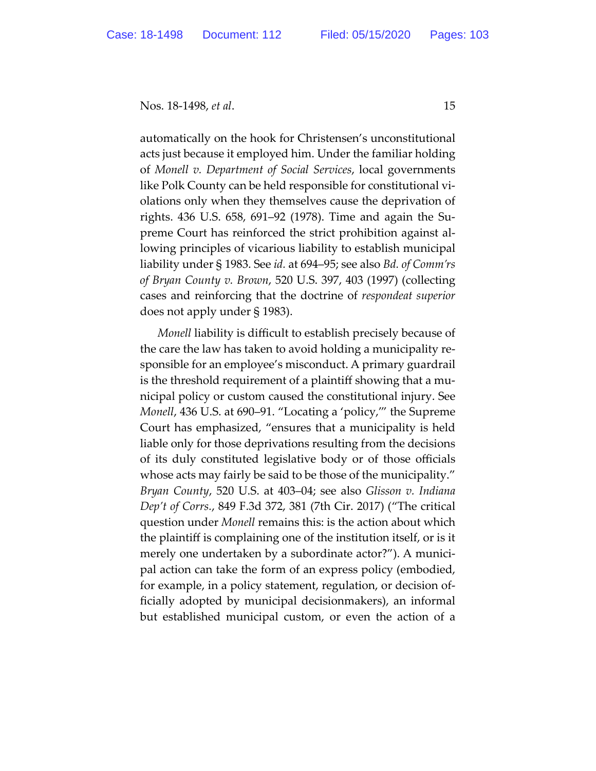automatically on the hook for Christensen's unconstitutional acts just because it employed him. Under the familiar holding of *Monell v. Department of Social Services*, local governments like Polk County can be held responsible for constitutional violations only when they themselves cause the deprivation of rights. 436 U.S. 658, 691–92 (1978). Time and again the Supreme Court has reinforced the strict prohibition against allowing principles of vicarious liability to establish municipal liability under § 1983. See *id.* at 694–95; see also *Bd. of Comm'rs of Bryan County v. Brown*, 520 U.S. 397, 403 (1997) (collecting cases and reinforcing that the doctrine of *respondeat superior* does not apply under § 1983).

*Monell* liability is difficult to establish precisely because of the care the law has taken to avoid holding a municipality responsible for an employee's misconduct. A primary guardrail is the threshold requirement of a plaintiff showing that a municipal policy or custom caused the constitutional injury. See *Monell*, 436 U.S. at 690–91. "Locating a 'policy,'" the Supreme Court has emphasized, "ensures that a municipality is held liable only for those deprivations resulting from the decisions of its duly constituted legislative body or of those officials whose acts may fairly be said to be those of the municipality." *Bryan County*, 520 U.S. at 403–04; see also *Glisson v. Indiana Dep't of Corrs.*, 849 F.3d 372, 381 (7th Cir. 2017) ("The critical question under *Monell* remains this: is the action about which the plaintiff is complaining one of the institution itself, or is it merely one undertaken by a subordinate actor?"). A municipal action can take the form of an express policy (embodied, for example, in a policy statement, regulation, or decision officially adopted by municipal decisionmakers), an informal but established municipal custom, or even the action of a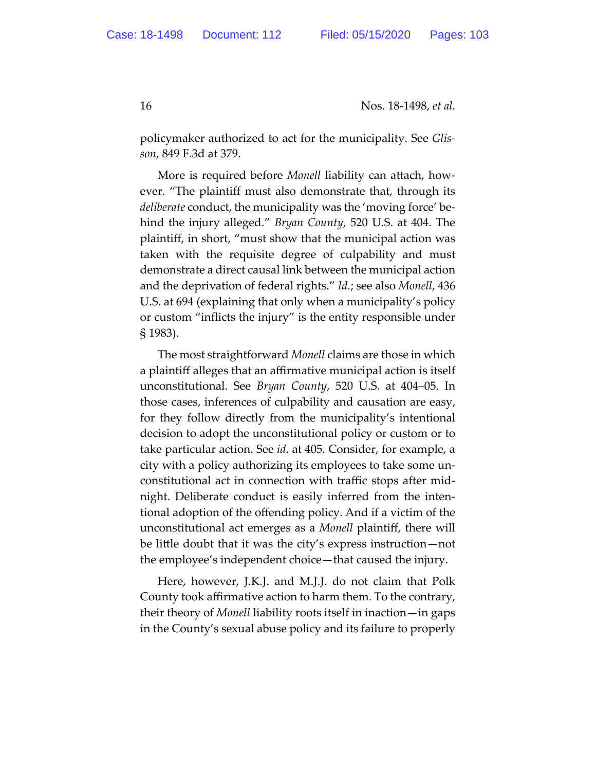policymaker authorized to act for the municipality. See *Glisson*, 849 F.3d at 379.

More is required before *Monell* liability can attach, however. "The plaintiff must also demonstrate that, through its *deliberate* conduct, the municipality was the 'moving force' behind the injury alleged." *Bryan County*, 520 U.S. at 404. The plaintiff, in short, "must show that the municipal action was taken with the requisite degree of culpability and must demonstrate a direct causal link between the municipal action and the deprivation of federal rights." *Id.*; see also *Monell*, 436 U.S. at 694 (explaining that only when a municipality's policy or custom "inflicts the injury" is the entity responsible under § 1983).

The most straightforward *Monell* claims are those in which a plaintiff alleges that an affirmative municipal action is itself unconstitutional. See *Bryan County*, 520 U.S. at 404–05. In those cases, inferences of culpability and causation are easy, for they follow directly from the municipality's intentional decision to adopt the unconstitutional policy or custom or to take particular action. See *id*. at 405. Consider, for example, a city with a policy authorizing its employees to take some unconstitutional act in connection with traffic stops after midnight. Deliberate conduct is easily inferred from the intentional adoption of the offending policy. And if a victim of the unconstitutional act emerges as a *Monell* plaintiff, there will be little doubt that it was the city's express instruction—not the employee's independent choice—that caused the injury.

Here, however, J.K.J. and M.J.J. do not claim that Polk County took affirmative action to harm them. To the contrary, their theory of *Monell* liability roots itself in inaction—in gaps in the County's sexual abuse policy and its failure to properly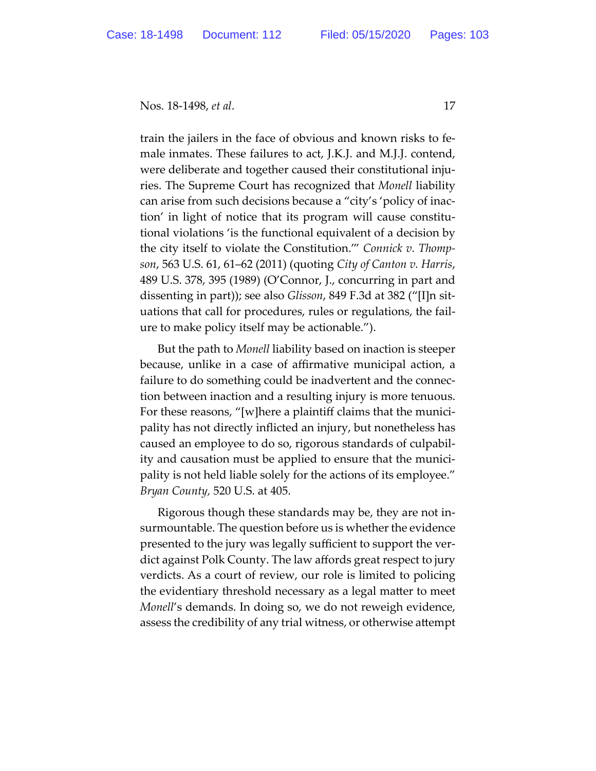train the jailers in the face of obvious and known risks to female inmates. These failures to act, J.K.J. and M.J.J. contend, were deliberate and together caused their constitutional injuries. The Supreme Court has recognized that *Monell* liability can arise from such decisions because a "city's 'policy of inaction' in light of notice that its program will cause constitutional violations 'is the functional equivalent of a decision by the city itself to violate the Constitution.'" *Connick v. Thompson*, 563 U.S. 61, 61–62 (2011) (quoting *City of Canton v. Harris*, 489 U.S. 378, 395 (1989) (O'Connor, J., concurring in part and dissenting in part)); see also *Glisson*, 849 F.3d at 382 ("[I]n situations that call for procedures, rules or regulations, the failure to make policy itself may be actionable.").

But the path to *Monell* liability based on inaction is steeper because, unlike in a case of affirmative municipal action, a failure to do something could be inadvertent and the connection between inaction and a resulting injury is more tenuous. For these reasons, "[w]here a plaintiff claims that the municipality has not directly inflicted an injury, but nonetheless has caused an employee to do so, rigorous standards of culpability and causation must be applied to ensure that the municipality is not held liable solely for the actions of its employee." *Bryan County,* 520 U.S. at 405.

Rigorous though these standards may be, they are not insurmountable. The question before us is whether the evidence presented to the jury was legally sufficient to support the verdict against Polk County. The law affords great respect to jury verdicts. As a court of review, our role is limited to policing the evidentiary threshold necessary as a legal matter to meet *Monell*'s demands. In doing so, we do not reweigh evidence, assess the credibility of any trial witness, or otherwise attempt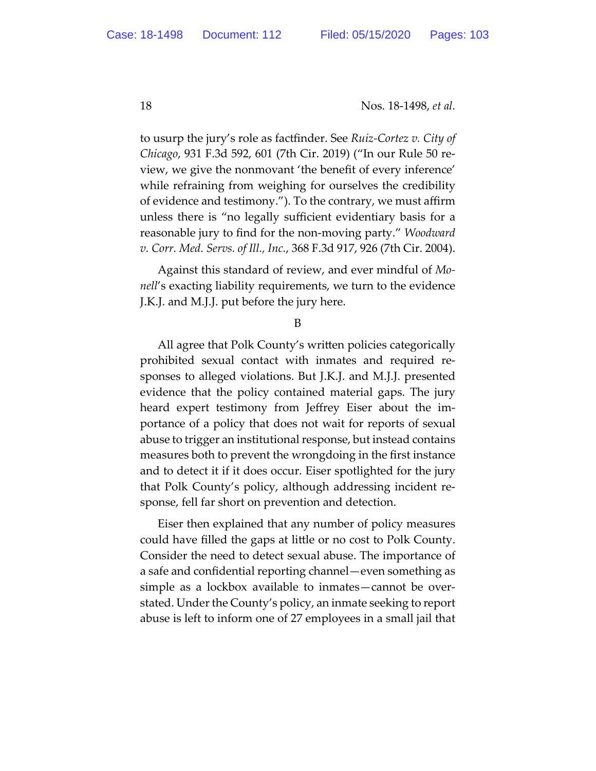to usurp the jury's role as factfinder. See *Ruiz-Cortez v. City of Chicago*, 931 F.3d 592, 601 (7th Cir. 2019) ("In our Rule 50 review, we give the nonmovant 'the benefit of every inference' while refraining from weighing for ourselves the credibility of evidence and testimony."). To the contrary, we must affirm unless there is "no legally sufficient evidentiary basis for a reasonable jury to find for the non-moving party." *Woodward v. Corr. Med. Servs. of Ill., Inc.*, 368 F.3d 917, 926 (7th Cir. 2004).

Against this standard of review, and ever mindful of *Monell*'s exacting liability requirements, we turn to the evidence J.K.J. and M.J.J. put before the jury here.

B

All agree that Polk County's written policies categorically prohibited sexual contact with inmates and required responses to alleged violations. But J.K.J. and M.J.J. presented evidence that the policy contained material gaps. The jury heard expert testimony from Jeffrey Eiser about the importance of a policy that does not wait for reports of sexual abuse to trigger an institutional response, but instead contains measures both to prevent the wrongdoing in the first instance and to detect it if it does occur. Eiser spotlighted for the jury that Polk County's policy, although addressing incident response, fell far short on prevention and detection.

Eiser then explained that any number of policy measures could have filled the gaps at little or no cost to Polk County. Consider the need to detect sexual abuse. The importance of a safe and confidential reporting channel—even something as simple as a lockbox available to inmates—cannot be overstated. Under the County's policy, an inmate seeking to report abuse is left to inform one of 27 employees in a small jail that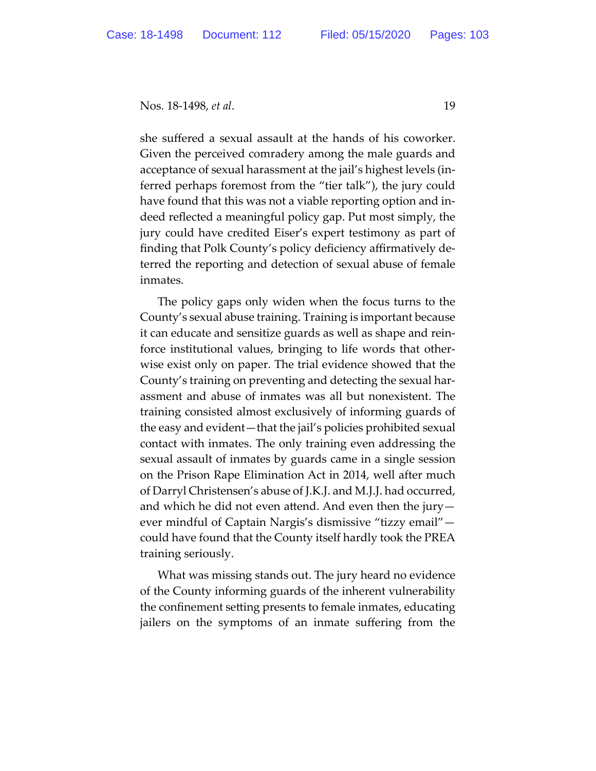she suffered a sexual assault at the hands of his coworker. Given the perceived comradery among the male guards and acceptance of sexual harassment at the jail's highest levels (inferred perhaps foremost from the "tier talk"), the jury could have found that this was not a viable reporting option and indeed reflected a meaningful policy gap. Put most simply, the jury could have credited Eiser's expert testimony as part of finding that Polk County's policy deficiency affirmatively deterred the reporting and detection of sexual abuse of female inmates.

The policy gaps only widen when the focus turns to the County's sexual abuse training. Training is important because it can educate and sensitize guards as well as shape and reinforce institutional values, bringing to life words that otherwise exist only on paper. The trial evidence showed that the County's training on preventing and detecting the sexual harassment and abuse of inmates was all but nonexistent. The training consisted almost exclusively of informing guards of the easy and evident—that the jail's policies prohibited sexual contact with inmates. The only training even addressing the sexual assault of inmates by guards came in a single session on the Prison Rape Elimination Act in 2014, well after much of Darryl Christensen's abuse of J.K.J. and M.J.J. had occurred, and which he did not even attend. And even then the jury  $$ ever mindful of Captain Nargis's dismissive "tizzy email" could have found that the County itself hardly took the PREA training seriously.

What was missing stands out. The jury heard no evidence of the County informing guards of the inherent vulnerability the confinement setting presents to female inmates, educating jailers on the symptoms of an inmate suffering from the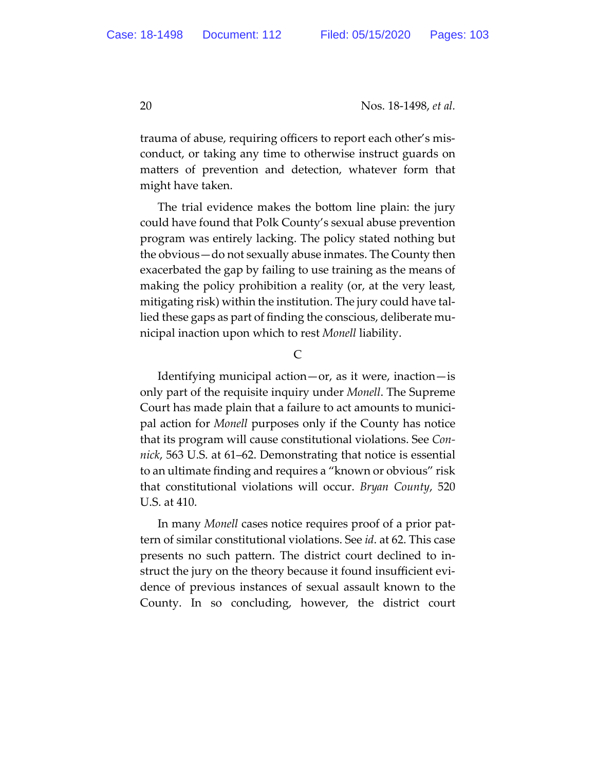trauma of abuse, requiring officers to report each other's misconduct, or taking any time to otherwise instruct guards on matters of prevention and detection, whatever form that might have taken.

The trial evidence makes the bottom line plain: the jury could have found that Polk County's sexual abuse prevention program was entirely lacking. The policy stated nothing but the obvious—do not sexually abuse inmates. The County then exacerbated the gap by failing to use training as the means of making the policy prohibition a reality (or, at the very least, mitigating risk) within the institution. The jury could have tallied these gaps as part of finding the conscious, deliberate municipal inaction upon which to rest *Monell* liability.

C

Identifying municipal action—or, as it were, inaction—is only part of the requisite inquiry under *Monell*. The Supreme Court has made plain that a failure to act amounts to municipal action for *Monell* purposes only if the County has notice that its program will cause constitutional violations. See *Connick*, 563 U.S. at 61–62. Demonstrating that notice is essential to an ultimate finding and requires a "known or obvious" risk that constitutional violations will occur. *Bryan County*, 520 U.S. at 410.

In many *Monell* cases notice requires proof of a prior pattern of similar constitutional violations. See *id*. at 62. This case presents no such pattern. The district court declined to instruct the jury on the theory because it found insufficient evidence of previous instances of sexual assault known to the County. In so concluding, however, the district court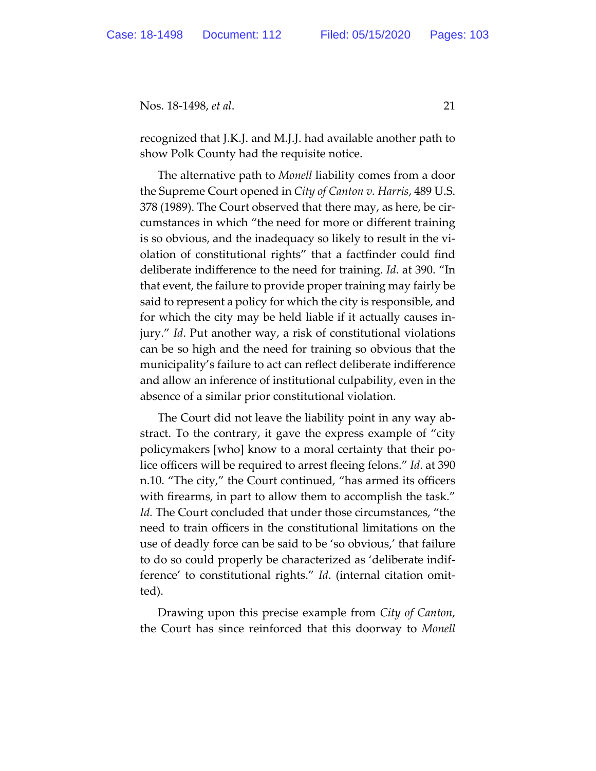recognized that J.K.J. and M.J.J. had available another path to show Polk County had the requisite notice.

The alternative path to *Monell* liability comes from a door the Supreme Court opened in *City of Canton v. Harris*, 489 U.S. 378 (1989). The Court observed that there may, as here, be circumstances in which "the need for more or different training is so obvious, and the inadequacy so likely to result in the violation of constitutional rights" that a factfinder could find deliberate indifference to the need for training. *Id*. at 390. "In that event, the failure to provide proper training may fairly be said to represent a policy for which the city is responsible, and for which the city may be held liable if it actually causes injury." *Id*. Put another way, a risk of constitutional violations can be so high and the need for training so obvious that the municipality's failure to act can reflect deliberate indifference and allow an inference of institutional culpability, even in the absence of a similar prior constitutional violation.

The Court did not leave the liability point in any way abstract. To the contrary, it gave the express example of "city policymakers [who] know to a moral certainty that their police officers will be required to arrest fleeing felons." *Id*. at 390 n.10. "The city," the Court continued, "has armed its officers with firearms, in part to allow them to accomplish the task." *Id.* The Court concluded that under those circumstances, "the need to train officers in the constitutional limitations on the use of deadly force can be said to be 'so obvious,' that failure to do so could properly be characterized as 'deliberate indifference' to constitutional rights." *Id*. (internal citation omitted).

Drawing upon this precise example from *City of Canton*, the Court has since reinforced that this doorway to *Monell*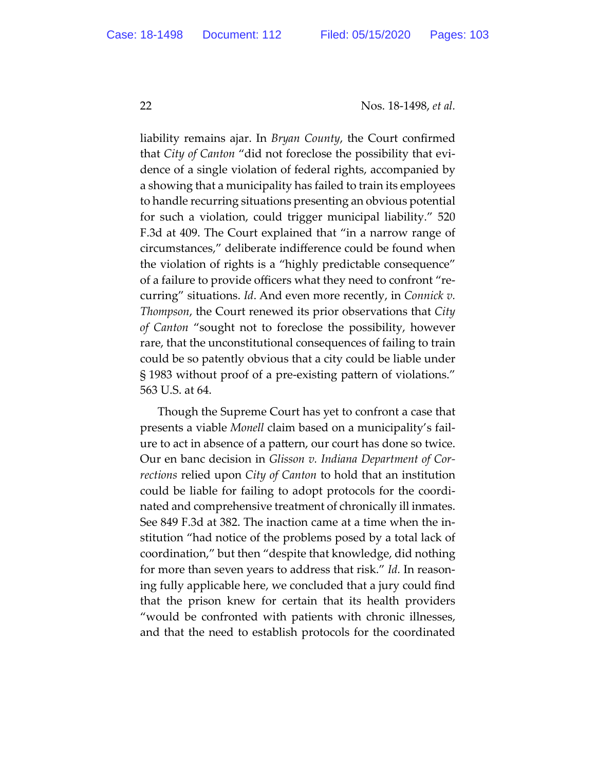liability remains ajar. In *Bryan County*, the Court confirmed that *City of Canton* "did not foreclose the possibility that evidence of a single violation of federal rights, accompanied by a showing that a municipality has failed to train its employees to handle recurring situations presenting an obvious potential for such a violation, could trigger municipal liability." 520 F.3d at 409. The Court explained that "in a narrow range of circumstances," deliberate indifference could be found when the violation of rights is a "highly predictable consequence" of a failure to provide officers what they need to confront "recurring" situations. *Id*. And even more recently, in *Connick v. Thompson*, the Court renewed its prior observations that *City of Canton* "sought not to foreclose the possibility, however rare, that the unconstitutional consequences of failing to train could be so patently obvious that a city could be liable under § 1983 without proof of a pre-existing pattern of violations." 563 U.S. at 64.

Though the Supreme Court has yet to confront a case that presents a viable *Monell* claim based on a municipality's failure to act in absence of a pattern, our court has done so twice. Our en banc decision in *Glisson v. Indiana Department of Corrections* relied upon *City of Canton* to hold that an institution could be liable for failing to adopt protocols for the coordinated and comprehensive treatment of chronically ill inmates. See 849 F.3d at 382. The inaction came at a time when the institution "had notice of the problems posed by a total lack of coordination," but then "despite that knowledge, did nothing for more than seven years to address that risk." *Id.* In reasoning fully applicable here, we concluded that a jury could find that the prison knew for certain that its health providers "would be confronted with patients with chronic illnesses, and that the need to establish protocols for the coordinated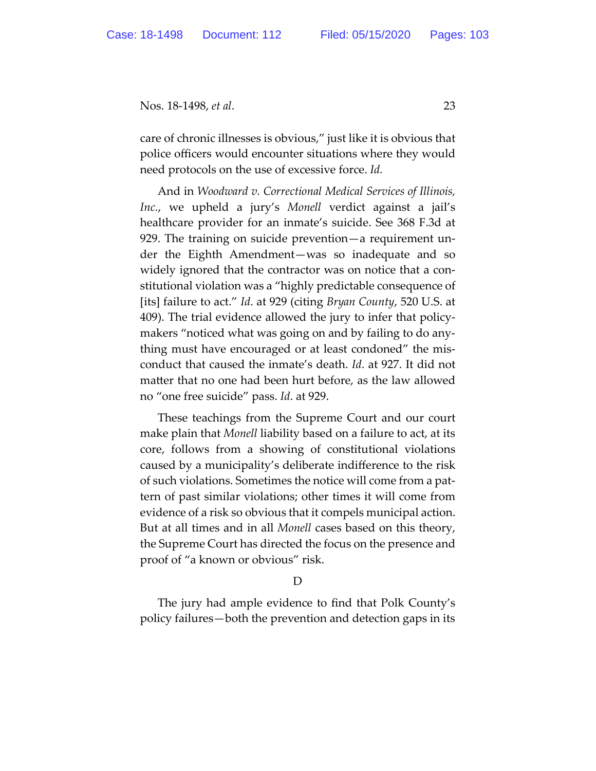care of chronic illnesses is obvious," just like it is obvious that police officers would encounter situations where they would need protocols on the use of excessive force. *Id.* 

And in *Woodward v. Correctional Medical Services of Illinois, Inc.*, we upheld a jury's *Monell* verdict against a jail's healthcare provider for an inmate's suicide. See 368 F.3d at 929. The training on suicide prevention—a requirement under the Eighth Amendment—was so inadequate and so widely ignored that the contractor was on notice that a constitutional violation was a "highly predictable consequence of [its] failure to act." *Id*. at 929 (citing *Bryan County*, 520 U.S. at 409). The trial evidence allowed the jury to infer that policymakers "noticed what was going on and by failing to do anything must have encouraged or at least condoned" the misconduct that caused the inmate's death. *Id*. at 927. It did not matter that no one had been hurt before, as the law allowed no "one free suicide" pass. *Id*. at 929.

These teachings from the Supreme Court and our court make plain that *Monell* liability based on a failure to act, at its core, follows from a showing of constitutional violations caused by a municipality's deliberate indifference to the risk of such violations. Sometimes the notice will come from a pattern of past similar violations; other times it will come from evidence of a risk so obvious that it compels municipal action. But at all times and in all *Monell* cases based on this theory, the Supreme Court has directed the focus on the presence and proof of "a known or obvious" risk.

#### D

The jury had ample evidence to find that Polk County's policy failures—both the prevention and detection gaps in its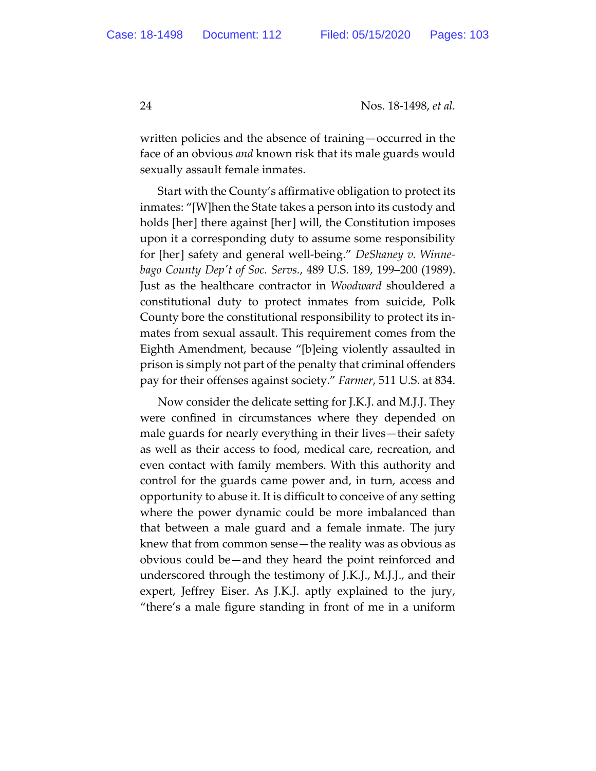written policies and the absence of training—occurred in the face of an obvious *and* known risk that its male guards would sexually assault female inmates.

Start with the County's affirmative obligation to protect its inmates: "[W]hen the State takes a person into its custody and holds [her] there against [her] will, the Constitution imposes upon it a corresponding duty to assume some responsibility for [her] safety and general well-being." *DeShaney v. Winnebago County Depʹt of Soc. Servs.*, 489 U.S. 189, 199–200 (1989). Just as the healthcare contractor in *Woodward* shouldered a constitutional duty to protect inmates from suicide, Polk County bore the constitutional responsibility to protect its inmates from sexual assault. This requirement comes from the Eighth Amendment, because "[b]eing violently assaulted in prison is simply not part of the penalty that criminal offenders pay for their offenses against society." *Farmer*, 511 U.S. at 834.

Now consider the delicate setting for J.K.J. and M.J.J. They were confined in circumstances where they depended on male guards for nearly everything in their lives—their safety as well as their access to food, medical care, recreation, and even contact with family members. With this authority and control for the guards came power and, in turn, access and opportunity to abuse it. It is difficult to conceive of any setting where the power dynamic could be more imbalanced than that between a male guard and a female inmate. The jury knew that from common sense—the reality was as obvious as obvious could be—and they heard the point reinforced and underscored through the testimony of J.K.J., M.J.J., and their expert, Jeffrey Eiser. As J.K.J. aptly explained to the jury, "there's a male figure standing in front of me in a uniform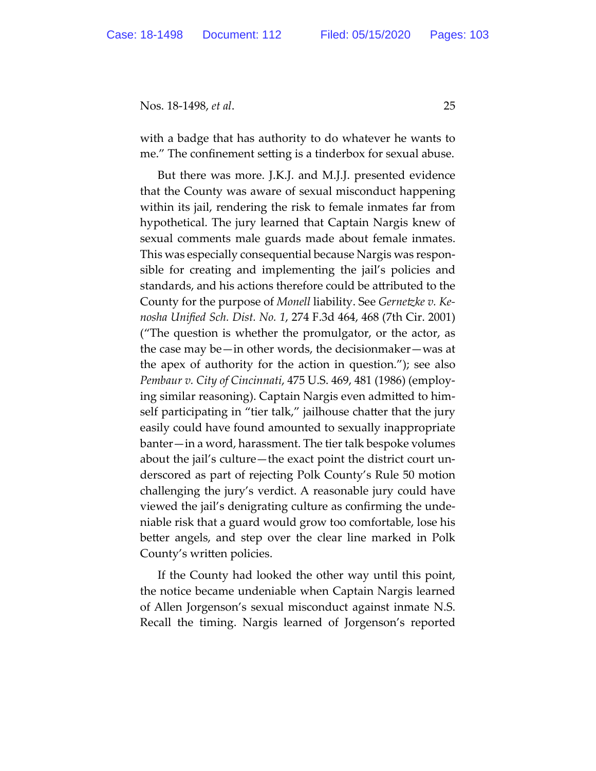with a badge that has authority to do whatever he wants to me." The confinement setting is a tinderbox for sexual abuse.

But there was more. J.K.J. and M.J.J. presented evidence that the County was aware of sexual misconduct happening within its jail, rendering the risk to female inmates far from hypothetical. The jury learned that Captain Nargis knew of sexual comments male guards made about female inmates. This was especially consequential because Nargis was responsible for creating and implementing the jail's policies and standards, and his actions therefore could be attributed to the County for the purpose of *Monell* liability. See *Gernetzke v. Kenosha Unified Sch. Dist. No. 1*, 274 F.3d 464, 468 (7th Cir. 2001) ("The question is whether the promulgator, or the actor, as the case may be—in other words, the decisionmaker—was at the apex of authority for the action in question."); see also *Pembaur v. City of Cincinnati*, 475 U.S. 469, 481 (1986) (employing similar reasoning). Captain Nargis even admitted to himself participating in "tier talk," jailhouse chatter that the jury easily could have found amounted to sexually inappropriate banter—in a word, harassment. The tier talk bespoke volumes about the jail's culture—the exact point the district court underscored as part of rejecting Polk County's Rule 50 motion challenging the jury's verdict. A reasonable jury could have viewed the jail's denigrating culture as confirming the undeniable risk that a guard would grow too comfortable, lose his better angels, and step over the clear line marked in Polk County's written policies.

If the County had looked the other way until this point, the notice became undeniable when Captain Nargis learned of Allen Jorgenson's sexual misconduct against inmate N.S. Recall the timing. Nargis learned of Jorgenson's reported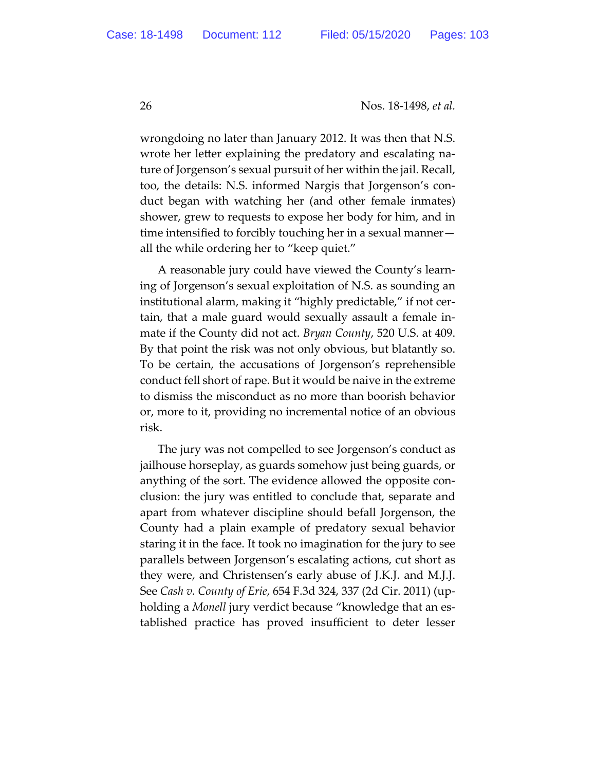wrongdoing no later than January 2012. It was then that N.S. wrote her letter explaining the predatory and escalating nature of Jorgenson's sexual pursuit of her within the jail. Recall, too, the details: N.S. informed Nargis that Jorgenson's conduct began with watching her (and other female inmates) shower, grew to requests to expose her body for him, and in time intensified to forcibly touching her in a sexual manner all the while ordering her to "keep quiet."

A reasonable jury could have viewed the County's learning of Jorgenson's sexual exploitation of N.S. as sounding an institutional alarm, making it "highly predictable," if not certain, that a male guard would sexually assault a female inmate if the County did not act. *Bryan County*, 520 U.S. at 409. By that point the risk was not only obvious, but blatantly so. To be certain, the accusations of Jorgenson's reprehensible conduct fell short of rape. But it would be naive in the extreme to dismiss the misconduct as no more than boorish behavior or, more to it, providing no incremental notice of an obvious risk.

The jury was not compelled to see Jorgenson's conduct as jailhouse horseplay, as guards somehow just being guards, or anything of the sort. The evidence allowed the opposite conclusion: the jury was entitled to conclude that, separate and apart from whatever discipline should befall Jorgenson, the County had a plain example of predatory sexual behavior staring it in the face. It took no imagination for the jury to see parallels between Jorgenson's escalating actions, cut short as they were, and Christensen's early abuse of J.K.J. and M.J.J. See *Cash v. County of Erie*, 654 F.3d 324, 337 (2d Cir. 2011) (upholding a *Monell* jury verdict because "knowledge that an established practice has proved insufficient to deter lesser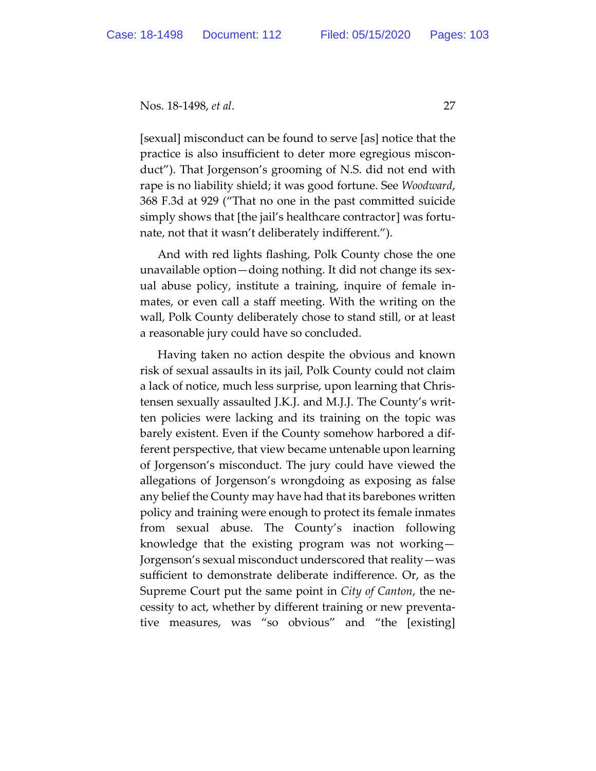[sexual] misconduct can be found to serve [as] notice that the practice is also insufficient to deter more egregious misconduct"). That Jorgenson's grooming of N.S. did not end with rape is no liability shield; it was good fortune. See *Woodward*, 368 F.3d at 929 ("That no one in the past committed suicide simply shows that [the jail's healthcare contractor] was fortunate, not that it wasn't deliberately indifferent.").

And with red lights flashing, Polk County chose the one unavailable option—doing nothing. It did not change its sexual abuse policy, institute a training, inquire of female inmates, or even call a staff meeting. With the writing on the wall, Polk County deliberately chose to stand still, or at least a reasonable jury could have so concluded.

Having taken no action despite the obvious and known risk of sexual assaults in its jail, Polk County could not claim a lack of notice, much less surprise, upon learning that Christensen sexually assaulted J.K.J. and M.J.J. The County's written policies were lacking and its training on the topic was barely existent. Even if the County somehow harbored a different perspective, that view became untenable upon learning of Jorgenson's misconduct. The jury could have viewed the allegations of Jorgenson's wrongdoing as exposing as false any belief the County may have had that its barebones written policy and training were enough to protect its female inmates from sexual abuse. The County's inaction following knowledge that the existing program was not working— Jorgenson's sexual misconduct underscored that reality—was sufficient to demonstrate deliberate indifference. Or, as the Supreme Court put the same point in *City of Canton*, the necessity to act, whether by different training or new preventative measures, was "so obvious" and "the [existing]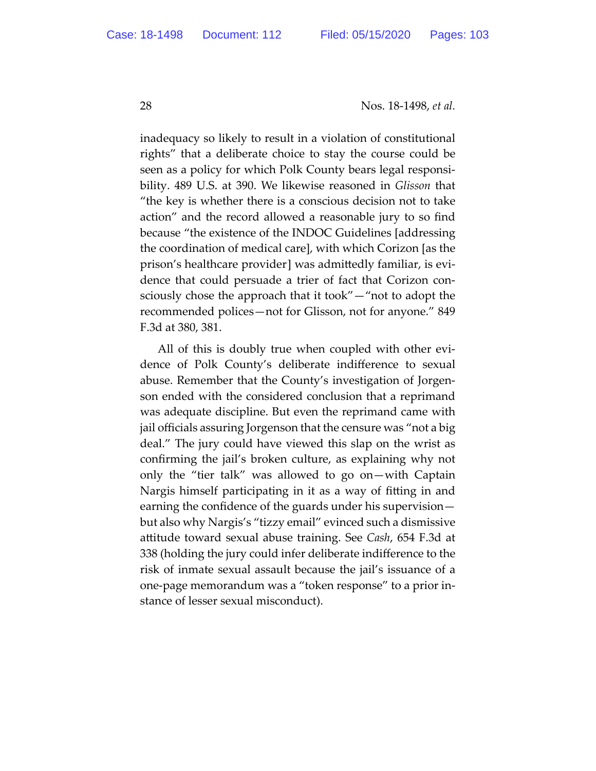inadequacy so likely to result in a violation of constitutional rights" that a deliberate choice to stay the course could be seen as a policy for which Polk County bears legal responsibility. 489 U.S. at 390. We likewise reasoned in *Glisson* that "the key is whether there is a conscious decision not to take action" and the record allowed a reasonable jury to so find because "the existence of the INDOC Guidelines [addressing the coordination of medical care], with which Corizon [as the prison's healthcare provider] was admittedly familiar, is evidence that could persuade a trier of fact that Corizon consciously chose the approach that it took"—"not to adopt the recommended polices—not for Glisson, not for anyone." 849 F.3d at 380, 381.

All of this is doubly true when coupled with other evidence of Polk County's deliberate indifference to sexual abuse. Remember that the County's investigation of Jorgenson ended with the considered conclusion that a reprimand was adequate discipline. But even the reprimand came with jail officials assuring Jorgenson that the censure was "not a big deal." The jury could have viewed this slap on the wrist as confirming the jail's broken culture, as explaining why not only the "tier talk" was allowed to go on—with Captain Nargis himself participating in it as a way of fitting in and earning the confidence of the guards under his supervision but also why Nargis's "tizzy email" evinced such a dismissive attitude toward sexual abuse training. See *Cash*, 654 F.3d at 338 (holding the jury could infer deliberate indifference to the risk of inmate sexual assault because the jail's issuance of a one-page memorandum was a "token response" to a prior instance of lesser sexual misconduct).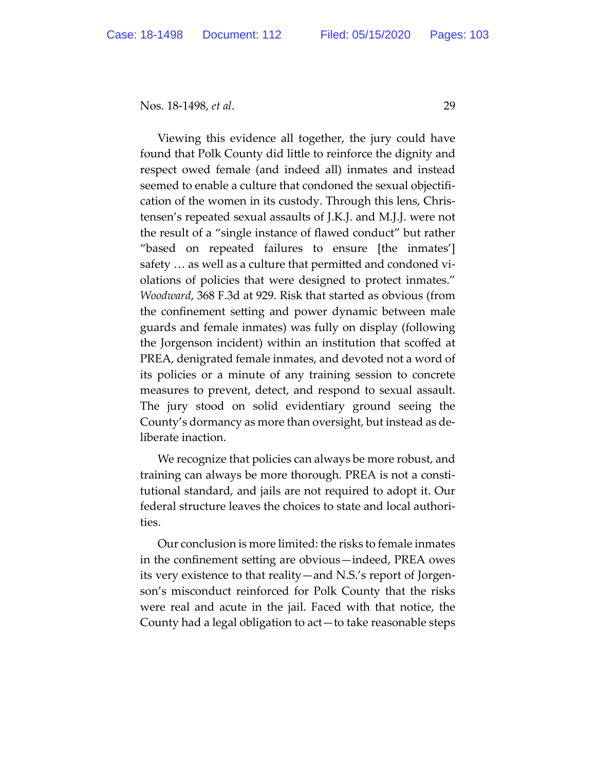Viewing this evidence all together, the jury could have found that Polk County did little to reinforce the dignity and respect owed female (and indeed all) inmates and instead seemed to enable a culture that condoned the sexual objectification of the women in its custody. Through this lens, Christensen's repeated sexual assaults of J.K.J. and M.J.J. were not the result of a "single instance of flawed conduct" but rather "based on repeated failures to ensure [the inmates'] safety … as well as a culture that permitted and condoned violations of policies that were designed to protect inmates." *Woodward*, 368 F.3d at 929. Risk that started as obvious (from the confinement setting and power dynamic between male guards and female inmates) was fully on display (following the Jorgenson incident) within an institution that scoffed at PREA, denigrated female inmates, and devoted not a word of its policies or a minute of any training session to concrete measures to prevent, detect, and respond to sexual assault. The jury stood on solid evidentiary ground seeing the County's dormancy as more than oversight, but instead as deliberate inaction.

We recognize that policies can always be more robust, and training can always be more thorough. PREA is not a constitutional standard, and jails are not required to adopt it. Our federal structure leaves the choices to state and local authorities.

Our conclusion is more limited: the risks to female inmates in the confinement setting are obvious—indeed, PREA owes its very existence to that reality—and N.S.'s report of Jorgenson's misconduct reinforced for Polk County that the risks were real and acute in the jail. Faced with that notice, the County had a legal obligation to act—to take reasonable steps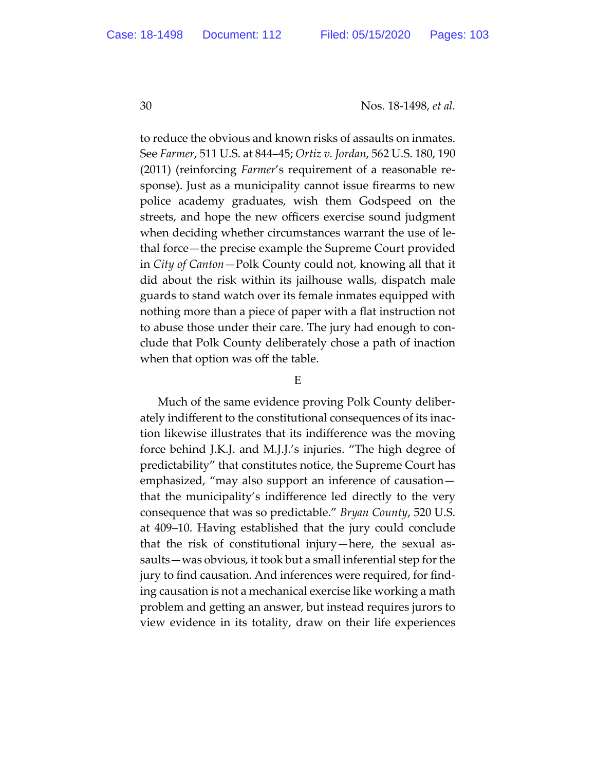to reduce the obvious and known risks of assaults on inmates. See *Farmer*, 511 U.S. at 844–45; *Ortiz v. Jordan*, 562 U.S. 180, 190 (2011) (reinforcing *Farmer*'s requirement of a reasonable response). Just as a municipality cannot issue firearms to new police academy graduates, wish them Godspeed on the streets, and hope the new officers exercise sound judgment when deciding whether circumstances warrant the use of lethal force—the precise example the Supreme Court provided in *City of Canton*—Polk County could not, knowing all that it did about the risk within its jailhouse walls, dispatch male guards to stand watch over its female inmates equipped with nothing more than a piece of paper with a flat instruction not to abuse those under their care. The jury had enough to conclude that Polk County deliberately chose a path of inaction when that option was off the table.

#### E

Much of the same evidence proving Polk County deliberately indifferent to the constitutional consequences of its inaction likewise illustrates that its indifference was the moving force behind J.K.J. and M.J.J.'s injuries. "The high degree of predictability" that constitutes notice, the Supreme Court has emphasized, "may also support an inference of causation that the municipality's indifference led directly to the very consequence that was so predictable." *Bryan County*, 520 U.S. at 409–10. Having established that the jury could conclude that the risk of constitutional injury—here, the sexual assaults—was obvious, it took but a small inferential step for the jury to find causation. And inferences were required, for finding causation is not a mechanical exercise like working a math problem and getting an answer, but instead requires jurors to view evidence in its totality, draw on their life experiences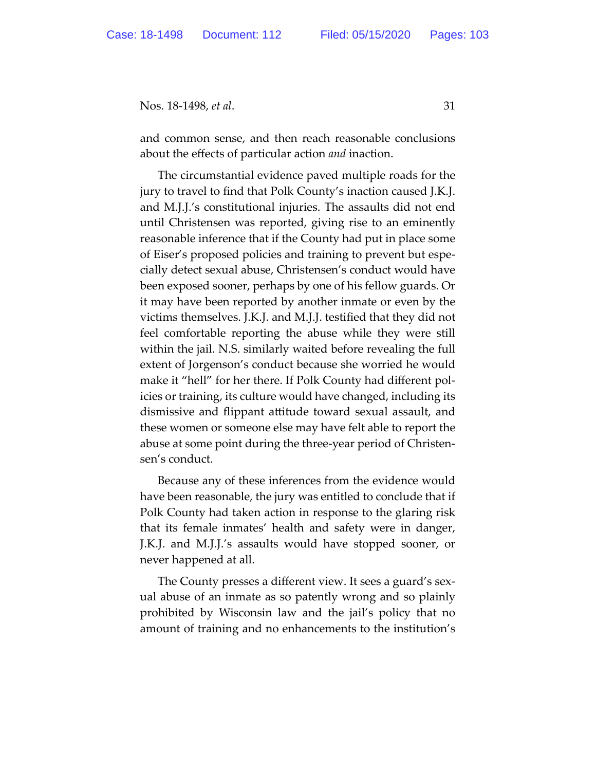and common sense, and then reach reasonable conclusions about the effects of particular action *and* inaction.

The circumstantial evidence paved multiple roads for the jury to travel to find that Polk County's inaction caused J.K.J. and M.J.J.'s constitutional injuries. The assaults did not end until Christensen was reported, giving rise to an eminently reasonable inference that if the County had put in place some of Eiser's proposed policies and training to prevent but especially detect sexual abuse, Christensen's conduct would have been exposed sooner, perhaps by one of his fellow guards. Or it may have been reported by another inmate or even by the victims themselves. J.K.J. and M.J.J. testified that they did not feel comfortable reporting the abuse while they were still within the jail. N.S. similarly waited before revealing the full extent of Jorgenson's conduct because she worried he would make it "hell" for her there. If Polk County had different policies or training, its culture would have changed, including its dismissive and flippant attitude toward sexual assault, and these women or someone else may have felt able to report the abuse at some point during the three-year period of Christensen's conduct.

Because any of these inferences from the evidence would have been reasonable, the jury was entitled to conclude that if Polk County had taken action in response to the glaring risk that its female inmates' health and safety were in danger, J.K.J. and M.J.J.'s assaults would have stopped sooner, or never happened at all.

The County presses a different view. It sees a guard's sexual abuse of an inmate as so patently wrong and so plainly prohibited by Wisconsin law and the jail's policy that no amount of training and no enhancements to the institution's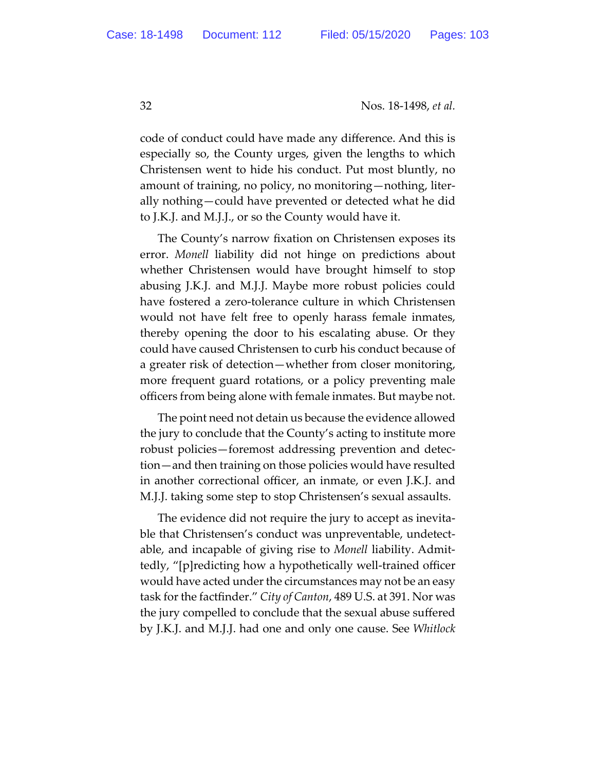code of conduct could have made any difference. And this is especially so, the County urges, given the lengths to which Christensen went to hide his conduct. Put most bluntly, no amount of training, no policy, no monitoring—nothing, literally nothing—could have prevented or detected what he did to J.K.J. and M.J.J., or so the County would have it.

The County's narrow fixation on Christensen exposes its error. *Monell* liability did not hinge on predictions about whether Christensen would have brought himself to stop abusing J.K.J. and M.J.J. Maybe more robust policies could have fostered a zero-tolerance culture in which Christensen would not have felt free to openly harass female inmates, thereby opening the door to his escalating abuse. Or they could have caused Christensen to curb his conduct because of a greater risk of detection—whether from closer monitoring, more frequent guard rotations, or a policy preventing male officers from being alone with female inmates. But maybe not.

The point need not detain us because the evidence allowed the jury to conclude that the County's acting to institute more robust policies—foremost addressing prevention and detection—and then training on those policies would have resulted in another correctional officer, an inmate, or even J.K.J. and M.J.J. taking some step to stop Christensen's sexual assaults.

The evidence did not require the jury to accept as inevitable that Christensen's conduct was unpreventable, undetectable, and incapable of giving rise to *Monell* liability. Admittedly, "[p]redicting how a hypothetically well-trained officer would have acted under the circumstances may not be an easy task for the factfinder." *City of Canton*, 489 U.S. at 391. Nor was the jury compelled to conclude that the sexual abuse suffered by J.K.J. and M.J.J. had one and only one cause. See *Whitlock*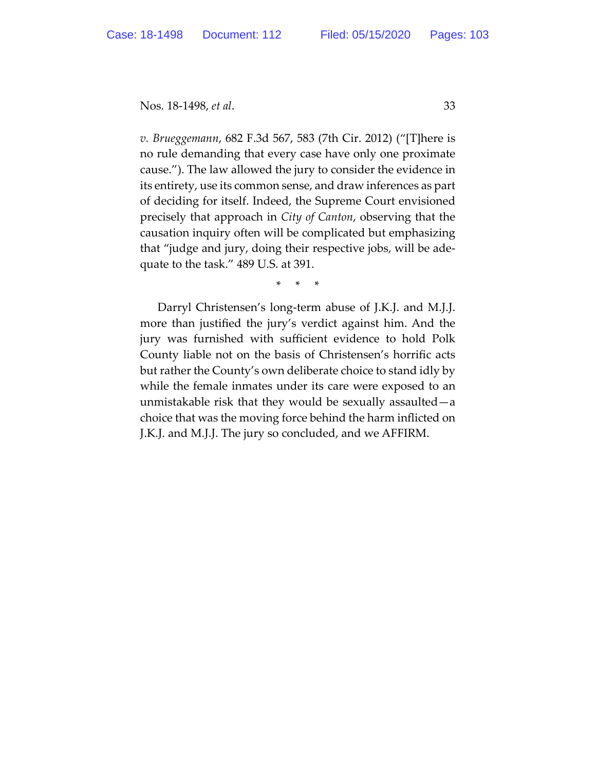*v. Brueggemann*, 682 F.3d 567, 583 (7th Cir. 2012) ("[T]here is no rule demanding that every case have only one proximate cause."). The law allowed the jury to consider the evidence in its entirety, use its common sense, and draw inferences as part of deciding for itself. Indeed, the Supreme Court envisioned precisely that approach in *City of Canton*, observing that the causation inquiry often will be complicated but emphasizing that "judge and jury, doing their respective jobs, will be adequate to the task." 489 U.S. at 391.

\* \* \*

Darryl Christensen's long-term abuse of J.K.J. and M.J.J. more than justified the jury's verdict against him. And the jury was furnished with sufficient evidence to hold Polk County liable not on the basis of Christensen's horrific acts but rather the County's own deliberate choice to stand idly by while the female inmates under its care were exposed to an unmistakable risk that they would be sexually assaulted—a choice that was the moving force behind the harm inflicted on J.K.J. and M.J.J. The jury so concluded, and we AFFIRM.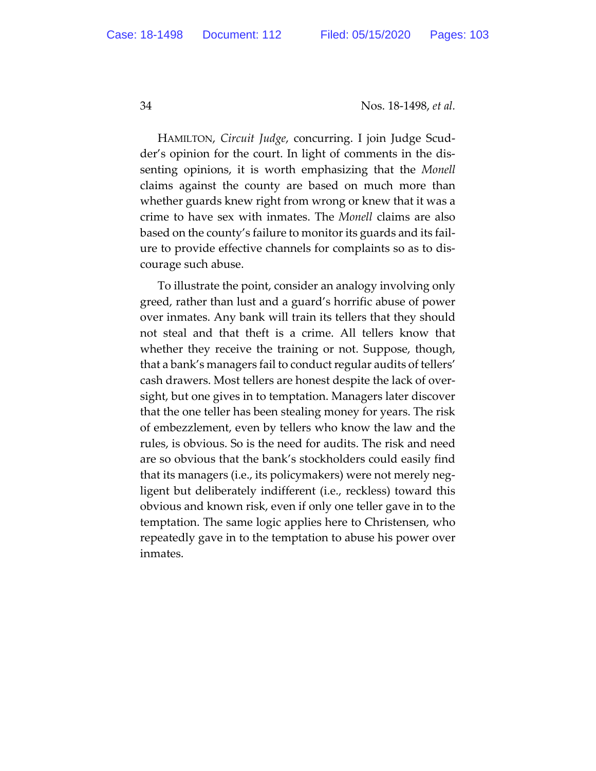HAMILTON, *Circuit Judge*, concurring. I join Judge Scudder's opinion for the court. In light of comments in the dissenting opinions, it is worth emphasizing that the *Monell* claims against the county are based on much more than whether guards knew right from wrong or knew that it was a crime to have sex with inmates. The *Monell* claims are also based on the county's failure to monitor its guards and its failure to provide effective channels for complaints so as to discourage such abuse.

To illustrate the point, consider an analogy involving only greed, rather than lust and a guard's horrific abuse of power over inmates. Any bank will train its tellers that they should not steal and that theft is a crime. All tellers know that whether they receive the training or not. Suppose, though, that a bank's managers fail to conduct regular audits of tellers' cash drawers. Most tellers are honest despite the lack of oversight, but one gives in to temptation. Managers later discover that the one teller has been stealing money for years. The risk of embezzlement, even by tellers who know the law and the rules, is obvious. So is the need for audits. The risk and need are so obvious that the bank's stockholders could easily find that its managers (i.e., its policymakers) were not merely negligent but deliberately indifferent (i.e., reckless) toward this obvious and known risk, even if only one teller gave in to the temptation. The same logic applies here to Christensen, who repeatedly gave in to the temptation to abuse his power over inmates.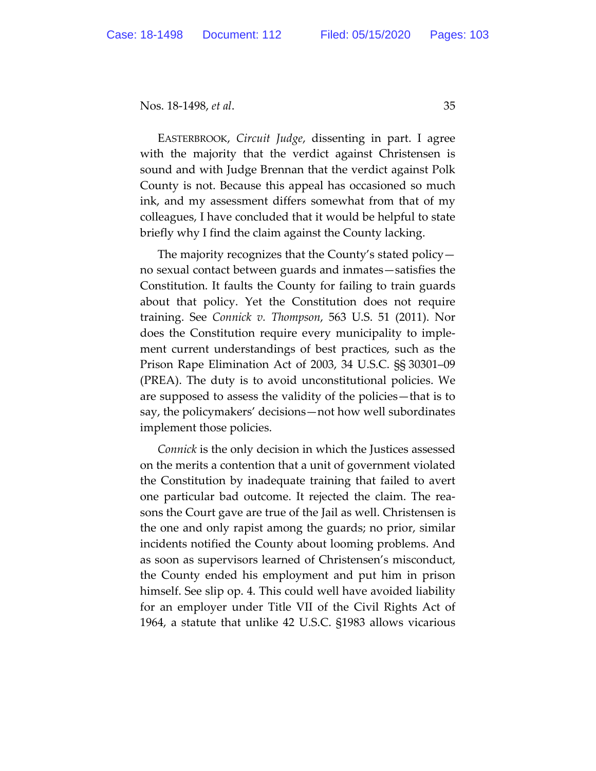EASTERBROOK, *Circuit Judge*, dissenting in part. I agree with the majority that the verdict against Christensen is sound and with Judge Brennan that the verdict against Polk County is not. Because this appeal has occasioned so much ink, and my assessment differs somewhat from that of my colleagues, I have concluded that it would be helpful to state briefly why I find the claim against the County lacking.

The majority recognizes that the County's stated policy no sexual contact between guards and inmates—satisfies the Constitution. It faults the County for failing to train guards about that policy. Yet the Constitution does not require training. See *Connick v. Thompson*, 563 U.S. 51 (2011). Nor does the Constitution require every municipality to implement current understandings of best practices, such as the Prison Rape Elimination Act of 2003, 34 U.S.C. §§ 30301–09 (PREA). The duty is to avoid unconstitutional policies. We are supposed to assess the validity of the policies—that is to say, the policymakers' decisions—not how well subordinates implement those policies.

*Connick* is the only decision in which the Justices assessed on the merits a contention that a unit of government violated the Constitution by inadequate training that failed to avert one particular bad outcome. It rejected the claim. The reasons the Court gave are true of the Jail as well. Christensen is the one and only rapist among the guards; no prior, similar incidents notified the County about looming problems. And as soon as supervisors learned of Christensen's misconduct, the County ended his employment and put him in prison himself. See slip op. 4. This could well have avoided liability for an employer under Title VII of the Civil Rights Act of 1964, a statute that unlike 42 U.S.C. §1983 allows vicarious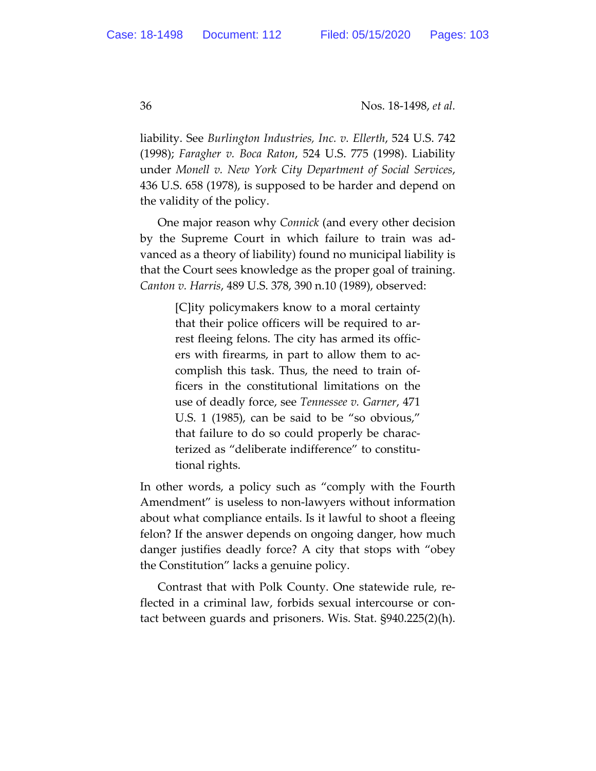liability. See *Burlington Industries, Inc. v. Ellerth*, 524 U.S. 742 (1998); *Faragher v. Boca Raton*, 524 U.S. 775 (1998). Liability under *Monell v. New York City Department of Social Services*, 436 U.S. 658 (1978), is supposed to be harder and depend on the validity of the policy.

One major reason why *Connick* (and every other decision by the Supreme Court in which failure to train was advanced as a theory of liability) found no municipal liability is that the Court sees knowledge as the proper goal of training. *Canton v. Harris*, 489 U.S. 378, 390 n.10 (1989), observed:

> [C]ity policymakers know to a moral certainty that their police officers will be required to arrest fleeing felons. The city has armed its officers with firearms, in part to allow them to accomplish this task. Thus, the need to train officers in the constitutional limitations on the use of deadly force, see *Tennessee v. Garner*, 471 U.S. 1 (1985), can be said to be "so obvious," that failure to do so could properly be characterized as "deliberate indifference" to constitutional rights.

In other words, a policy such as "comply with the Fourth Amendment" is useless to non-lawyers without information about what compliance entails. Is it lawful to shoot a fleeing felon? If the answer depends on ongoing danger, how much danger justifies deadly force? A city that stops with "obey the Constitution" lacks a genuine policy.

Contrast that with Polk County. One statewide rule, reflected in a criminal law, forbids sexual intercourse or contact between guards and prisoners. Wis. Stat. §940.225(2)(h).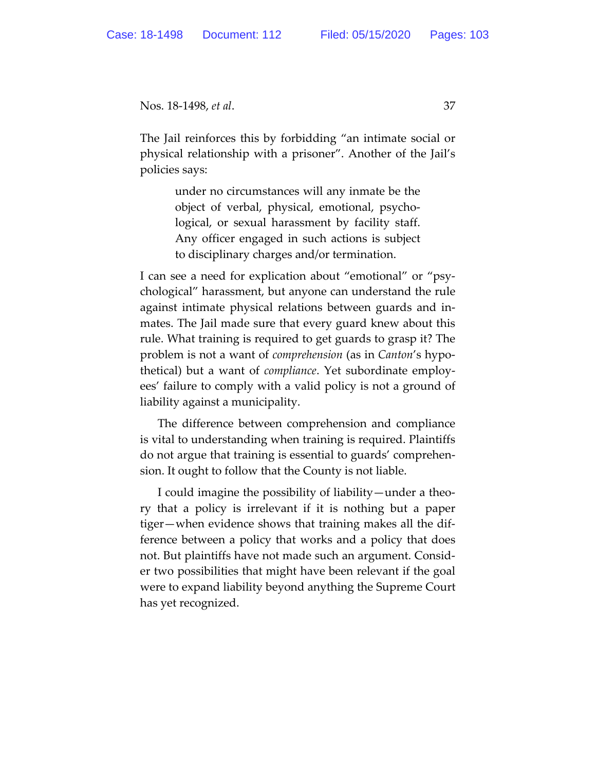The Jail reinforces this by forbidding "an intimate social or physical relationship with a prisoner". Another of the Jail's policies says:

> under no circumstances will any inmate be the object of verbal, physical, emotional, psychological, or sexual harassment by facility staff. Any officer engaged in such actions is subject to disciplinary charges and/or termination.

I can see a need for explication about "emotional" or "psychological" harassment, but anyone can understand the rule against intimate physical relations between guards and inmates. The Jail made sure that every guard knew about this rule. What training is required to get guards to grasp it? The problem is not a want of *comprehension* (as in *Canton*'s hypothetical) but a want of *compliance*. Yet subordinate employees' failure to comply with a valid policy is not a ground of liability against a municipality.

The difference between comprehension and compliance is vital to understanding when training is required. Plaintiffs do not argue that training is essential to guards' comprehension. It ought to follow that the County is not liable.

I could imagine the possibility of liability—under a theory that a policy is irrelevant if it is nothing but a paper tiger—when evidence shows that training makes all the difference between a policy that works and a policy that does not. But plaintiffs have not made such an argument. Consider two possibilities that might have been relevant if the goal were to expand liability beyond anything the Supreme Court has yet recognized.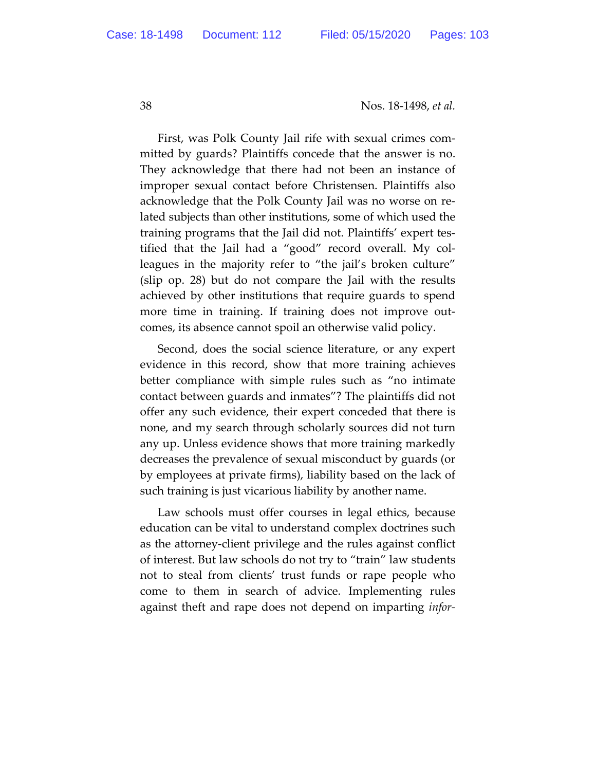First, was Polk County Jail rife with sexual crimes committed by guards? Plaintiffs concede that the answer is no. They acknowledge that there had not been an instance of improper sexual contact before Christensen. Plaintiffs also acknowledge that the Polk County Jail was no worse on related subjects than other institutions, some of which used the training programs that the Jail did not. Plaintiffs' expert testified that the Jail had a "good" record overall. My colleagues in the majority refer to "the jail's broken culture" (slip op. 28) but do not compare the Jail with the results achieved by other institutions that require guards to spend more time in training. If training does not improve outcomes, its absence cannot spoil an otherwise valid policy.

Second, does the social science literature, or any expert evidence in this record, show that more training achieves better compliance with simple rules such as "no intimate contact between guards and inmates"? The plaintiffs did not offer any such evidence, their expert conceded that there is none, and my search through scholarly sources did not turn any up. Unless evidence shows that more training markedly decreases the prevalence of sexual misconduct by guards (or by employees at private firms), liability based on the lack of such training is just vicarious liability by another name.

Law schools must offer courses in legal ethics, because education can be vital to understand complex doctrines such as the attorney-client privilege and the rules against conflict of interest. But law schools do not try to "train" law students not to steal from clients' trust funds or rape people who come to them in search of advice. Implementing rules against theft and rape does not depend on imparting *infor-*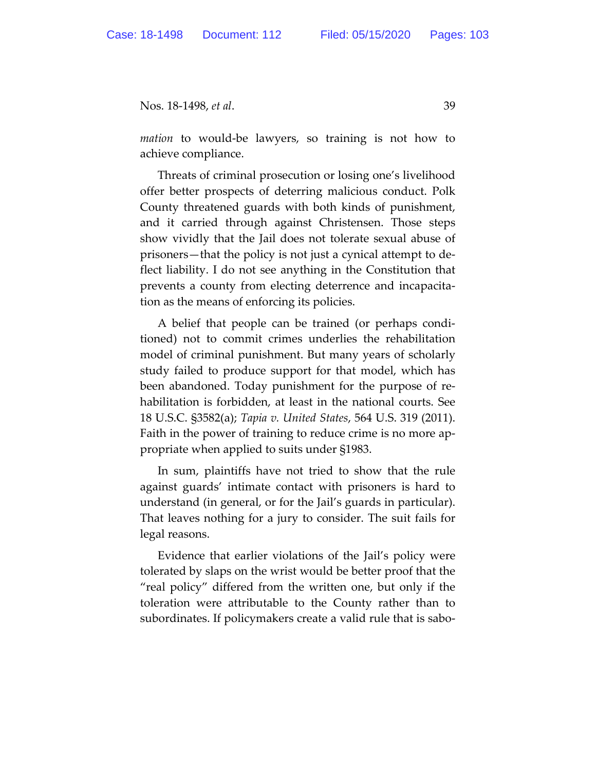*mation* to would-be lawyers, so training is not how to achieve compliance.

Threats of criminal prosecution or losing one's livelihood offer better prospects of deterring malicious conduct. Polk County threatened guards with both kinds of punishment, and it carried through against Christensen. Those steps show vividly that the Jail does not tolerate sexual abuse of prisoners—that the policy is not just a cynical attempt to deflect liability. I do not see anything in the Constitution that prevents a county from electing deterrence and incapacitation as the means of enforcing its policies.

A belief that people can be trained (or perhaps conditioned) not to commit crimes underlies the rehabilitation model of criminal punishment. But many years of scholarly study failed to produce support for that model, which has been abandoned. Today punishment for the purpose of rehabilitation is forbidden, at least in the national courts. See 18 U.S.C. §3582(a); *Tapia v. United States*, 564 U.S. 319 (2011). Faith in the power of training to reduce crime is no more appropriate when applied to suits under §1983.

In sum, plaintiffs have not tried to show that the rule against guards' intimate contact with prisoners is hard to understand (in general, or for the Jail's guards in particular). That leaves nothing for a jury to consider. The suit fails for legal reasons.

Evidence that earlier violations of the Jail's policy were tolerated by slaps on the wrist would be better proof that the "real policy" differed from the written one, but only if the toleration were attributable to the County rather than to subordinates. If policymakers create a valid rule that is sabo-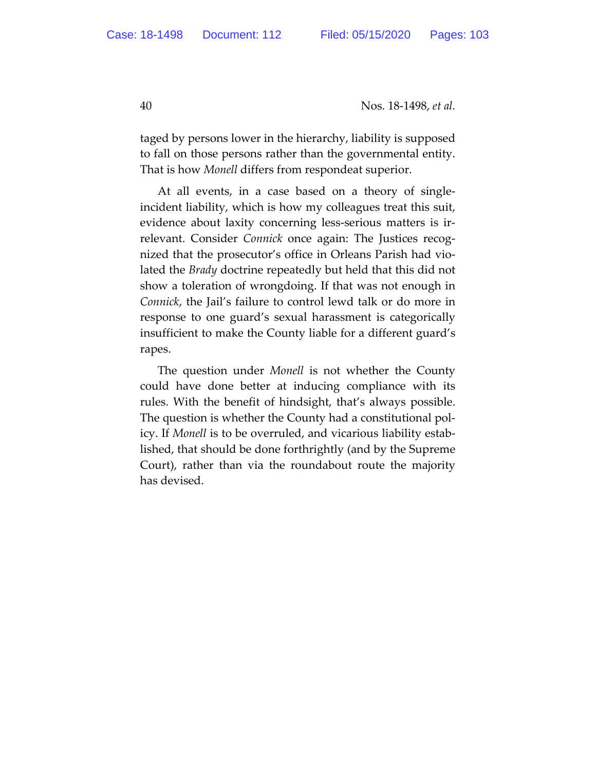taged by persons lower in the hierarchy, liability is supposed to fall on those persons rather than the governmental entity. That is how *Monell* differs from respondeat superior.

At all events, in a case based on a theory of singleincident liability, which is how my colleagues treat this suit, evidence about laxity concerning less-serious matters is irrelevant. Consider *Connick* once again: The Justices recognized that the prosecutor's office in Orleans Parish had violated the *Brady* doctrine repeatedly but held that this did not show a toleration of wrongdoing. If that was not enough in *Connick*, the Jail's failure to control lewd talk or do more in response to one guard's sexual harassment is categorically insufficient to make the County liable for a different guard's rapes.

The question under *Monell* is not whether the County could have done better at inducing compliance with its rules. With the benefit of hindsight, that's always possible. The question is whether the County had a constitutional policy. If *Monell* is to be overruled, and vicarious liability established, that should be done forthrightly (and by the Supreme Court), rather than via the roundabout route the majority has devised.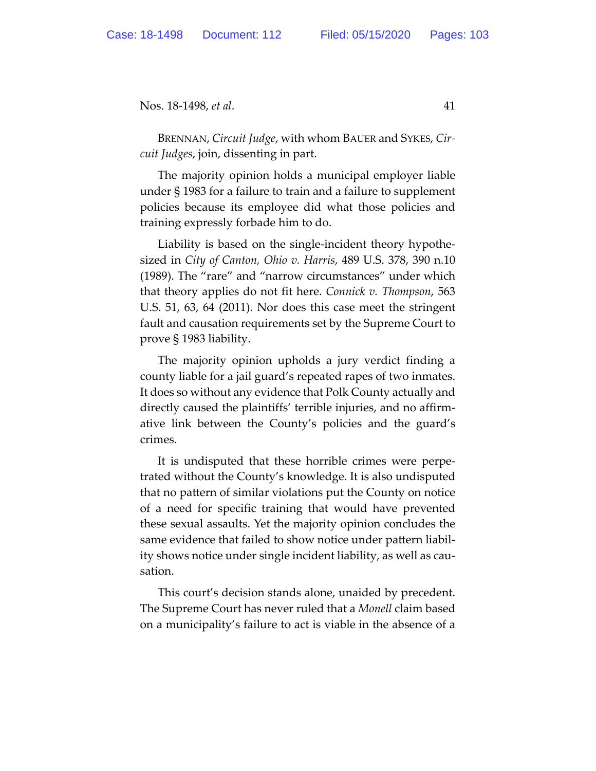BRENNAN, *Circuit Judge*, with whom BAUER and SYKES, *Circuit Judges*, join, dissenting in part.

The majority opinion holds a municipal employer liable under § 1983 for a failure to train and a failure to supplement policies because its employee did what those policies and training expressly forbade him to do.

Liability is based on the single-incident theory hypothesized in *City of Canton, Ohio v. Harris*, 489 U.S. 378, 390 n.10 (1989). The "rare" and "narrow circumstances" under which that theory applies do not fit here. *Connick v. Thompson*, 563 U.S. 51, 63, 64 (2011). Nor does this case meet the stringent fault and causation requirements set by the Supreme Court to prove § 1983 liability.

The majority opinion upholds a jury verdict finding a county liable for a jail guard's repeated rapes of two inmates. It does so without any evidence that Polk County actually and directly caused the plaintiffs' terrible injuries, and no affirmative link between the County's policies and the guard's crimes.

It is undisputed that these horrible crimes were perpetrated without the County's knowledge. It is also undisputed that no pattern of similar violations put the County on notice of a need for specific training that would have prevented these sexual assaults. Yet the majority opinion concludes the same evidence that failed to show notice under pattern liability shows notice under single incident liability, as well as causation.

This court's decision stands alone, unaided by precedent. The Supreme Court has never ruled that a *Monell* claim based on a municipality's failure to act is viable in the absence of a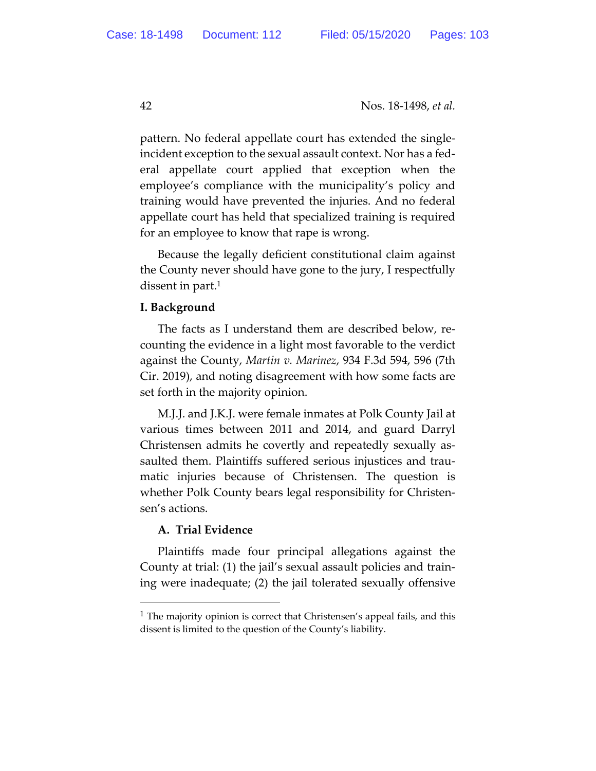pattern. No federal appellate court has extended the singleincident exception to the sexual assault context. Nor has a federal appellate court applied that exception when the employee's compliance with the municipality's policy and training would have prevented the injuries. And no federal appellate court has held that specialized training is required for an employee to know that rape is wrong.

Because the legally deficient constitutional claim against the County never should have gone to the jury, I respectfully dissent in part.<sup>1</sup>

## **I. Background**

The facts as I understand them are described below, recounting the evidence in a light most favorable to the verdict against the County, *Martin v. Marinez*, 934 F.3d 594, 596 (7th Cir. 2019), and noting disagreement with how some facts are set forth in the majority opinion.

M.J.J. and J.K.J. were female inmates at Polk County Jail at various times between 2011 and 2014, and guard Darryl Christensen admits he covertly and repeatedly sexually assaulted them. Plaintiffs suffered serious injustices and traumatic injuries because of Christensen. The question is whether Polk County bears legal responsibility for Christensen's actions.

# **A. Trial Evidence**

Plaintiffs made four principal allegations against the County at trial: (1) the jail's sexual assault policies and training were inadequate; (2) the jail tolerated sexually offensive

<sup>&</sup>lt;sup>1</sup> The majority opinion is correct that Christensen's appeal fails, and this dissent is limited to the question of the County's liability.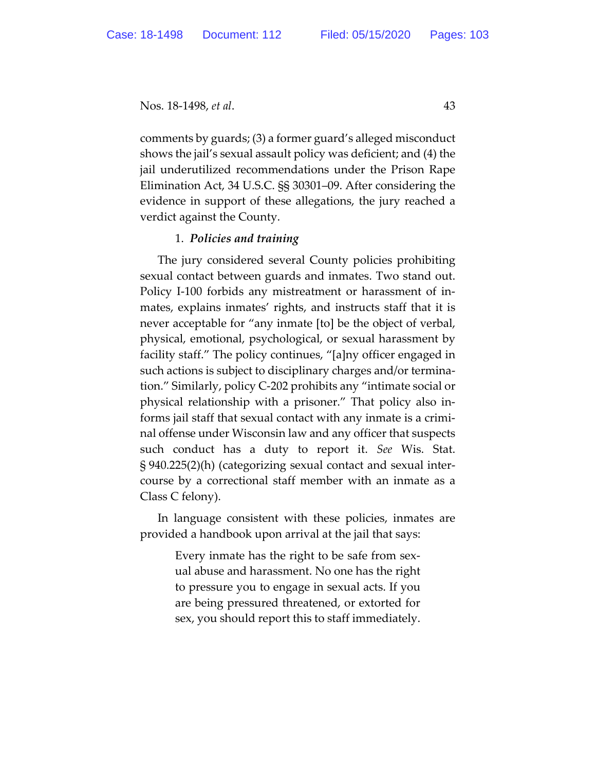comments by guards; (3) a former guard's alleged misconduct shows the jail's sexual assault policy was deficient; and (4) the jail underutilized recommendations under the Prison Rape Elimination Act, 34 U.S.C. §§ 30301–09. After considering the evidence in support of these allegations, the jury reached a verdict against the County.

## 1. *Policies and training*

The jury considered several County policies prohibiting sexual contact between guards and inmates. Two stand out. Policy I-100 forbids any mistreatment or harassment of inmates, explains inmates' rights, and instructs staff that it is never acceptable for "any inmate [to] be the object of verbal, physical, emotional, psychological, or sexual harassment by facility staff." The policy continues, "[a]ny officer engaged in such actions is subject to disciplinary charges and/or termination." Similarly, policy C-202 prohibits any "intimate social or physical relationship with a prisoner." That policy also informs jail staff that sexual contact with any inmate is a criminal offense under Wisconsin law and any officer that suspects such conduct has a duty to report it. *See* Wis. Stat. § 940.225(2)(h) (categorizing sexual contact and sexual intercourse by a correctional staff member with an inmate as a Class C felony).

In language consistent with these policies, inmates are provided a handbook upon arrival at the jail that says:

> Every inmate has the right to be safe from sexual abuse and harassment. No one has the right to pressure you to engage in sexual acts. If you are being pressured threatened, or extorted for sex, you should report this to staff immediately.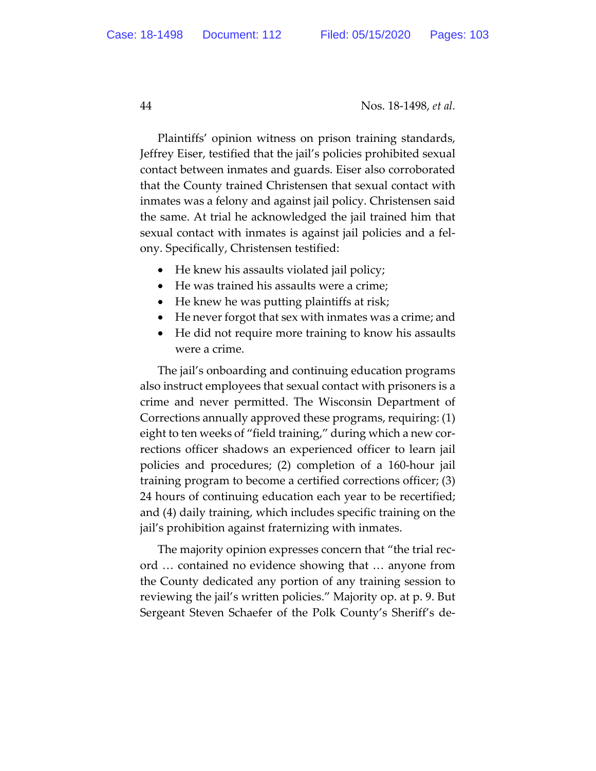Plaintiffs' opinion witness on prison training standards, Jeffrey Eiser, testified that the jail's policies prohibited sexual contact between inmates and guards. Eiser also corroborated that the County trained Christensen that sexual contact with inmates was a felony and against jail policy. Christensen said the same. At trial he acknowledged the jail trained him that sexual contact with inmates is against jail policies and a felony. Specifically, Christensen testified:

- He knew his assaults violated jail policy;
- He was trained his assaults were a crime;
- He knew he was putting plaintiffs at risk;
- He never forgot that sex with inmates was a crime; and
- He did not require more training to know his assaults were a crime.

The jail's onboarding and continuing education programs also instruct employees that sexual contact with prisoners is a crime and never permitted. The Wisconsin Department of Corrections annually approved these programs, requiring: (1) eight to ten weeks of "field training," during which a new corrections officer shadows an experienced officer to learn jail policies and procedures; (2) completion of a 160-hour jail training program to become a certified corrections officer; (3) 24 hours of continuing education each year to be recertified; and (4) daily training, which includes specific training on the jail's prohibition against fraternizing with inmates.

The majority opinion expresses concern that "the trial record … contained no evidence showing that … anyone from the County dedicated any portion of any training session to reviewing the jail's written policies." Majority op. at p. 9. But Sergeant Steven Schaefer of the Polk County's Sheriff's de-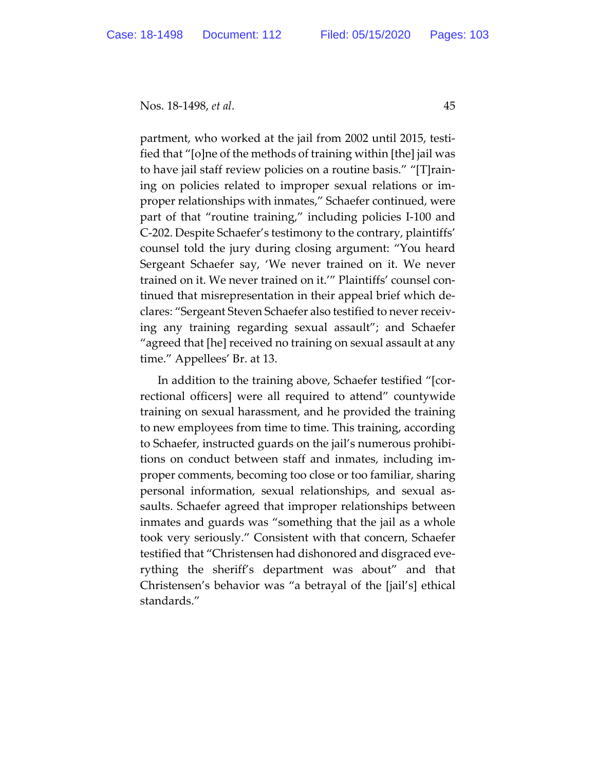partment, who worked at the jail from 2002 until 2015, testified that "[o]ne of the methods of training within [the] jail was to have jail staff review policies on a routine basis." "[T]raining on policies related to improper sexual relations or improper relationships with inmates," Schaefer continued, were part of that "routine training," including policies I-100 and C-202. Despite Schaefer's testimony to the contrary, plaintiffs' counsel told the jury during closing argument: "You heard Sergeant Schaefer say, 'We never trained on it. We never trained on it. We never trained on it.'" Plaintiffs' counsel continued that misrepresentation in their appeal brief which declares: "Sergeant Steven Schaefer also testified to never receiving any training regarding sexual assault"; and Schaefer "agreed that [he] received no training on sexual assault at any time." Appellees' Br. at 13.

In addition to the training above, Schaefer testified "[correctional officers] were all required to attend" countywide training on sexual harassment, and he provided the training to new employees from time to time. This training, according to Schaefer, instructed guards on the jail's numerous prohibitions on conduct between staff and inmates, including improper comments, becoming too close or too familiar, sharing personal information, sexual relationships, and sexual assaults. Schaefer agreed that improper relationships between inmates and guards was "something that the jail as a whole took very seriously." Consistent with that concern, Schaefer testified that "Christensen had dishonored and disgraced everything the sheriff's department was about" and that Christensen's behavior was "a betrayal of the [jail's] ethical standards."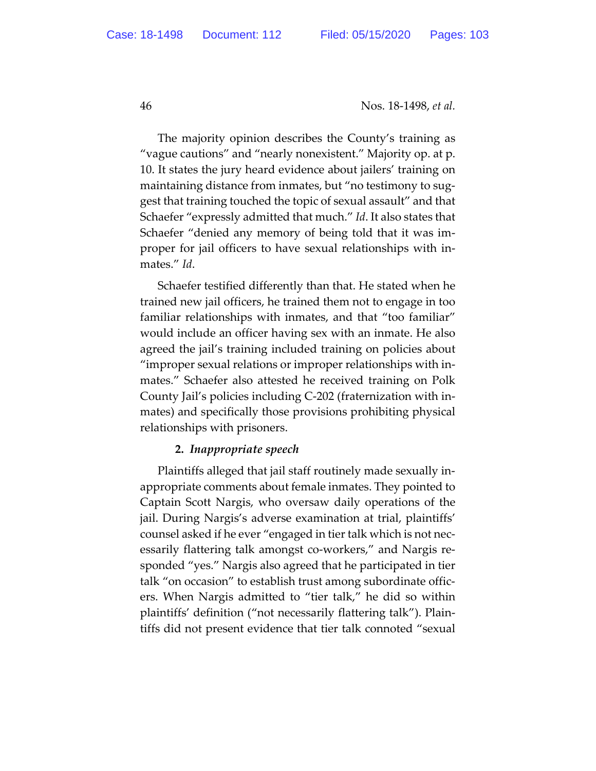The majority opinion describes the County's training as "vague cautions" and "nearly nonexistent." Majority op. at p. 10. It states the jury heard evidence about jailers' training on maintaining distance from inmates, but "no testimony to suggest that training touched the topic of sexual assault" and that Schaefer "expressly admitted that much." *Id*. It also states that Schaefer "denied any memory of being told that it was improper for jail officers to have sexual relationships with inmates." *Id*.

Schaefer testified differently than that. He stated when he trained new jail officers, he trained them not to engage in too familiar relationships with inmates, and that "too familiar" would include an officer having sex with an inmate. He also agreed the jail's training included training on policies about "improper sexual relations or improper relationships with inmates." Schaefer also attested he received training on Polk County Jail's policies including C-202 (fraternization with inmates) and specifically those provisions prohibiting physical relationships with prisoners.

# **2.** *Inappropriate speech*

Plaintiffs alleged that jail staff routinely made sexually inappropriate comments about female inmates. They pointed to Captain Scott Nargis, who oversaw daily operations of the jail. During Nargis's adverse examination at trial, plaintiffs' counsel asked if he ever "engaged in tier talk which is not necessarily flattering talk amongst co-workers," and Nargis responded "yes." Nargis also agreed that he participated in tier talk "on occasion" to establish trust among subordinate officers. When Nargis admitted to "tier talk," he did so within plaintiffs' definition ("not necessarily flattering talk"). Plaintiffs did not present evidence that tier talk connoted "sexual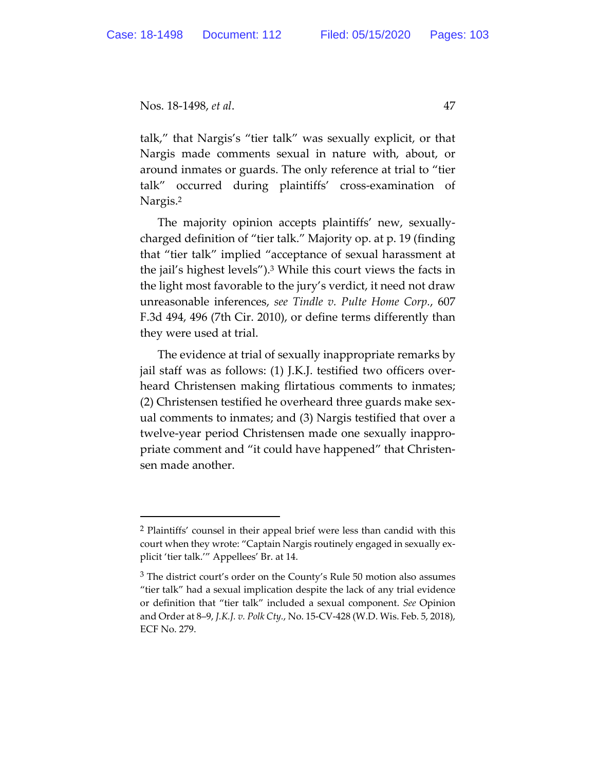talk," that Nargis's "tier talk" was sexually explicit, or that Nargis made comments sexual in nature with, about, or around inmates or guards. The only reference at trial to "tier talk" occurred during plaintiffs' cross-examination of Nargis.2

The majority opinion accepts plaintiffs' new, sexuallycharged definition of "tier talk." Majority op. at p. 19 (finding that "tier talk" implied "acceptance of sexual harassment at the jail's highest levels").3 While this court views the facts in the light most favorable to the jury's verdict, it need not draw unreasonable inferences, *see Tindle v. Pulte Home Corp.*, 607 F.3d 494, 496 (7th Cir. 2010), or define terms differently than they were used at trial.

The evidence at trial of sexually inappropriate remarks by jail staff was as follows: (1) J.K.J. testified two officers overheard Christensen making flirtatious comments to inmates; (2) Christensen testified he overheard three guards make sexual comments to inmates; and (3) Nargis testified that over a twelve-year period Christensen made one sexually inappropriate comment and "it could have happened" that Christensen made another.

<sup>2</sup> Plaintiffs' counsel in their appeal brief were less than candid with this court when they wrote: "Captain Nargis routinely engaged in sexually explicit 'tier talk.'" Appellees' Br. at 14.

<sup>&</sup>lt;sup>3</sup> The district court's order on the County's Rule 50 motion also assumes "tier talk" had a sexual implication despite the lack of any trial evidence or definition that "tier talk" included a sexual component. *See* Opinion and Order at 8–9, *J.K.J. v. Polk Cty.*, No. 15-CV-428 (W.D. Wis. Feb. 5, 2018), ECF No. 279.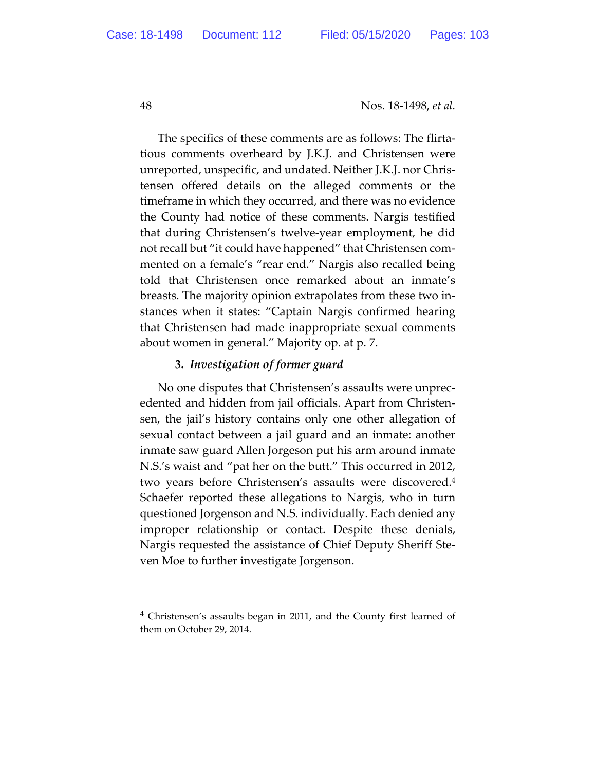The specifics of these comments are as follows: The flirtatious comments overheard by J.K.J. and Christensen were unreported, unspecific, and undated. Neither J.K.J. nor Christensen offered details on the alleged comments or the timeframe in which they occurred, and there was no evidence the County had notice of these comments. Nargis testified that during Christensen's twelve-year employment, he did not recall but "it could have happened" that Christensen commented on a female's "rear end." Nargis also recalled being told that Christensen once remarked about an inmate's breasts. The majority opinion extrapolates from these two instances when it states: "Captain Nargis confirmed hearing that Christensen had made inappropriate sexual comments about women in general." Majority op. at p. 7.

## **3.** *Investigation of former guard*

No one disputes that Christensen's assaults were unprecedented and hidden from jail officials. Apart from Christensen, the jail's history contains only one other allegation of sexual contact between a jail guard and an inmate: another inmate saw guard Allen Jorgeson put his arm around inmate N.S.'s waist and "pat her on the butt." This occurred in 2012, two years before Christensen's assaults were discovered.4 Schaefer reported these allegations to Nargis, who in turn questioned Jorgenson and N.S. individually. Each denied any improper relationship or contact. Despite these denials, Nargis requested the assistance of Chief Deputy Sheriff Steven Moe to further investigate Jorgenson.

<sup>&</sup>lt;sup>4</sup> Christensen's assaults began in 2011, and the County first learned of them on October 29, 2014.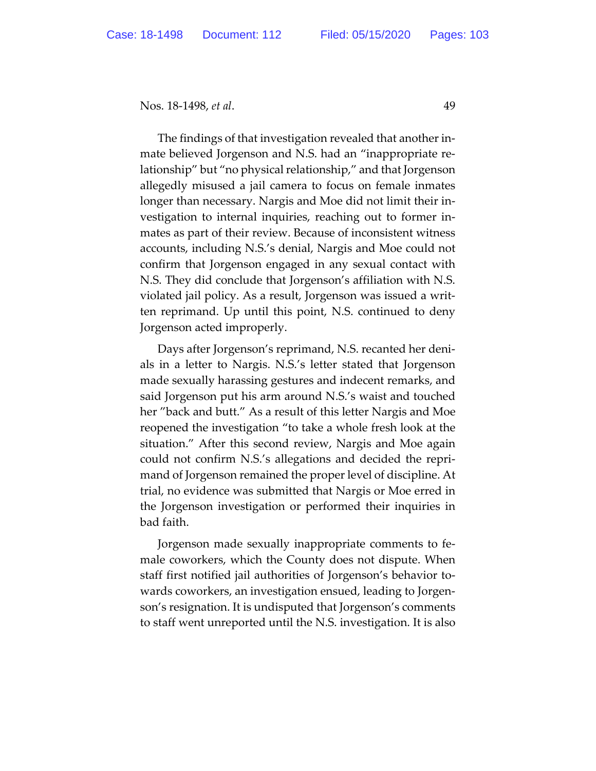The findings of that investigation revealed that another inmate believed Jorgenson and N.S. had an "inappropriate relationship" but "no physical relationship," and that Jorgenson allegedly misused a jail camera to focus on female inmates longer than necessary. Nargis and Moe did not limit their investigation to internal inquiries, reaching out to former inmates as part of their review. Because of inconsistent witness accounts, including N.S.'s denial, Nargis and Moe could not confirm that Jorgenson engaged in any sexual contact with N.S. They did conclude that Jorgenson's affiliation with N.S. violated jail policy. As a result, Jorgenson was issued a written reprimand. Up until this point, N.S. continued to deny Jorgenson acted improperly.

Days after Jorgenson's reprimand, N.S. recanted her denials in a letter to Nargis. N.S.'s letter stated that Jorgenson made sexually harassing gestures and indecent remarks, and said Jorgenson put his arm around N.S.'s waist and touched her "back and butt." As a result of this letter Nargis and Moe reopened the investigation "to take a whole fresh look at the situation." After this second review, Nargis and Moe again could not confirm N.S.'s allegations and decided the reprimand of Jorgenson remained the proper level of discipline. At trial, no evidence was submitted that Nargis or Moe erred in the Jorgenson investigation or performed their inquiries in bad faith.

Jorgenson made sexually inappropriate comments to female coworkers, which the County does not dispute. When staff first notified jail authorities of Jorgenson's behavior towards coworkers, an investigation ensued, leading to Jorgenson's resignation. It is undisputed that Jorgenson's comments to staff went unreported until the N.S. investigation. It is also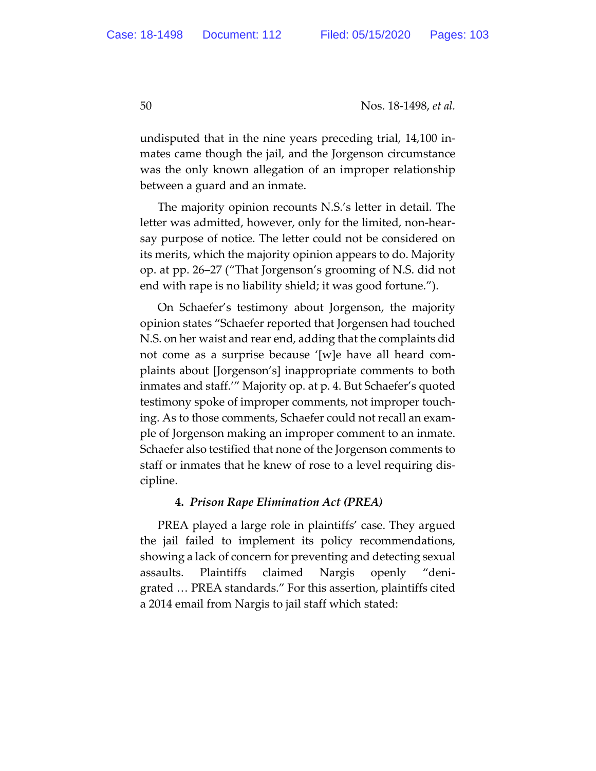undisputed that in the nine years preceding trial, 14,100 inmates came though the jail, and the Jorgenson circumstance was the only known allegation of an improper relationship between a guard and an inmate.

The majority opinion recounts N.S.'s letter in detail. The letter was admitted, however, only for the limited, non-hearsay purpose of notice. The letter could not be considered on its merits, which the majority opinion appears to do. Majority op. at pp. 26–27 ("That Jorgenson's grooming of N.S. did not end with rape is no liability shield; it was good fortune.").

On Schaefer's testimony about Jorgenson, the majority opinion states "Schaefer reported that Jorgensen had touched N.S. on her waist and rear end, adding that the complaints did not come as a surprise because '[w]e have all heard complaints about [Jorgenson's] inappropriate comments to both inmates and staff.'" Majority op. at p. 4. But Schaefer's quoted testimony spoke of improper comments, not improper touching. As to those comments, Schaefer could not recall an example of Jorgenson making an improper comment to an inmate. Schaefer also testified that none of the Jorgenson comments to staff or inmates that he knew of rose to a level requiring discipline.

## **4.** *Prison Rape Elimination Act (PREA)*

PREA played a large role in plaintiffs' case. They argued the jail failed to implement its policy recommendations, showing a lack of concern for preventing and detecting sexual assaults. Plaintiffs claimed Nargis openly "denigrated … PREA standards." For this assertion, plaintiffs cited a 2014 email from Nargis to jail staff which stated: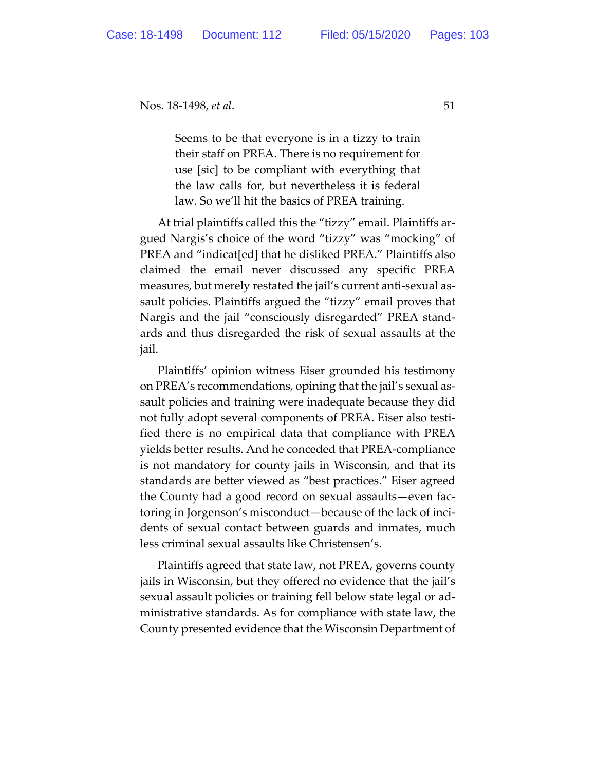Seems to be that everyone is in a tizzy to train their staff on PREA. There is no requirement for use [sic] to be compliant with everything that the law calls for, but nevertheless it is federal law. So we'll hit the basics of PREA training.

At trial plaintiffs called this the "tizzy" email. Plaintiffs argued Nargis's choice of the word "tizzy" was "mocking" of PREA and "indicat[ed] that he disliked PREA." Plaintiffs also claimed the email never discussed any specific PREA measures, but merely restated the jail's current anti-sexual assault policies. Plaintiffs argued the "tizzy" email proves that Nargis and the jail "consciously disregarded" PREA standards and thus disregarded the risk of sexual assaults at the jail.

Plaintiffs' opinion witness Eiser grounded his testimony on PREA's recommendations, opining that the jail's sexual assault policies and training were inadequate because they did not fully adopt several components of PREA. Eiser also testified there is no empirical data that compliance with PREA yields better results. And he conceded that PREA-compliance is not mandatory for county jails in Wisconsin, and that its standards are better viewed as "best practices." Eiser agreed the County had a good record on sexual assaults—even factoring in Jorgenson's misconduct—because of the lack of incidents of sexual contact between guards and inmates, much less criminal sexual assaults like Christensen's.

Plaintiffs agreed that state law, not PREA, governs county jails in Wisconsin, but they offered no evidence that the jail's sexual assault policies or training fell below state legal or administrative standards. As for compliance with state law, the County presented evidence that the Wisconsin Department of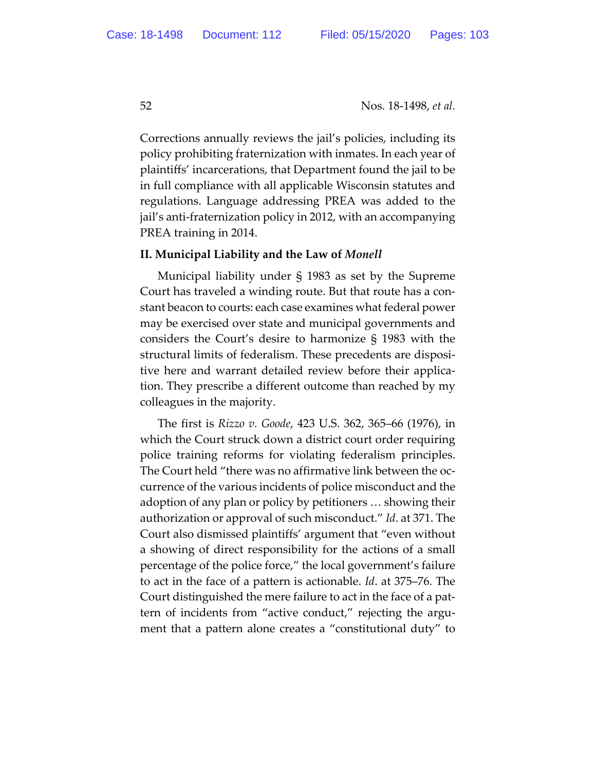Corrections annually reviews the jail's policies, including its policy prohibiting fraternization with inmates. In each year of plaintiffs' incarcerations, that Department found the jail to be in full compliance with all applicable Wisconsin statutes and regulations. Language addressing PREA was added to the jail's anti-fraternization policy in 2012, with an accompanying PREA training in 2014.

#### **II. Municipal Liability and the Law of** *Monell*

Municipal liability under § 1983 as set by the Supreme Court has traveled a winding route. But that route has a constant beacon to courts: each case examines what federal power may be exercised over state and municipal governments and considers the Court's desire to harmonize § 1983 with the structural limits of federalism. These precedents are dispositive here and warrant detailed review before their application. They prescribe a different outcome than reached by my colleagues in the majority.

The first is *Rizzo v. Goode*, 423 U.S. 362, 365–66 (1976), in which the Court struck down a district court order requiring police training reforms for violating federalism principles. The Court held "there was no affirmative link between the occurrence of the various incidents of police misconduct and the adoption of any plan or policy by petitioners … showing their authorization or approval of such misconduct." *Id*. at 371. The Court also dismissed plaintiffs' argument that "even without a showing of direct responsibility for the actions of a small percentage of the police force," the local government's failure to act in the face of a pattern is actionable. *Id*. at 375–76. The Court distinguished the mere failure to act in the face of a pattern of incidents from "active conduct," rejecting the argument that a pattern alone creates a "constitutional duty" to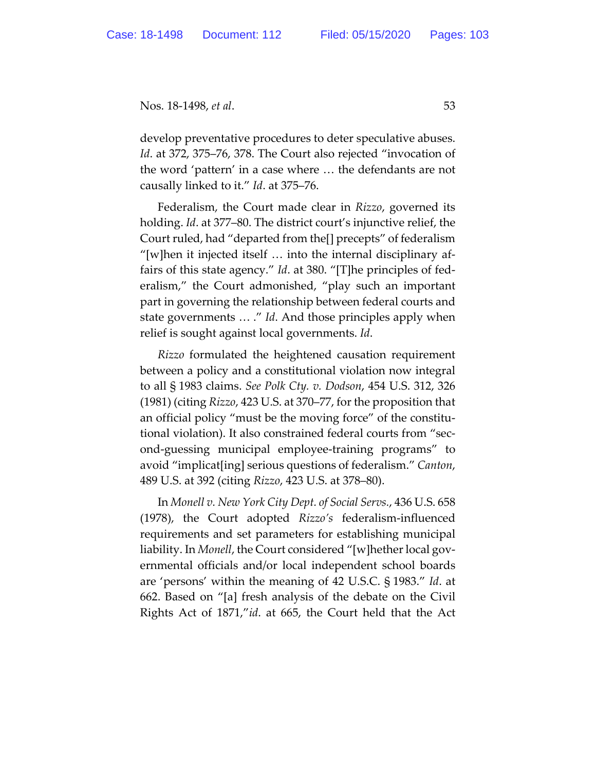develop preventative procedures to deter speculative abuses. *Id*. at 372, 375–76, 378. The Court also rejected "invocation of the word 'pattern' in a case where … the defendants are not causally linked to it." *Id*. at 375–76.

Federalism, the Court made clear in *Rizzo*, governed its holding. *Id*. at 377–80. The district court's injunctive relief, the Court ruled, had "departed from the[] precepts" of federalism "[w]hen it injected itself … into the internal disciplinary affairs of this state agency." *Id*. at 380. "[T]he principles of federalism," the Court admonished, "play such an important part in governing the relationship between federal courts and state governments … ." *Id*. And those principles apply when relief is sought against local governments. *Id*.

*Rizzo* formulated the heightened causation requirement between a policy and a constitutional violation now integral to all § 1983 claims. *See Polk Cty. v. Dodson*, 454 U.S. 312, 326 (1981) (citing *Rizzo*, 423 U.S. at 370–77, for the proposition that an official policy "must be the moving force" of the constitutional violation). It also constrained federal courts from "second-guessing municipal employee-training programs" to avoid "implicat[ing] serious questions of federalism." *Canton*, 489 U.S. at 392 (citing *Rizzo*, 423 U.S. at 378–80).

In *Monell v. New York City Dept. of Social Servs.*, 436 U.S. 658 (1978), the Court adopted *Rizzo's* federalism-influenced requirements and set parameters for establishing municipal liability. In *Monell*, the Court considered "[w]hether local governmental officials and/or local independent school boards are 'persons' within the meaning of 42 U.S.C. § 1983." *Id*. at 662. Based on "[a] fresh analysis of the debate on the Civil Rights Act of 1871,"*id*. at 665, the Court held that the Act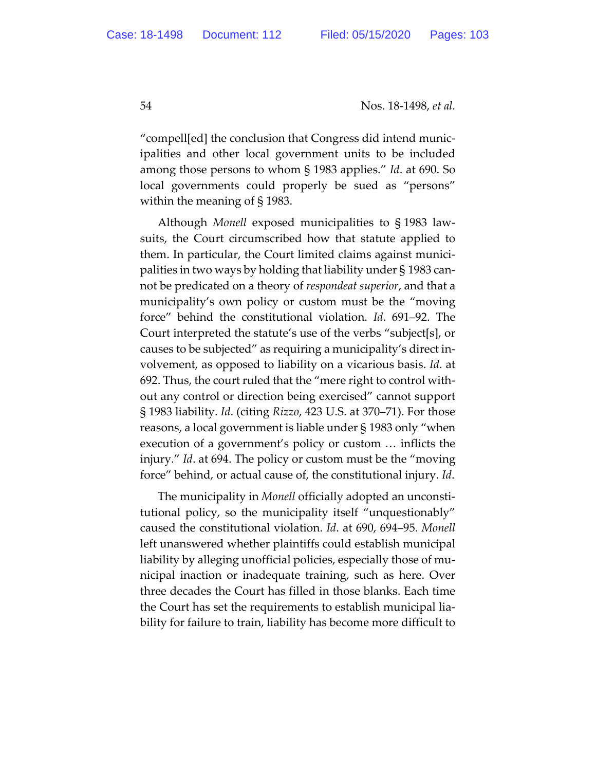"compell[ed] the conclusion that Congress did intend municipalities and other local government units to be included among those persons to whom § 1983 applies." *Id*. at 690. So local governments could properly be sued as "persons" within the meaning of § 1983.

Although *Monell* exposed municipalities to § 1983 lawsuits, the Court circumscribed how that statute applied to them. In particular, the Court limited claims against municipalities in two ways by holding that liability under § 1983 cannot be predicated on a theory of *respondeat superior*, and that a municipality's own policy or custom must be the "moving force" behind the constitutional violation. *Id*. 691–92. The Court interpreted the statute's use of the verbs "subject[s], or causes to be subjected" as requiring a municipality's direct involvement, as opposed to liability on a vicarious basis. *Id*. at 692. Thus, the court ruled that the "mere right to control without any control or direction being exercised" cannot support § 1983 liability. *Id*. (citing *Rizzo*, 423 U.S. at 370–71). For those reasons, a local government is liable under § 1983 only "when execution of a government's policy or custom … inflicts the injury." *Id*. at 694. The policy or custom must be the "moving force" behind, or actual cause of, the constitutional injury. *Id*.

The municipality in *Monell* officially adopted an unconstitutional policy, so the municipality itself "unquestionably" caused the constitutional violation. *Id*. at 690, 694–95. *Monell* left unanswered whether plaintiffs could establish municipal liability by alleging unofficial policies, especially those of municipal inaction or inadequate training, such as here. Over three decades the Court has filled in those blanks. Each time the Court has set the requirements to establish municipal liability for failure to train, liability has become more difficult to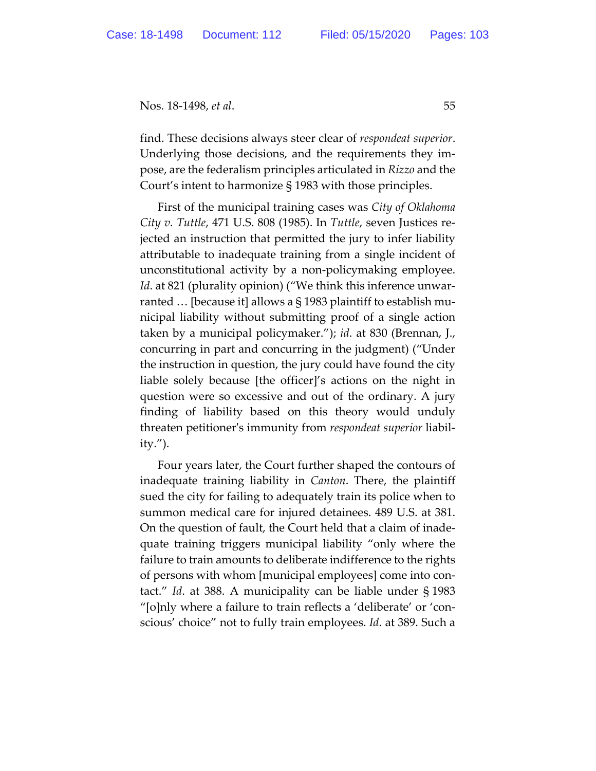find. These decisions always steer clear of *respondeat superior*. Underlying those decisions, and the requirements they impose, are the federalism principles articulated in *Rizzo* and the Court's intent to harmonize § 1983 with those principles.

First of the municipal training cases was *City of Oklahoma City v. Tuttle*, 471 U.S. 808 (1985). In *Tuttle*, seven Justices rejected an instruction that permitted the jury to infer liability attributable to inadequate training from a single incident of unconstitutional activity by a non-policymaking employee. *Id*. at 821 (plurality opinion) ("We think this inference unwarranted  $\ldots$  [because it] allows a § 1983 plaintiff to establish municipal liability without submitting proof of a single action taken by a municipal policymaker."); *id*. at 830 (Brennan, J., concurring in part and concurring in the judgment) ("Under the instruction in question, the jury could have found the city liable solely because [the officer]'s actions on the night in question were so excessive and out of the ordinary. A jury finding of liability based on this theory would unduly threaten petitioner's immunity from *respondeat superior* liability.").

Four years later, the Court further shaped the contours of inadequate training liability in *Canton*. There, the plaintiff sued the city for failing to adequately train its police when to summon medical care for injured detainees. 489 U.S. at 381. On the question of fault, the Court held that a claim of inadequate training triggers municipal liability "only where the failure to train amounts to deliberate indifference to the rights of persons with whom [municipal employees] come into contact." *Id*. at 388. A municipality can be liable under § 1983 "[o]nly where a failure to train reflects a 'deliberate' or 'conscious' choice" not to fully train employees. *Id*. at 389. Such a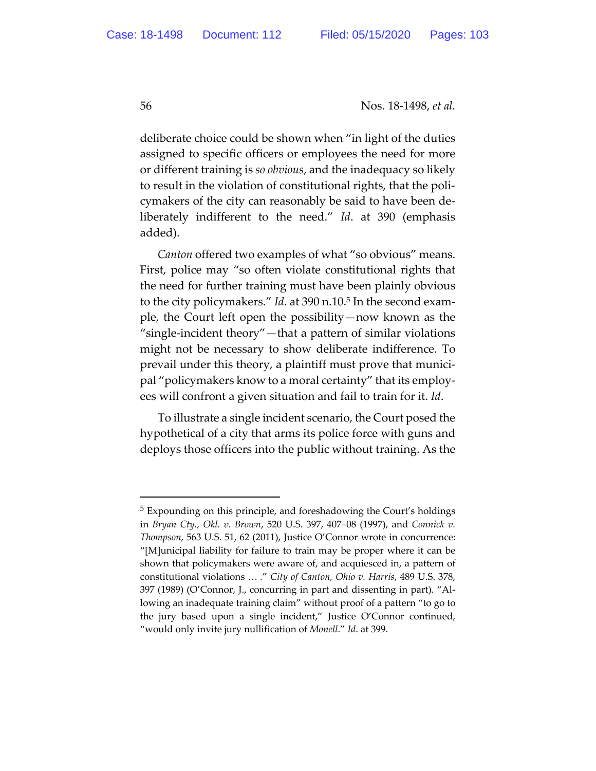deliberate choice could be shown when "in light of the duties assigned to specific officers or employees the need for more or different training is *so obvious*, and the inadequacy so likely to result in the violation of constitutional rights, that the policymakers of the city can reasonably be said to have been deliberately indifferent to the need." *Id*. at 390 (emphasis added).

*Canton* offered two examples of what "so obvious" means. First, police may "so often violate constitutional rights that the need for further training must have been plainly obvious to the city policymakers." *Id*. at 390 n.10.5 In the second example, the Court left open the possibility—now known as the "single-incident theory"—that a pattern of similar violations might not be necessary to show deliberate indifference. To prevail under this theory, a plaintiff must prove that municipal "policymakers know to a moral certainty" that its employees will confront a given situation and fail to train for it. *Id*.

To illustrate a single incident scenario, the Court posed the hypothetical of a city that arms its police force with guns and deploys those officers into the public without training. As the

<sup>5</sup> Expounding on this principle, and foreshadowing the Court's holdings in *Bryan Cty., Okl. v. Brown*, 520 U.S. 397, 407–08 (1997), and *Connick v. Thompson*, 563 U.S. 51, 62 (2011), Justice O'Connor wrote in concurrence: "[M]unicipal liability for failure to train may be proper where it can be shown that policymakers were aware of, and acquiesced in, a pattern of constitutional violations … ." *City of Canton, Ohio v. Harris*, 489 U.S. 378, 397 (1989) (O'Connor, J., concurring in part and dissenting in part). "Allowing an inadequate training claim" without proof of a pattern "to go to the jury based upon a single incident," Justice O'Connor continued, "would only invite jury nullification of *Monell*." *Id*. at 399.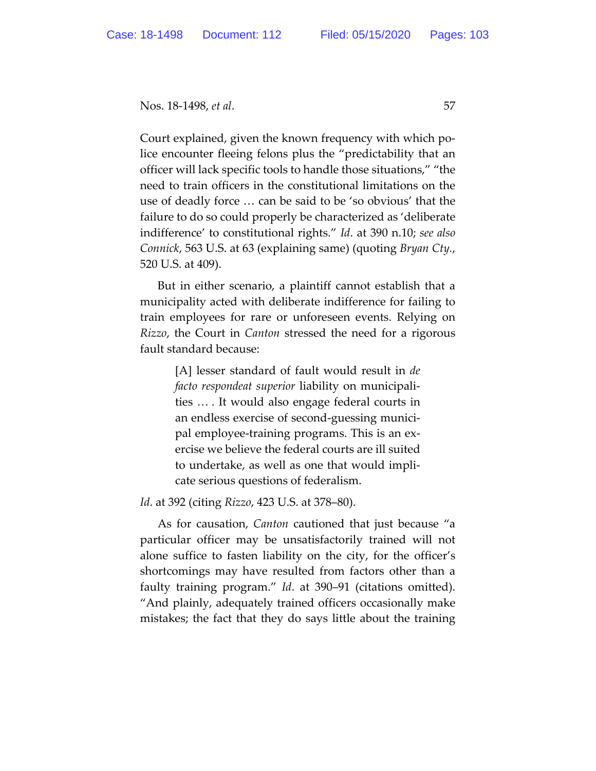Court explained, given the known frequency with which police encounter fleeing felons plus the "predictability that an officer will lack specific tools to handle those situations," "the need to train officers in the constitutional limitations on the use of deadly force … can be said to be 'so obvious' that the failure to do so could properly be characterized as 'deliberate indifference' to constitutional rights." *Id*. at 390 n.10; *see also Connick*, 563 U.S. at 63 (explaining same) (quoting *Bryan Cty.*, 520 U.S. at 409).

But in either scenario, a plaintiff cannot establish that a municipality acted with deliberate indifference for failing to train employees for rare or unforeseen events. Relying on *Rizzo*, the Court in *Canton* stressed the need for a rigorous fault standard because:

> [A] lesser standard of fault would result in *de facto respondeat superior* liability on municipalities … . It would also engage federal courts in an endless exercise of second-guessing municipal employee-training programs. This is an exercise we believe the federal courts are ill suited to undertake, as well as one that would implicate serious questions of federalism.

*Id*. at 392 (citing *Rizzo*, 423 U.S. at 378–80).

As for causation, *Canton* cautioned that just because "a particular officer may be unsatisfactorily trained will not alone suffice to fasten liability on the city, for the officer's shortcomings may have resulted from factors other than a faulty training program." *Id*. at 390–91 (citations omitted). "And plainly, adequately trained officers occasionally make mistakes; the fact that they do says little about the training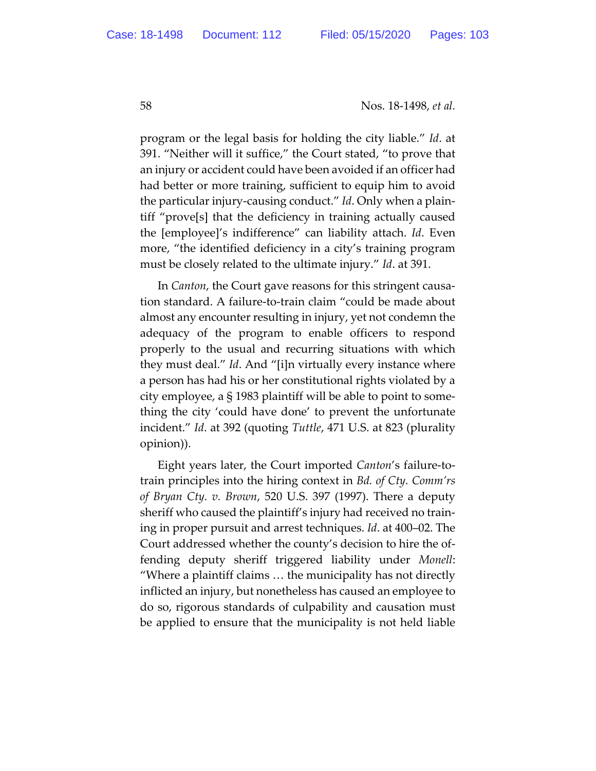program or the legal basis for holding the city liable." *Id*. at 391. "Neither will it suffice," the Court stated, "to prove that an injury or accident could have been avoided if an officer had had better or more training, sufficient to equip him to avoid the particular injury-causing conduct." *Id*. Only when a plaintiff "prove[s] that the deficiency in training actually caused the [employee]'s indifference" can liability attach. *Id*. Even more, "the identified deficiency in a city's training program must be closely related to the ultimate injury." *Id*. at 391.

In *Canton*, the Court gave reasons for this stringent causation standard. A failure-to-train claim "could be made about almost any encounter resulting in injury, yet not condemn the adequacy of the program to enable officers to respond properly to the usual and recurring situations with which they must deal." *Id*. And "[i]n virtually every instance where a person has had his or her constitutional rights violated by a city employee, a § 1983 plaintiff will be able to point to something the city 'could have done' to prevent the unfortunate incident." *Id*. at 392 (quoting *Tuttle*, 471 U.S. at 823 (plurality opinion)).

Eight years later, the Court imported *Canton*'s failure-totrain principles into the hiring context in *Bd. of Cty. Comm'rs of Bryan Cty. v. Brown*, 520 U.S. 397 (1997). There a deputy sheriff who caused the plaintiff's injury had received no training in proper pursuit and arrest techniques. *Id*. at 400–02. The Court addressed whether the county's decision to hire the offending deputy sheriff triggered liability under *Monell*: "Where a plaintiff claims … the municipality has not directly inflicted an injury, but nonetheless has caused an employee to do so, rigorous standards of culpability and causation must be applied to ensure that the municipality is not held liable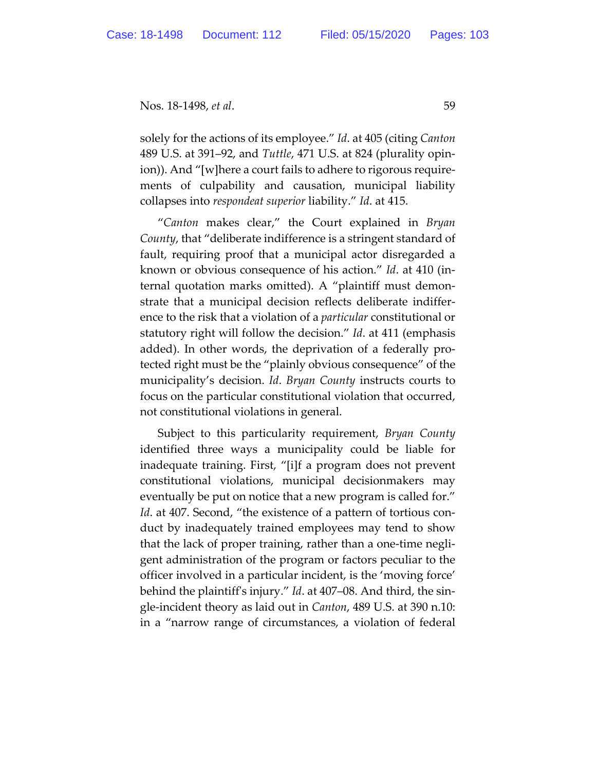solely for the actions of its employee." *Id*. at 405 (citing *Canton* 489 U.S. at 391–92, and *Tuttle*, 471 U.S. at 824 (plurality opinion)). And "[w]here a court fails to adhere to rigorous requirements of culpability and causation, municipal liability collapses into *respondeat superior* liability." *Id*. at 415.

"*Canton* makes clear," the Court explained in *Bryan County*, that "deliberate indifference is a stringent standard of fault, requiring proof that a municipal actor disregarded a known or obvious consequence of his action." *Id*. at 410 (internal quotation marks omitted). A "plaintiff must demonstrate that a municipal decision reflects deliberate indifference to the risk that a violation of a *particular* constitutional or statutory right will follow the decision." *Id*. at 411 (emphasis added). In other words, the deprivation of a federally protected right must be the "plainly obvious consequence" of the municipality's decision. *Id*. *Bryan County* instructs courts to focus on the particular constitutional violation that occurred, not constitutional violations in general.

Subject to this particularity requirement, *Bryan County* identified three ways a municipality could be liable for inadequate training. First, "[i]f a program does not prevent constitutional violations, municipal decisionmakers may eventually be put on notice that a new program is called for." *Id*. at 407. Second, "the existence of a pattern of tortious conduct by inadequately trained employees may tend to show that the lack of proper training, rather than a one-time negligent administration of the program or factors peculiar to the officer involved in a particular incident, is the 'moving force' behind the plaintiff's injury." *Id*. at 407–08. And third, the single-incident theory as laid out in *Canton*, 489 U.S. at 390 n.10: in a "narrow range of circumstances, a violation of federal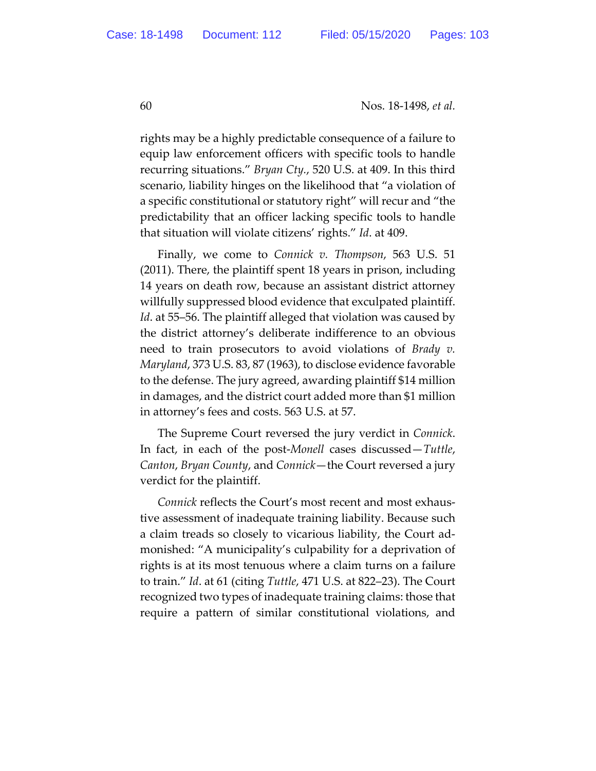rights may be a highly predictable consequence of a failure to equip law enforcement officers with specific tools to handle recurring situations." *Bryan Cty.*, 520 U.S. at 409. In this third scenario, liability hinges on the likelihood that "a violation of a specific constitutional or statutory right" will recur and "the predictability that an officer lacking specific tools to handle that situation will violate citizens' rights." *Id*. at 409.

Finally, we come to *Connick v. Thompson*, 563 U.S. 51 (2011). There, the plaintiff spent 18 years in prison, including 14 years on death row, because an assistant district attorney willfully suppressed blood evidence that exculpated plaintiff. *Id*. at 55–56. The plaintiff alleged that violation was caused by the district attorney's deliberate indifference to an obvious need to train prosecutors to avoid violations of *Brady v. Maryland*, 373 U.S. 83, 87 (1963), to disclose evidence favorable to the defense. The jury agreed, awarding plaintiff \$14 million in damages, and the district court added more than \$1 million in attorney's fees and costs. 563 U.S. at 57.

The Supreme Court reversed the jury verdict in *Connick*. In fact, in each of the post-*Monell* cases discussed—*Tuttle*, *Canton*, *Bryan County*, and *Connick*—the Court reversed a jury verdict for the plaintiff.

*Connick* reflects the Court's most recent and most exhaustive assessment of inadequate training liability. Because such a claim treads so closely to vicarious liability, the Court admonished: "A municipality's culpability for a deprivation of rights is at its most tenuous where a claim turns on a failure to train." *Id*. at 61 (citing *Tuttle*, 471 U.S. at 822–23). The Court recognized two types of inadequate training claims: those that require a pattern of similar constitutional violations, and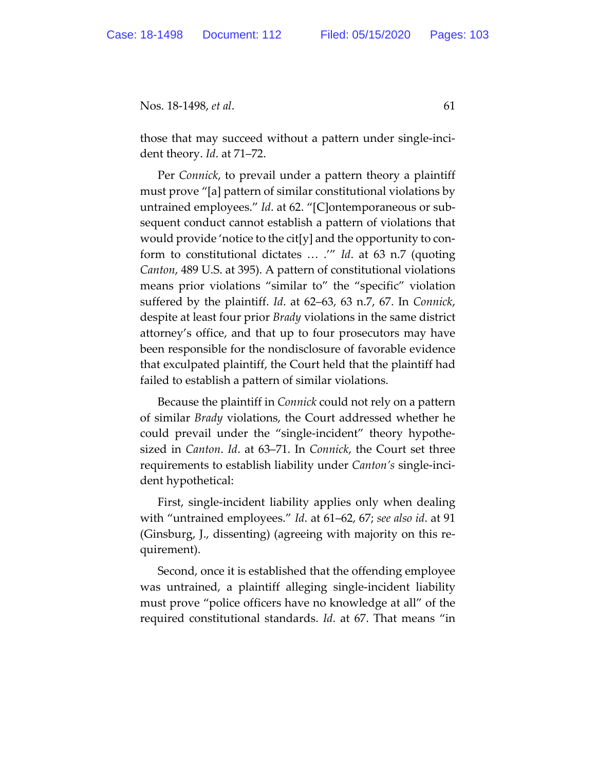those that may succeed without a pattern under single-incident theory. *Id*. at 71–72.

Per *Connick*, to prevail under a pattern theory a plaintiff must prove "[a] pattern of similar constitutional violations by untrained employees." *Id*. at 62. "[C]ontemporaneous or subsequent conduct cannot establish a pattern of violations that would provide 'notice to the cit[y] and the opportunity to conform to constitutional dictates … .'" *Id*. at 63 n.7 (quoting *Canton*, 489 U.S. at 395). A pattern of constitutional violations means prior violations "similar to" the "specific" violation suffered by the plaintiff. *Id*. at 62–63, 63 n.7, 67. In *Connick*, despite at least four prior *Brady* violations in the same district attorney's office, and that up to four prosecutors may have been responsible for the nondisclosure of favorable evidence that exculpated plaintiff, the Court held that the plaintiff had failed to establish a pattern of similar violations.

Because the plaintiff in *Connick* could not rely on a pattern of similar *Brady* violations, the Court addressed whether he could prevail under the "single-incident" theory hypothesized in *Canton*. *Id*. at 63–71. In *Connick*, the Court set three requirements to establish liability under *Canton's* single-incident hypothetical:

First, single-incident liability applies only when dealing with "untrained employees." *Id*. at 61–62, 67; *see also id*. at 91 (Ginsburg, J., dissenting) (agreeing with majority on this requirement).

Second, once it is established that the offending employee was untrained, a plaintiff alleging single-incident liability must prove "police officers have no knowledge at all" of the required constitutional standards. *Id*. at 67. That means "in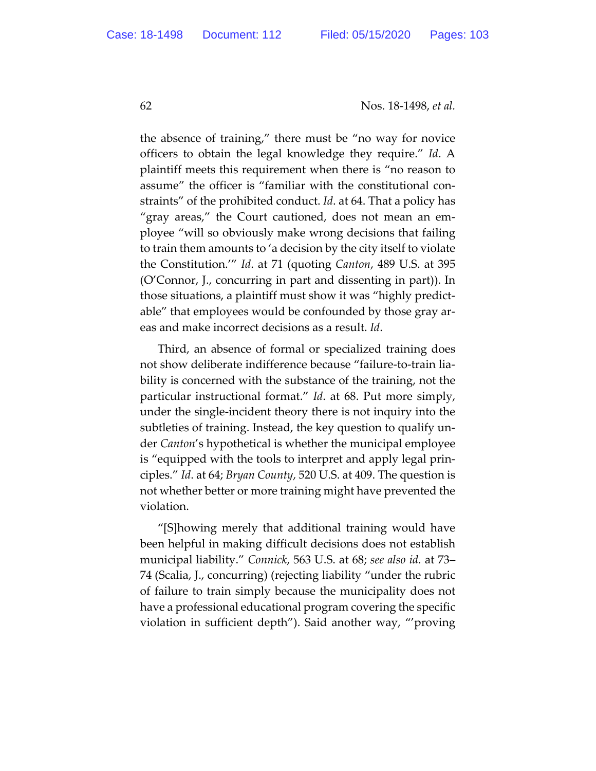the absence of training," there must be "no way for novice officers to obtain the legal knowledge they require." *Id*. A plaintiff meets this requirement when there is "no reason to assume" the officer is "familiar with the constitutional constraints" of the prohibited conduct. *Id*. at 64. That a policy has "gray areas," the Court cautioned, does not mean an employee "will so obviously make wrong decisions that failing to train them amounts to 'a decision by the city itself to violate the Constitution.'" *Id*. at 71 (quoting *Canton*, 489 U.S. at 395 (O'Connor, J., concurring in part and dissenting in part)). In those situations, a plaintiff must show it was "highly predictable" that employees would be confounded by those gray areas and make incorrect decisions as a result. *Id*.

Third, an absence of formal or specialized training does not show deliberate indifference because "failure-to-train liability is concerned with the substance of the training, not the particular instructional format." *Id*. at 68. Put more simply, under the single-incident theory there is not inquiry into the subtleties of training. Instead, the key question to qualify under *Canton*'s hypothetical is whether the municipal employee is "equipped with the tools to interpret and apply legal principles." *Id*. at 64; *Bryan County*, 520 U.S. at 409. The question is not whether better or more training might have prevented the violation.

"[S]howing merely that additional training would have been helpful in making difficult decisions does not establish municipal liability." *Connick*, 563 U.S. at 68; *see also id.* at 73– 74 (Scalia, J., concurring) (rejecting liability "under the rubric of failure to train simply because the municipality does not have a professional educational program covering the specific violation in sufficient depth"). Said another way, "'proving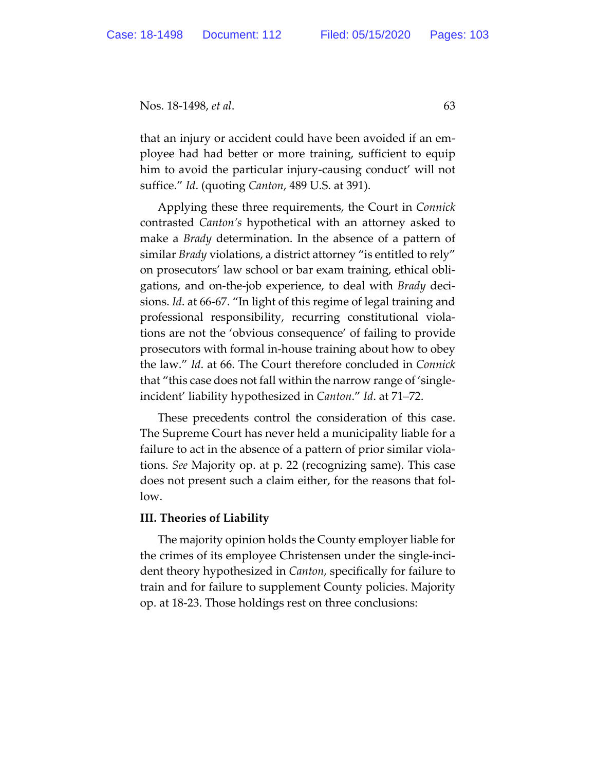that an injury or accident could have been avoided if an employee had had better or more training, sufficient to equip him to avoid the particular injury-causing conduct' will not suffice." *Id*. (quoting *Canton*, 489 U.S. at 391).

Applying these three requirements, the Court in *Connick* contrasted *Canton's* hypothetical with an attorney asked to make a *Brady* determination. In the absence of a pattern of similar *Brady* violations, a district attorney "is entitled to rely" on prosecutors' law school or bar exam training, ethical obligations, and on-the-job experience, to deal with *Brady* decisions. *Id*. at 66-67. "In light of this regime of legal training and professional responsibility, recurring constitutional violations are not the 'obvious consequence' of failing to provide prosecutors with formal in-house training about how to obey the law." *Id*. at 66. The Court therefore concluded in *Connick* that "this case does not fall within the narrow range of 'singleincident' liability hypothesized in *Canton*." *Id*. at 71–72.

These precedents control the consideration of this case. The Supreme Court has never held a municipality liable for a failure to act in the absence of a pattern of prior similar violations. *See* Majority op. at p. 22 (recognizing same). This case does not present such a claim either, for the reasons that follow.

## **III. Theories of Liability**

The majority opinion holds the County employer liable for the crimes of its employee Christensen under the single-incident theory hypothesized in *Canton*, specifically for failure to train and for failure to supplement County policies. Majority op. at 18-23. Those holdings rest on three conclusions: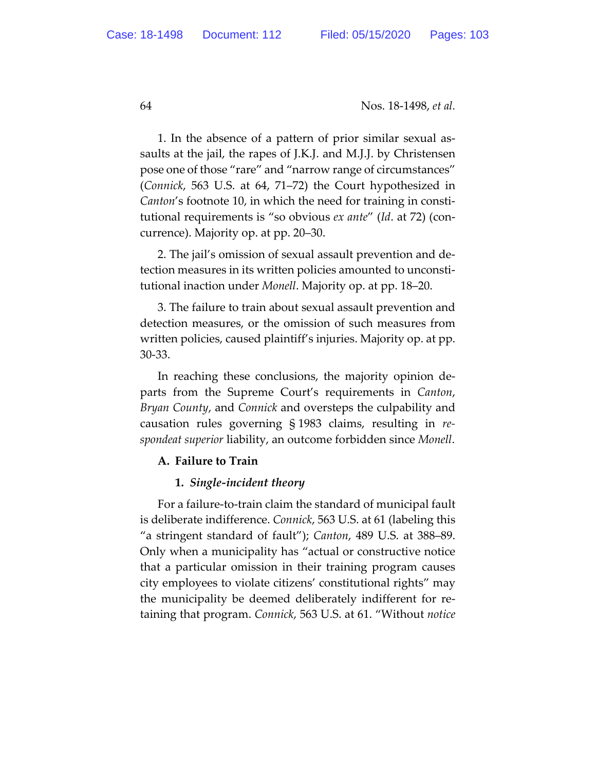1. In the absence of a pattern of prior similar sexual assaults at the jail, the rapes of J.K.J. and M.J.J. by Christensen pose one of those "rare" and "narrow range of circumstances" (*Connick*, 563 U.S. at 64, 71–72) the Court hypothesized in *Canton*'s footnote 10, in which the need for training in constitutional requirements is "so obvious *ex ante*" (*Id*. at 72) (concurrence). Majority op. at pp. 20–30.

2. The jail's omission of sexual assault prevention and detection measures in its written policies amounted to unconstitutional inaction under *Monell*. Majority op. at pp. 18–20.

3. The failure to train about sexual assault prevention and detection measures, or the omission of such measures from written policies, caused plaintiff's injuries. Majority op. at pp. 30-33.

In reaching these conclusions, the majority opinion departs from the Supreme Court's requirements in *Canton*, *Bryan County*, and *Connick* and oversteps the culpability and causation rules governing § 1983 claims, resulting in *respondeat superior* liability, an outcome forbidden since *Monell*.

## **A. Failure to Train**

## **1.** *Single-incident theory*

For a failure-to-train claim the standard of municipal fault is deliberate indifference. *Connick*, 563 U.S. at 61 (labeling this "a stringent standard of fault"); *Canton*, 489 U.S. at 388–89. Only when a municipality has "actual or constructive notice that a particular omission in their training program causes city employees to violate citizens' constitutional rights" may the municipality be deemed deliberately indifferent for retaining that program. *Connick*, 563 U.S. at 61. "Without *notice*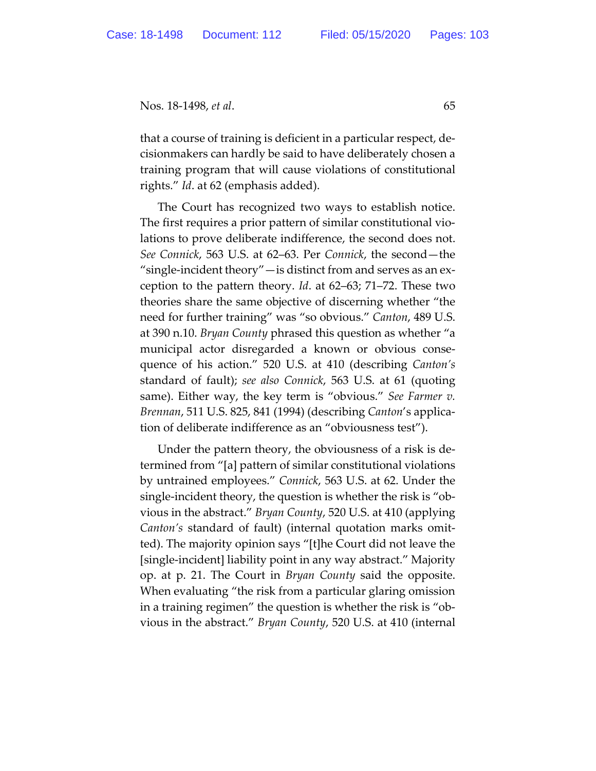that a course of training is deficient in a particular respect, decisionmakers can hardly be said to have deliberately chosen a training program that will cause violations of constitutional rights." *Id*. at 62 (emphasis added).

The Court has recognized two ways to establish notice. The first requires a prior pattern of similar constitutional violations to prove deliberate indifference, the second does not. *See Connick*, 563 U.S. at 62–63. Per *Connick*, the second—the "single-incident theory"—is distinct from and serves as an exception to the pattern theory. *Id*. at 62–63; 71–72. These two theories share the same objective of discerning whether "the need for further training" was "so obvious." *Canton*, 489 U.S. at 390 n.10. *Bryan County* phrased this question as whether "a municipal actor disregarded a known or obvious consequence of his action." 520 U.S. at 410 (describing *Canton's*  standard of fault); *see also Connick*, 563 U.S. at 61 (quoting same). Either way, the key term is "obvious." *See Farmer v. Brennan*, 511 U.S. 825, 841 (1994) (describing *Canton*'s application of deliberate indifference as an "obviousness test").

Under the pattern theory, the obviousness of a risk is determined from "[a] pattern of similar constitutional violations by untrained employees." *Connick*, 563 U.S. at 62. Under the single-incident theory, the question is whether the risk is "obvious in the abstract." *Bryan County*, 520 U.S. at 410 (applying *Canton's* standard of fault) (internal quotation marks omitted). The majority opinion says "[t]he Court did not leave the [single-incident] liability point in any way abstract." Majority op. at p. 21. The Court in *Bryan County* said the opposite. When evaluating "the risk from a particular glaring omission in a training regimen" the question is whether the risk is "obvious in the abstract." *Bryan County*, 520 U.S. at 410 (internal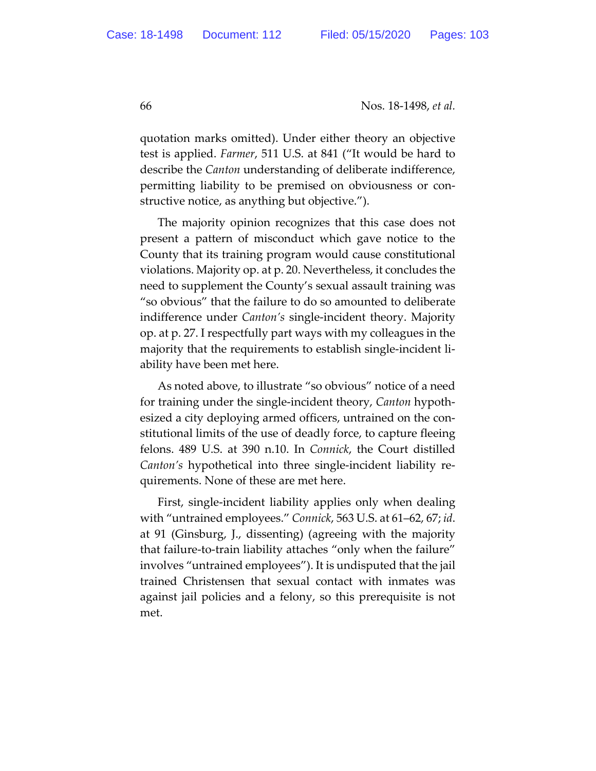quotation marks omitted). Under either theory an objective test is applied. *Farmer*, 511 U.S. at 841 ("It would be hard to describe the *Canton* understanding of deliberate indifference, permitting liability to be premised on obviousness or constructive notice, as anything but objective.").

The majority opinion recognizes that this case does not present a pattern of misconduct which gave notice to the County that its training program would cause constitutional violations. Majority op. at p. 20. Nevertheless, it concludes the need to supplement the County's sexual assault training was "so obvious" that the failure to do so amounted to deliberate indifference under *Canton's* single-incident theory. Majority op. at p. 27. I respectfully part ways with my colleagues in the majority that the requirements to establish single-incident liability have been met here.

As noted above, to illustrate "so obvious" notice of a need for training under the single-incident theory, *Canton* hypothesized a city deploying armed officers, untrained on the constitutional limits of the use of deadly force, to capture fleeing felons. 489 U.S. at 390 n.10. In *Connick*, the Court distilled *Canton's* hypothetical into three single-incident liability requirements. None of these are met here.

First, single-incident liability applies only when dealing with "untrained employees." *Connick*, 563 U.S. at 61–62, 67; *id*. at 91 (Ginsburg, J., dissenting) (agreeing with the majority that failure-to-train liability attaches "only when the failure" involves "untrained employees"). It is undisputed that the jail trained Christensen that sexual contact with inmates was against jail policies and a felony, so this prerequisite is not met.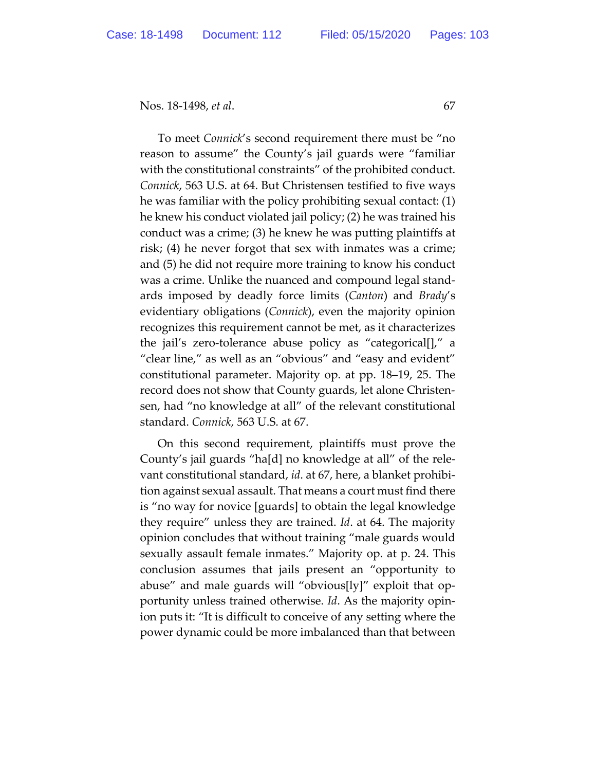To meet *Connick*'s second requirement there must be "no reason to assume" the County's jail guards were "familiar with the constitutional constraints" of the prohibited conduct. *Connick*, 563 U.S. at 64. But Christensen testified to five ways he was familiar with the policy prohibiting sexual contact: (1) he knew his conduct violated jail policy; (2) he was trained his conduct was a crime; (3) he knew he was putting plaintiffs at risk; (4) he never forgot that sex with inmates was a crime; and (5) he did not require more training to know his conduct was a crime. Unlike the nuanced and compound legal standards imposed by deadly force limits (*Canton*) and *Brady*'s evidentiary obligations (*Connick*), even the majority opinion recognizes this requirement cannot be met, as it characterizes the jail's zero-tolerance abuse policy as "categorical[]," a "clear line," as well as an "obvious" and "easy and evident" constitutional parameter. Majority op. at pp. 18–19, 25. The record does not show that County guards, let alone Christensen, had "no knowledge at all" of the relevant constitutional standard. *Connick*, 563 U.S. at 67.

On this second requirement, plaintiffs must prove the County's jail guards "ha[d] no knowledge at all" of the relevant constitutional standard, *id*. at 67, here, a blanket prohibition against sexual assault. That means a court must find there is "no way for novice [guards] to obtain the legal knowledge they require" unless they are trained. *Id*. at 64. The majority opinion concludes that without training "male guards would sexually assault female inmates." Majority op. at p. 24. This conclusion assumes that jails present an "opportunity to abuse" and male guards will "obvious[ly]" exploit that opportunity unless trained otherwise. *Id*. As the majority opinion puts it: "It is difficult to conceive of any setting where the power dynamic could be more imbalanced than that between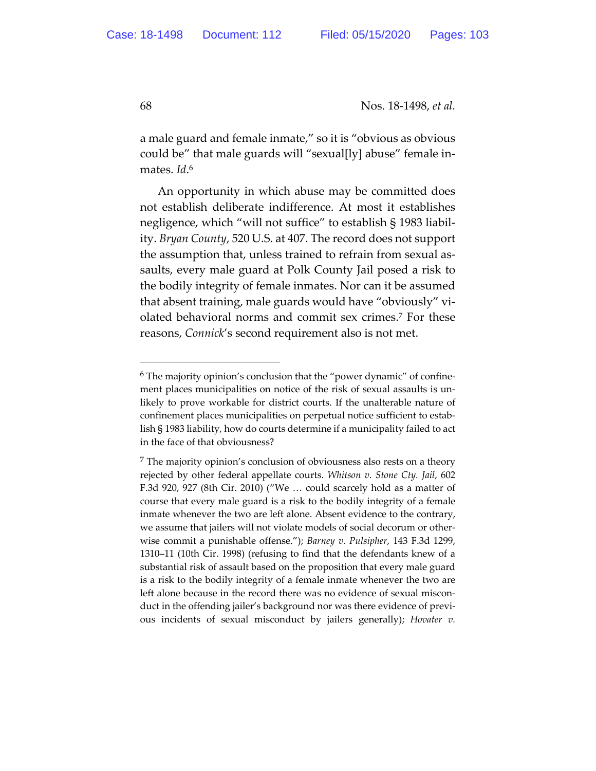a male guard and female inmate," so it is "obvious as obvious could be" that male guards will "sexual[ly] abuse" female inmates. *Id*. 6

An opportunity in which abuse may be committed does not establish deliberate indifference. At most it establishes negligence, which "will not suffice" to establish § 1983 liability. *Bryan County*, 520 U.S. at 407. The record does not support the assumption that, unless trained to refrain from sexual assaults, every male guard at Polk County Jail posed a risk to the bodily integrity of female inmates. Nor can it be assumed that absent training, male guards would have "obviously" violated behavioral norms and commit sex crimes.7 For these reasons, *Connick*'s second requirement also is not met.

<sup>6</sup> The majority opinion's conclusion that the "power dynamic" of confinement places municipalities on notice of the risk of sexual assaults is unlikely to prove workable for district courts. If the unalterable nature of confinement places municipalities on perpetual notice sufficient to establish § 1983 liability, how do courts determine if a municipality failed to act in the face of that obviousness?

 $<sup>7</sup>$  The majority opinion's conclusion of obviousness also rests on a theory</sup> rejected by other federal appellate courts. *Whitson v. Stone Cty. Jail*, 602 F.3d 920, 927 (8th Cir. 2010) ("We … could scarcely hold as a matter of course that every male guard is a risk to the bodily integrity of a female inmate whenever the two are left alone. Absent evidence to the contrary, we assume that jailers will not violate models of social decorum or otherwise commit a punishable offense."); *Barney v. Pulsipher*, 143 F.3d 1299, 1310–11 (10th Cir. 1998) (refusing to find that the defendants knew of a substantial risk of assault based on the proposition that every male guard is a risk to the bodily integrity of a female inmate whenever the two are left alone because in the record there was no evidence of sexual misconduct in the offending jailer's background nor was there evidence of previous incidents of sexual misconduct by jailers generally); *Hovater v.*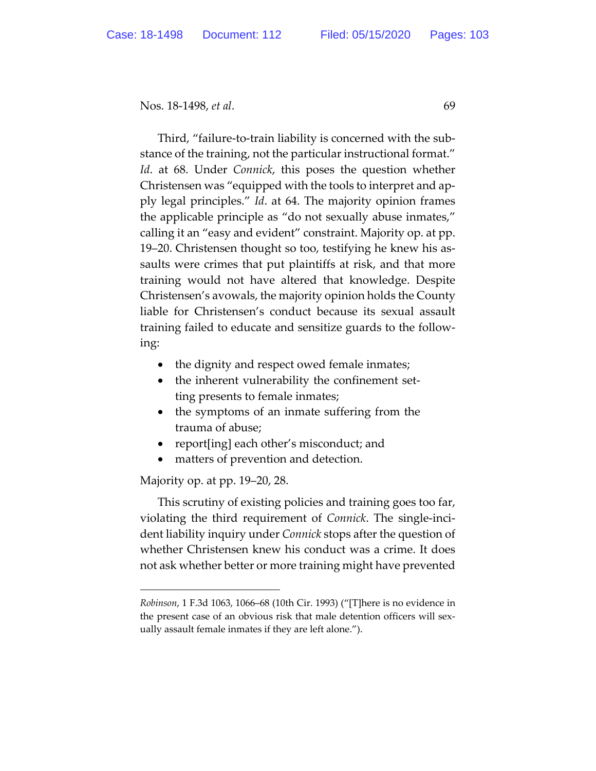Third, "failure-to-train liability is concerned with the substance of the training, not the particular instructional format." *Id*. at 68. Under *Connick*, this poses the question whether Christensen was "equipped with the tools to interpret and apply legal principles." *Id*. at 64. The majority opinion frames the applicable principle as "do not sexually abuse inmates," calling it an "easy and evident" constraint. Majority op. at pp. 19–20. Christensen thought so too, testifying he knew his assaults were crimes that put plaintiffs at risk, and that more training would not have altered that knowledge. Despite Christensen's avowals, the majority opinion holds the County liable for Christensen's conduct because its sexual assault training failed to educate and sensitize guards to the following:

- the dignity and respect owed female inmates;
- the inherent vulnerability the confinement setting presents to female inmates;
- the symptoms of an inmate suffering from the trauma of abuse;
- report[ing] each other's misconduct; and
- matters of prevention and detection.

Majority op. at pp. 19–20, 28.

This scrutiny of existing policies and training goes too far, violating the third requirement of *Connick*. The single-incident liability inquiry under *Connick* stops after the question of whether Christensen knew his conduct was a crime. It does not ask whether better or more training might have prevented

*Robinson*, 1 F.3d 1063, 1066–68 (10th Cir. 1993) ("[T]here is no evidence in the present case of an obvious risk that male detention officers will sexually assault female inmates if they are left alone.").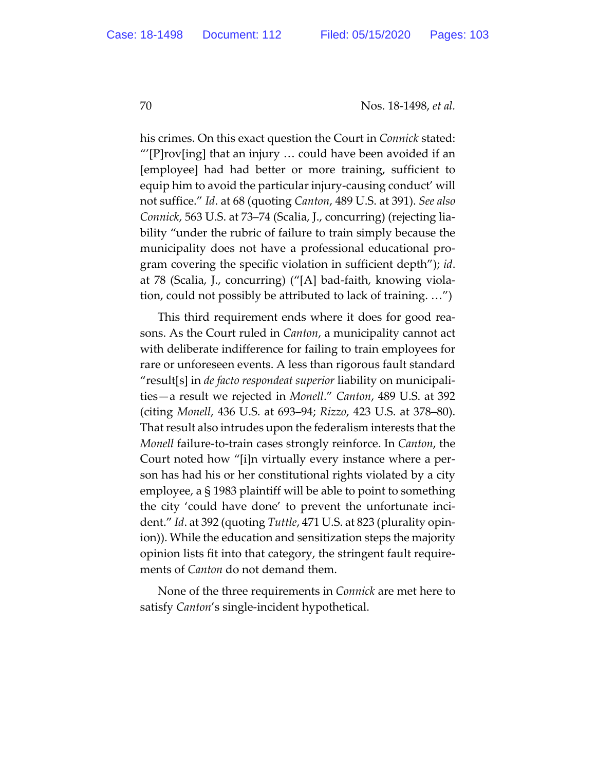his crimes. On this exact question the Court in *Connick* stated: " $[$ P $]$ rov $[$ ing $]$  that an injury ... could have been avoided if an [employee] had had better or more training, sufficient to equip him to avoid the particular injury-causing conduct' will not suffice." *Id*. at 68 (quoting *Canton*, 489 U.S. at 391). *See also Connick*, 563 U.S. at 73–74 (Scalia, J., concurring) (rejecting liability "under the rubric of failure to train simply because the municipality does not have a professional educational program covering the specific violation in sufficient depth"); *id*. at 78 (Scalia, J., concurring) ("[A] bad-faith, knowing violation, could not possibly be attributed to lack of training. …")

This third requirement ends where it does for good reasons. As the Court ruled in *Canton*, a municipality cannot act with deliberate indifference for failing to train employees for rare or unforeseen events. A less than rigorous fault standard "result[s] in *de facto respondeat superior* liability on municipalities—a result we rejected in *Monell*." *Canton*, 489 U.S. at 392 (citing *Monell*, 436 U.S. at 693–94; *Rizzo*, 423 U.S. at 378–80). That result also intrudes upon the federalism interests that the *Monell* failure-to-train cases strongly reinforce. In *Canton*, the Court noted how "[i]n virtually every instance where a person has had his or her constitutional rights violated by a city employee, a § 1983 plaintiff will be able to point to something the city 'could have done' to prevent the unfortunate incident." *Id*. at 392 (quoting *Tuttle*, 471 U.S. at 823 (plurality opinion)). While the education and sensitization steps the majority opinion lists fit into that category, the stringent fault requirements of *Canton* do not demand them.

None of the three requirements in *Connick* are met here to satisfy *Canton*'s single-incident hypothetical.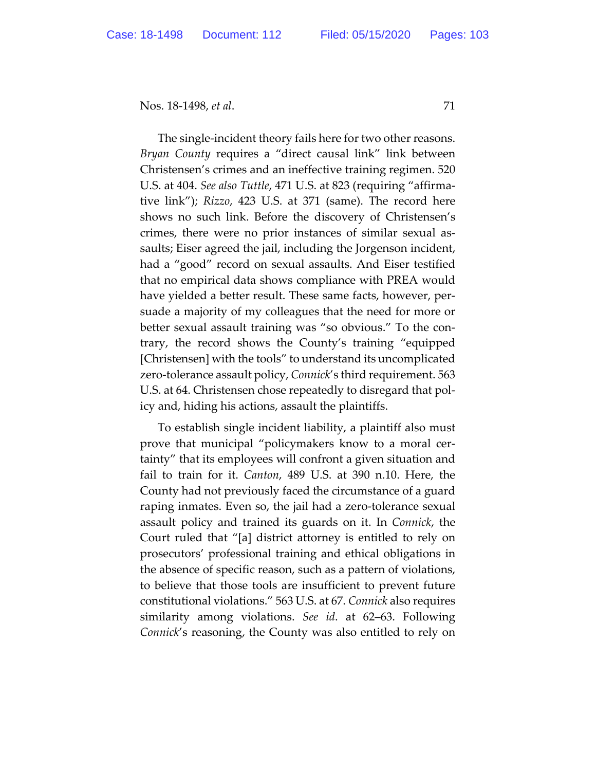The single-incident theory fails here for two other reasons. *Bryan County* requires a "direct causal link" link between Christensen's crimes and an ineffective training regimen. 520 U.S. at 404. *See also Tuttle*, 471 U.S. at 823 (requiring "affirmative link"); *Rizzo*, 423 U.S. at 371 (same). The record here shows no such link. Before the discovery of Christensen's crimes, there were no prior instances of similar sexual assaults; Eiser agreed the jail, including the Jorgenson incident, had a "good" record on sexual assaults. And Eiser testified that no empirical data shows compliance with PREA would have yielded a better result. These same facts, however, persuade a majority of my colleagues that the need for more or better sexual assault training was "so obvious." To the contrary, the record shows the County's training "equipped [Christensen] with the tools" to understand its uncomplicated zero-tolerance assault policy, *Connick*'s third requirement. 563 U.S. at 64. Christensen chose repeatedly to disregard that policy and, hiding his actions, assault the plaintiffs.

To establish single incident liability, a plaintiff also must prove that municipal "policymakers know to a moral certainty" that its employees will confront a given situation and fail to train for it. *Canton*, 489 U.S. at 390 n.10. Here, the County had not previously faced the circumstance of a guard raping inmates. Even so, the jail had a zero-tolerance sexual assault policy and trained its guards on it. In *Connick*, the Court ruled that "[a] district attorney is entitled to rely on prosecutors' professional training and ethical obligations in the absence of specific reason, such as a pattern of violations, to believe that those tools are insufficient to prevent future constitutional violations." 563 U.S. at 67. *Connick* also requires similarity among violations. *See id*. at 62–63. Following *Connick*'s reasoning, the County was also entitled to rely on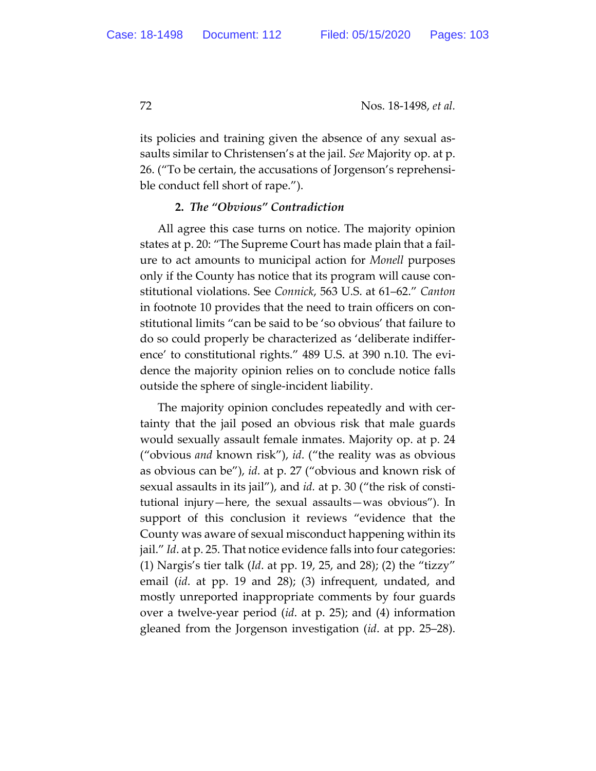its policies and training given the absence of any sexual assaults similar to Christensen's at the jail. *See* Majority op. at p. 26. ("To be certain, the accusations of Jorgenson's reprehensible conduct fell short of rape.").

## **2.** *The "Obvious" Contradiction*

All agree this case turns on notice. The majority opinion states at p. 20: "The Supreme Court has made plain that a failure to act amounts to municipal action for *Monell* purposes only if the County has notice that its program will cause constitutional violations. See *Connick*, 563 U.S. at 61–62." *Canton* in footnote 10 provides that the need to train officers on constitutional limits "can be said to be 'so obvious' that failure to do so could properly be characterized as 'deliberate indifference' to constitutional rights." 489 U.S. at 390 n.10. The evidence the majority opinion relies on to conclude notice falls outside the sphere of single-incident liability.

The majority opinion concludes repeatedly and with certainty that the jail posed an obvious risk that male guards would sexually assault female inmates. Majority op. at p. 24 ("obvious *and* known risk"), *id*. ("the reality was as obvious as obvious can be"), *id*. at p. 27 ("obvious and known risk of sexual assaults in its jail"), and *id.* at p. 30 ("the risk of constitutional injury—here, the sexual assaults—was obvious"). In support of this conclusion it reviews "evidence that the County was aware of sexual misconduct happening within its jail." *Id*. at p. 25. That notice evidence falls into four categories: (1) Nargis's tier talk (*Id*. at pp. 19, 25, and 28); (2) the "tizzy" email (*id*. at pp. 19 and 28); (3) infrequent, undated, and mostly unreported inappropriate comments by four guards over a twelve-year period (*id*. at p. 25); and (4) information gleaned from the Jorgenson investigation (*id*. at pp. 25–28).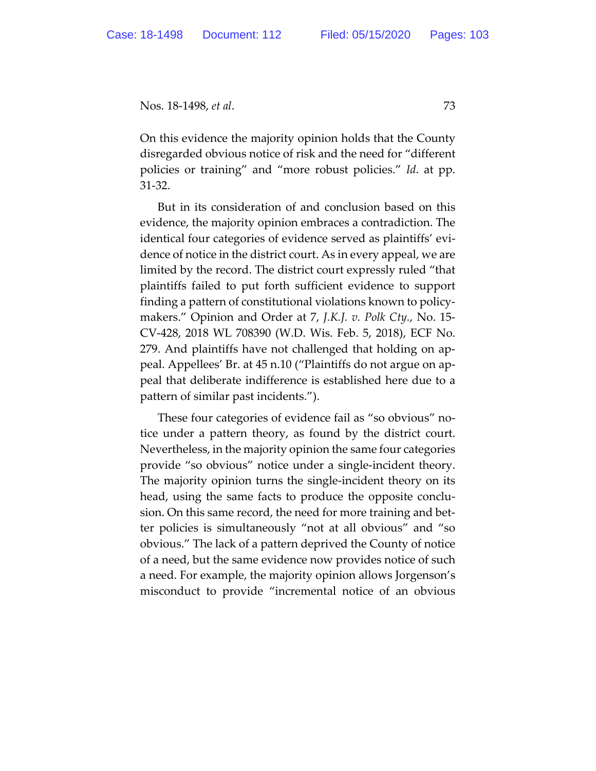On this evidence the majority opinion holds that the County disregarded obvious notice of risk and the need for "different policies or training" and "more robust policies." *Id*. at pp. 31-32.

But in its consideration of and conclusion based on this evidence, the majority opinion embraces a contradiction. The identical four categories of evidence served as plaintiffs' evidence of notice in the district court. As in every appeal, we are limited by the record. The district court expressly ruled "that plaintiffs failed to put forth sufficient evidence to support finding a pattern of constitutional violations known to policymakers." Opinion and Order at 7, *J.K.J. v. Polk Cty.*, No. 15- CV-428, 2018 WL 708390 (W.D. Wis. Feb. 5, 2018), ECF No. 279. And plaintiffs have not challenged that holding on appeal. Appellees' Br. at 45 n.10 ("Plaintiffs do not argue on appeal that deliberate indifference is established here due to a pattern of similar past incidents.").

These four categories of evidence fail as "so obvious" notice under a pattern theory, as found by the district court. Nevertheless, in the majority opinion the same four categories provide "so obvious" notice under a single-incident theory. The majority opinion turns the single-incident theory on its head, using the same facts to produce the opposite conclusion. On this same record, the need for more training and better policies is simultaneously "not at all obvious" and "so obvious." The lack of a pattern deprived the County of notice of a need, but the same evidence now provides notice of such a need. For example, the majority opinion allows Jorgenson's misconduct to provide "incremental notice of an obvious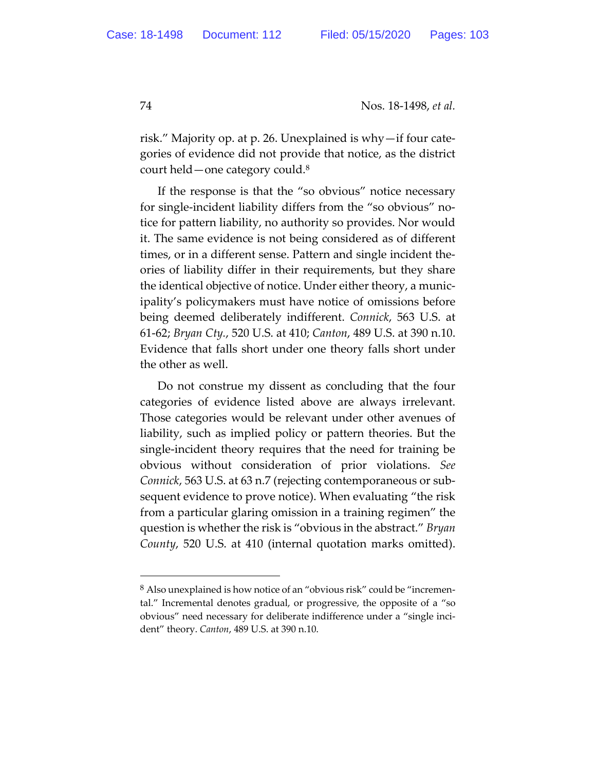risk." Majority op. at p. 26. Unexplained is why—if four categories of evidence did not provide that notice, as the district court held—one category could.8

If the response is that the "so obvious" notice necessary for single-incident liability differs from the "so obvious" notice for pattern liability, no authority so provides. Nor would it. The same evidence is not being considered as of different times, or in a different sense. Pattern and single incident theories of liability differ in their requirements, but they share the identical objective of notice. Under either theory, a municipality's policymakers must have notice of omissions before being deemed deliberately indifferent. *Connick*, 563 U.S. at 61-62; *Bryan Cty.*, 520 U.S. at 410; *Canton*, 489 U.S. at 390 n.10. Evidence that falls short under one theory falls short under the other as well.

Do not construe my dissent as concluding that the four categories of evidence listed above are always irrelevant. Those categories would be relevant under other avenues of liability, such as implied policy or pattern theories. But the single-incident theory requires that the need for training be obvious without consideration of prior violations. *See Connick*, 563 U.S. at 63 n.7 (rejecting contemporaneous or subsequent evidence to prove notice). When evaluating "the risk from a particular glaring omission in a training regimen" the question is whether the risk is "obvious in the abstract." *Bryan County*, 520 U.S. at 410 (internal quotation marks omitted).

<sup>8</sup> Also unexplained is how notice of an "obvious risk" could be "incremental." Incremental denotes gradual, or progressive, the opposite of a "so obvious" need necessary for deliberate indifference under a "single incident" theory. *Canton*, 489 U.S. at 390 n.10.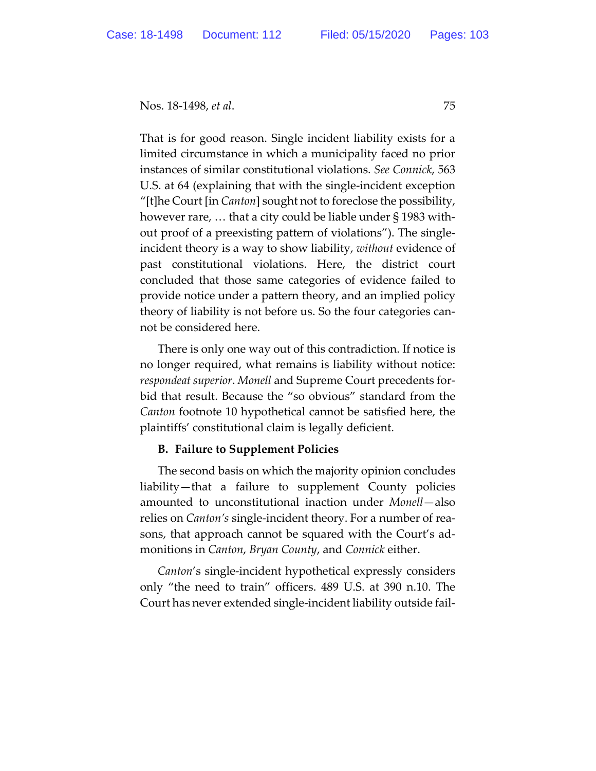That is for good reason. Single incident liability exists for a limited circumstance in which a municipality faced no prior instances of similar constitutional violations. *See Connick*, 563 U.S. at 64 (explaining that with the single-incident exception "[t]he Court [in *Canton*] sought not to foreclose the possibility, however rare, … that a city could be liable under § 1983 without proof of a preexisting pattern of violations"). The singleincident theory is a way to show liability, *without* evidence of past constitutional violations. Here, the district court concluded that those same categories of evidence failed to provide notice under a pattern theory, and an implied policy theory of liability is not before us. So the four categories cannot be considered here.

There is only one way out of this contradiction. If notice is no longer required, what remains is liability without notice: *respondeat superior*. *Monell* and Supreme Court precedents forbid that result. Because the "so obvious" standard from the *Canton* footnote 10 hypothetical cannot be satisfied here, the plaintiffs' constitutional claim is legally deficient.

# **B. Failure to Supplement Policies**

The second basis on which the majority opinion concludes liability—that a failure to supplement County policies amounted to unconstitutional inaction under *Monell*—also relies on *Canton's* single-incident theory. For a number of reasons, that approach cannot be squared with the Court's admonitions in *Canton*, *Bryan County*, and *Connick* either.

*Canton*'s single-incident hypothetical expressly considers only "the need to train" officers. 489 U.S. at 390 n.10. The Court has never extended single-incident liability outside fail-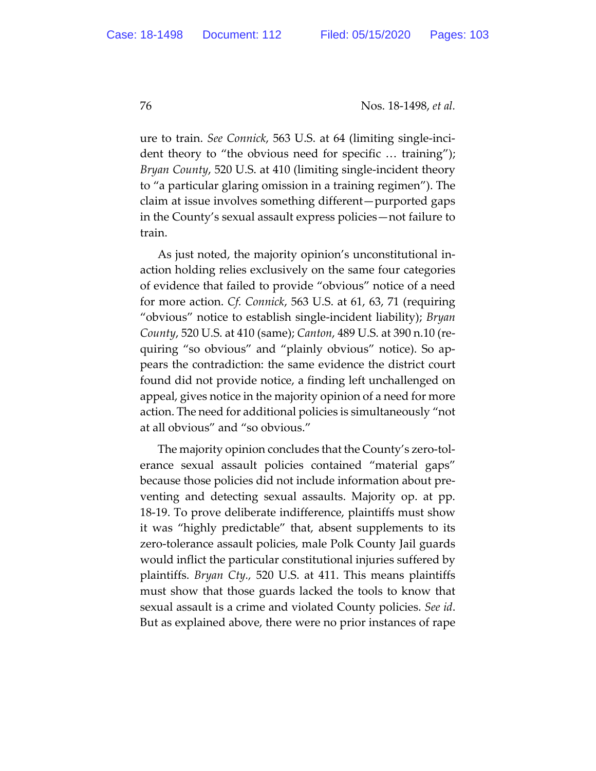ure to train. *See Connick*, 563 U.S. at 64 (limiting single-incident theory to "the obvious need for specific … training"); *Bryan County*, 520 U.S. at 410 (limiting single-incident theory to "a particular glaring omission in a training regimen"). The claim at issue involves something different—purported gaps in the County's sexual assault express policies—not failure to train.

As just noted, the majority opinion's unconstitutional inaction holding relies exclusively on the same four categories of evidence that failed to provide "obvious" notice of a need for more action. *Cf. Connick*, 563 U.S. at 61, 63, 71 (requiring "obvious" notice to establish single-incident liability); *Bryan County*, 520 U.S. at 410 (same); *Canton*, 489 U.S. at 390 n.10 (requiring "so obvious" and "plainly obvious" notice). So appears the contradiction: the same evidence the district court found did not provide notice, a finding left unchallenged on appeal, gives notice in the majority opinion of a need for more action. The need for additional policies is simultaneously "not at all obvious" and "so obvious."

The majority opinion concludes that the County's zero-tolerance sexual assault policies contained "material gaps" because those policies did not include information about preventing and detecting sexual assaults. Majority op. at pp. 18-19. To prove deliberate indifference, plaintiffs must show it was "highly predictable" that, absent supplements to its zero-tolerance assault policies, male Polk County Jail guards would inflict the particular constitutional injuries suffered by plaintiffs. *Bryan Cty.,* 520 U.S. at 411. This means plaintiffs must show that those guards lacked the tools to know that sexual assault is a crime and violated County policies. *See id*. But as explained above, there were no prior instances of rape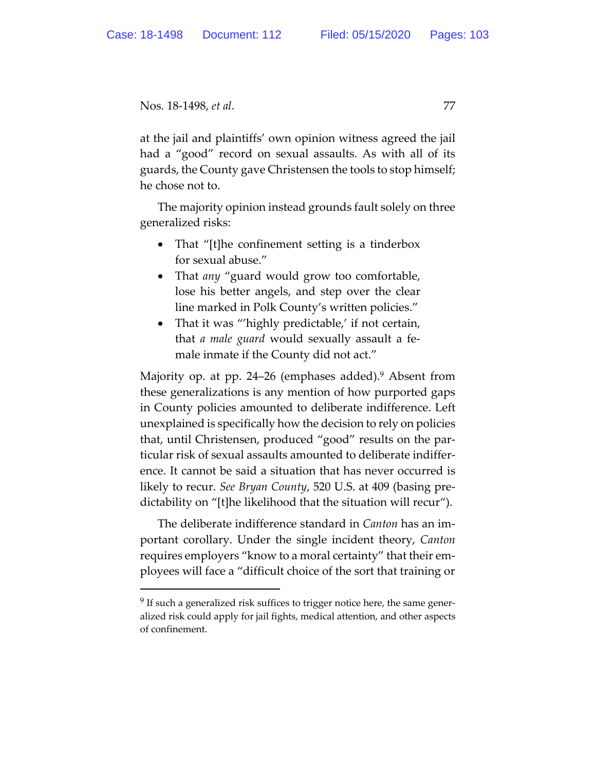at the jail and plaintiffs' own opinion witness agreed the jail had a "good" record on sexual assaults. As with all of its guards, the County gave Christensen the tools to stop himself; he chose not to.

The majority opinion instead grounds fault solely on three generalized risks:

- That "[t]he confinement setting is a tinderbox for sexual abuse."
- That *any* "guard would grow too comfortable, lose his better angels, and step over the clear line marked in Polk County's written policies."
- That it was "'highly predictable,' if not certain, that *a male guard* would sexually assault a female inmate if the County did not act."

Majority op. at pp. 24–26 (emphases added).<sup>9</sup> Absent from these generalizations is any mention of how purported gaps in County policies amounted to deliberate indifference. Left unexplained is specifically how the decision to rely on policies that, until Christensen, produced "good" results on the particular risk of sexual assaults amounted to deliberate indifference. It cannot be said a situation that has never occurred is likely to recur. *See Bryan County*, 520 U.S. at 409 (basing predictability on "[t]he likelihood that the situation will recur").

The deliberate indifference standard in *Canton* has an important corollary. Under the single incident theory, *Canton* requires employers "know to a moral certainty" that their employees will face a "difficult choice of the sort that training or

<sup>&</sup>lt;sup>9</sup> If such a generalized risk suffices to trigger notice here, the same generalized risk could apply for jail fights, medical attention, and other aspects of confinement.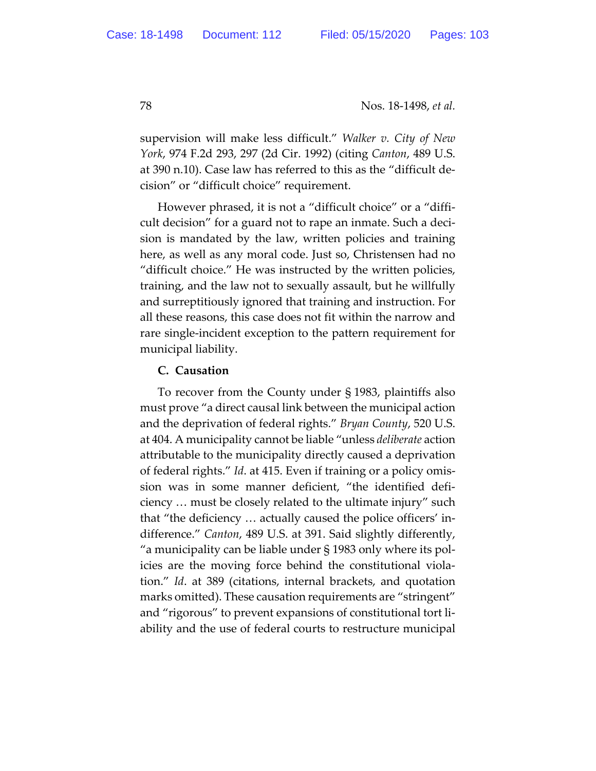supervision will make less difficult." *Walker v. City of New York*, 974 F.2d 293, 297 (2d Cir. 1992) (citing *Canton*, 489 U.S. at 390 n.10). Case law has referred to this as the "difficult decision" or "difficult choice" requirement.

However phrased, it is not a "difficult choice" or a "difficult decision" for a guard not to rape an inmate. Such a decision is mandated by the law, written policies and training here, as well as any moral code. Just so, Christensen had no "difficult choice." He was instructed by the written policies, training, and the law not to sexually assault, but he willfully and surreptitiously ignored that training and instruction. For all these reasons, this case does not fit within the narrow and rare single-incident exception to the pattern requirement for municipal liability.

#### **C. Causation**

To recover from the County under § 1983, plaintiffs also must prove "a direct causal link between the municipal action and the deprivation of federal rights." *Bryan County*, 520 U.S. at 404. A municipality cannot be liable "unless *deliberate* action attributable to the municipality directly caused a deprivation of federal rights." *Id*. at 415. Even if training or a policy omission was in some manner deficient, "the identified deficiency … must be closely related to the ultimate injury" such that "the deficiency … actually caused the police officers' indifference." *Canton*, 489 U.S. at 391. Said slightly differently, "a municipality can be liable under § 1983 only where its policies are the moving force behind the constitutional violation." *Id*. at 389 (citations, internal brackets, and quotation marks omitted). These causation requirements are "stringent" and "rigorous" to prevent expansions of constitutional tort liability and the use of federal courts to restructure municipal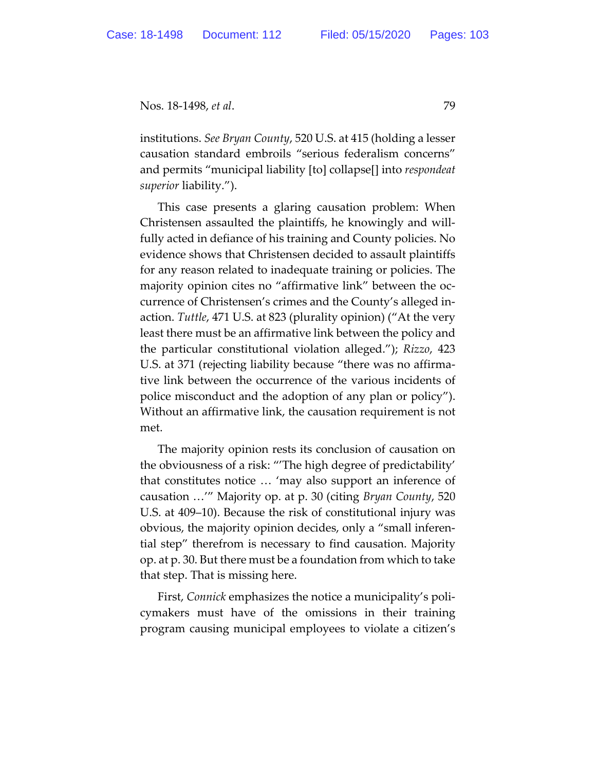institutions. *See Bryan County*, 520 U.S. at 415 (holding a lesser causation standard embroils "serious federalism concerns" and permits "municipal liability [to] collapse[] into *respondeat superior* liability.").

This case presents a glaring causation problem: When Christensen assaulted the plaintiffs, he knowingly and willfully acted in defiance of his training and County policies. No evidence shows that Christensen decided to assault plaintiffs for any reason related to inadequate training or policies. The majority opinion cites no "affirmative link" between the occurrence of Christensen's crimes and the County's alleged inaction. *Tuttle*, 471 U.S. at 823 (plurality opinion) ("At the very least there must be an affirmative link between the policy and the particular constitutional violation alleged."); *Rizzo*, 423 U.S. at 371 (rejecting liability because "there was no affirmative link between the occurrence of the various incidents of police misconduct and the adoption of any plan or policy"). Without an affirmative link, the causation requirement is not met.

The majority opinion rests its conclusion of causation on the obviousness of a risk: "'The high degree of predictability' that constitutes notice … 'may also support an inference of causation …'" Majority op. at p. 30 (citing *Bryan County*, 520 U.S. at 409–10). Because the risk of constitutional injury was obvious, the majority opinion decides, only a "small inferential step" therefrom is necessary to find causation. Majority op. at p. 30. But there must be a foundation from which to take that step. That is missing here.

First, *Connick* emphasizes the notice a municipality's policymakers must have of the omissions in their training program causing municipal employees to violate a citizen's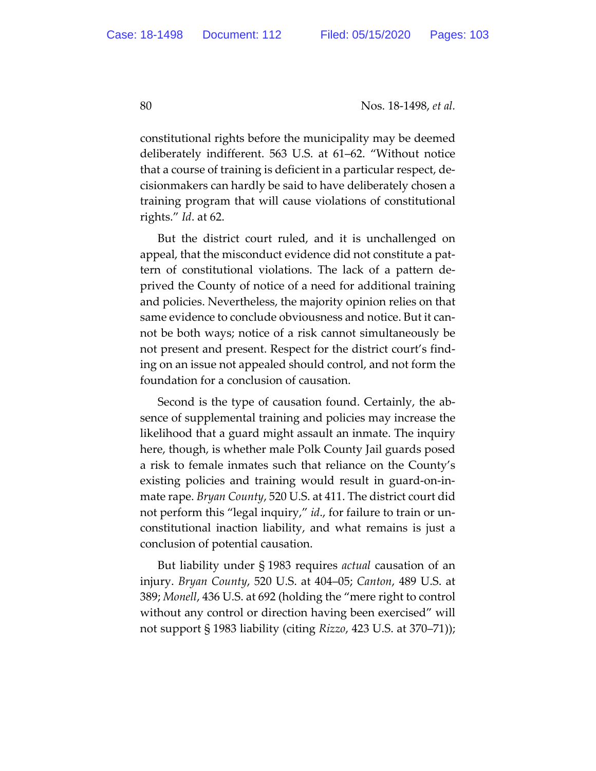constitutional rights before the municipality may be deemed deliberately indifferent. 563 U.S. at 61–62. "Without notice that a course of training is deficient in a particular respect, decisionmakers can hardly be said to have deliberately chosen a training program that will cause violations of constitutional rights." *Id*. at 62.

But the district court ruled, and it is unchallenged on appeal, that the misconduct evidence did not constitute a pattern of constitutional violations. The lack of a pattern deprived the County of notice of a need for additional training and policies. Nevertheless, the majority opinion relies on that same evidence to conclude obviousness and notice. But it cannot be both ways; notice of a risk cannot simultaneously be not present and present. Respect for the district court's finding on an issue not appealed should control, and not form the foundation for a conclusion of causation.

Second is the type of causation found. Certainly, the absence of supplemental training and policies may increase the likelihood that a guard might assault an inmate. The inquiry here, though, is whether male Polk County Jail guards posed a risk to female inmates such that reliance on the County's existing policies and training would result in guard-on-inmate rape. *Bryan County*, 520 U.S. at 411. The district court did not perform this "legal inquiry," *id*., for failure to train or unconstitutional inaction liability, and what remains is just a conclusion of potential causation.

But liability under § 1983 requires *actual* causation of an injury. *Bryan County*, 520 U.S. at 404–05; *Canton*, 489 U.S. at 389; *Monell*, 436 U.S. at 692 (holding the "mere right to control without any control or direction having been exercised" will not support § 1983 liability (citing *Rizzo*, 423 U.S. at 370–71));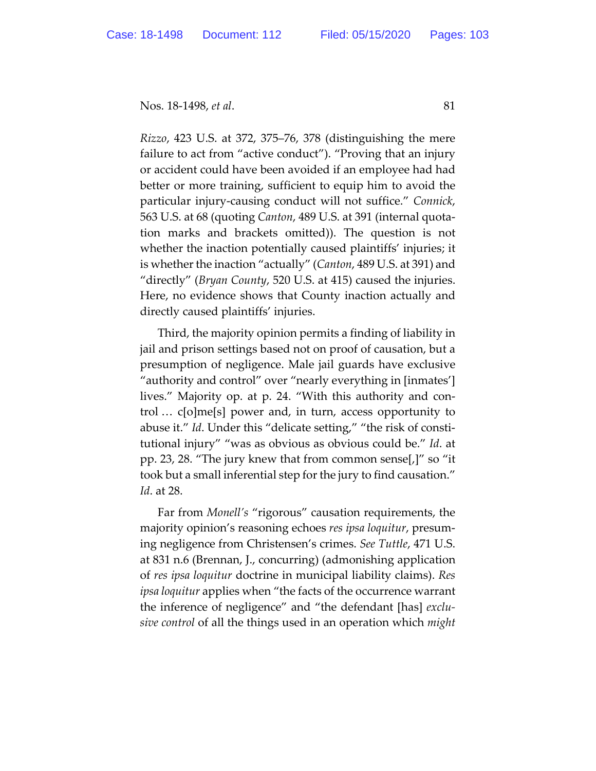*Rizzo*, 423 U.S. at 372, 375–76, 378 (distinguishing the mere failure to act from "active conduct"). "Proving that an injury or accident could have been avoided if an employee had had better or more training, sufficient to equip him to avoid the particular injury-causing conduct will not suffice." *Connick*, 563 U.S. at 68 (quoting *Canton*, 489 U.S. at 391 (internal quotation marks and brackets omitted)). The question is not whether the inaction potentially caused plaintiffs' injuries; it is whether the inaction "actually" (*Canton*, 489 U.S. at 391) and "directly" (*Bryan County*, 520 U.S. at 415) caused the injuries. Here, no evidence shows that County inaction actually and directly caused plaintiffs' injuries.

Third, the majority opinion permits a finding of liability in jail and prison settings based not on proof of causation, but a presumption of negligence. Male jail guards have exclusive "authority and control" over "nearly everything in [inmates'] lives." Majority op. at p. 24. "With this authority and control … c[o]me[s] power and, in turn, access opportunity to abuse it." *Id*. Under this "delicate setting," "the risk of constitutional injury" "was as obvious as obvious could be." *Id*. at pp. 23, 28. "The jury knew that from common sense[,]" so "it took but a small inferential step for the jury to find causation." *Id*. at 28.

Far from *Monell's* "rigorous" causation requirements, the majority opinion's reasoning echoes *res ipsa loquitur*, presuming negligence from Christensen's crimes. *See Tuttle*, 471 U.S. at 831 n.6 (Brennan, J., concurring) (admonishing application of *res ipsa loquitur* doctrine in municipal liability claims). *Res ipsa loquitur* applies when "the facts of the occurrence warrant the inference of negligence" and "the defendant [has] *exclusive control* of all the things used in an operation which *might*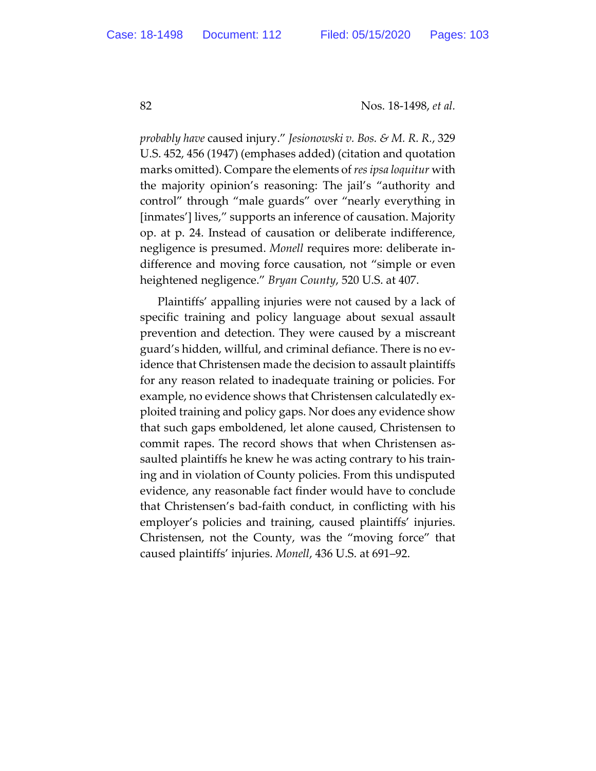*probably have* caused injury." *Jesionowski v. Bos. & M. R. R.*, 329 U.S. 452, 456 (1947) (emphases added) (citation and quotation marks omitted). Compare the elements of *res ipsa loquitur* with the majority opinion's reasoning: The jail's "authority and control" through "male guards" over "nearly everything in [inmates'] lives," supports an inference of causation. Majority op. at p. 24. Instead of causation or deliberate indifference, negligence is presumed. *Monell* requires more: deliberate indifference and moving force causation, not "simple or even heightened negligence." *Bryan County*, 520 U.S. at 407.

Plaintiffs' appalling injuries were not caused by a lack of specific training and policy language about sexual assault prevention and detection. They were caused by a miscreant guard's hidden, willful, and criminal defiance. There is no evidence that Christensen made the decision to assault plaintiffs for any reason related to inadequate training or policies. For example, no evidence shows that Christensen calculatedly exploited training and policy gaps. Nor does any evidence show that such gaps emboldened, let alone caused, Christensen to commit rapes. The record shows that when Christensen assaulted plaintiffs he knew he was acting contrary to his training and in violation of County policies. From this undisputed evidence, any reasonable fact finder would have to conclude that Christensen's bad-faith conduct, in conflicting with his employer's policies and training, caused plaintiffs' injuries. Christensen, not the County, was the "moving force" that caused plaintiffs' injuries. *Monell*, 436 U.S. at 691–92.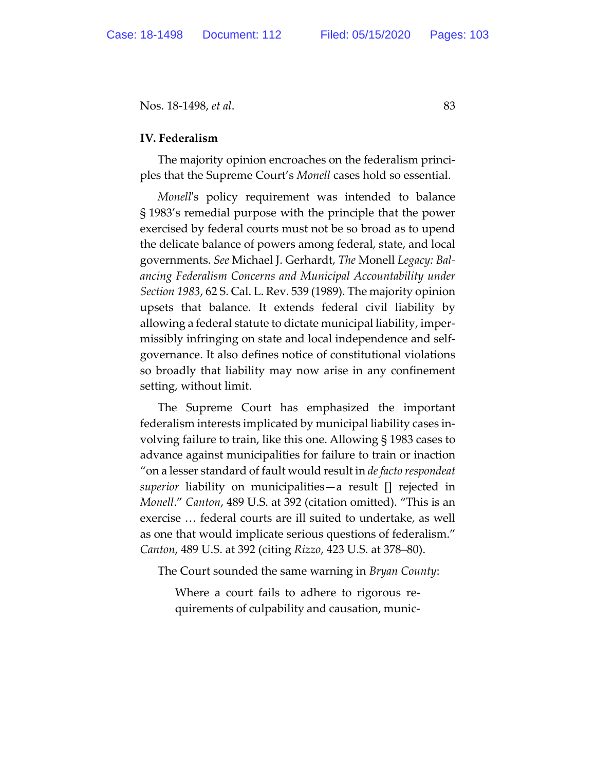### **IV. Federalism**

The majority opinion encroaches on the federalism principles that the Supreme Court's *Monell* cases hold so essential.

*Monell*'s policy requirement was intended to balance § 1983's remedial purpose with the principle that the power exercised by federal courts must not be so broad as to upend the delicate balance of powers among federal, state, and local governments. *See* Michael J. Gerhardt, *The* Monell *Legacy: Balancing Federalism Concerns and Municipal Accountability under Section 1983*, 62 S. Cal. L. Rev. 539 (1989). The majority opinion upsets that balance. It extends federal civil liability by allowing a federal statute to dictate municipal liability, impermissibly infringing on state and local independence and selfgovernance. It also defines notice of constitutional violations so broadly that liability may now arise in any confinement setting, without limit.

The Supreme Court has emphasized the important federalism interests implicated by municipal liability cases involving failure to train, like this one. Allowing § 1983 cases to advance against municipalities for failure to train or inaction "on a lesser standard of fault would result in *de facto respondeat superior* liability on municipalities—a result [] rejected in *Monell*." *Canton*, 489 U.S. at 392 (citation omitted). "This is an exercise … federal courts are ill suited to undertake, as well as one that would implicate serious questions of federalism." *Canton*, 489 U.S. at 392 (citing *Rizzo*, 423 U.S. at 378–80).

The Court sounded the same warning in *Bryan County*:

Where a court fails to adhere to rigorous requirements of culpability and causation, munic-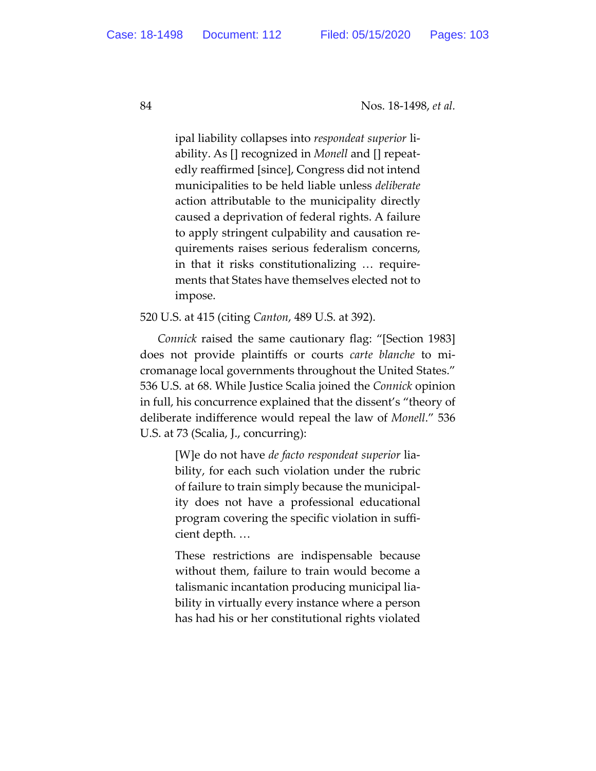ipal liability collapses into *respondeat superior* liability. As [] recognized in *Monell* and [] repeatedly reaffirmed [since], Congress did not intend municipalities to be held liable unless *deliberate* action attributable to the municipality directly caused a deprivation of federal rights. A failure to apply stringent culpability and causation requirements raises serious federalism concerns, in that it risks constitutionalizing … requirements that States have themselves elected not to impose.

520 U.S. at 415 (citing *Canton*, 489 U.S. at 392).

*Connick* raised the same cautionary flag: "[Section 1983] does not provide plaintiffs or courts *carte blanche* to micromanage local governments throughout the United States." 536 U.S. at 68. While Justice Scalia joined the *Connick* opinion in full, his concurrence explained that the dissent's "theory of deliberate indifference would repeal the law of *Monell*." 536 U.S. at 73 (Scalia, J., concurring):

> [W]e do not have *de facto respondeat superior* liability, for each such violation under the rubric of failure to train simply because the municipality does not have a professional educational program covering the specific violation in sufficient depth. …

> These restrictions are indispensable because without them, failure to train would become a talismanic incantation producing municipal liability in virtually every instance where a person has had his or her constitutional rights violated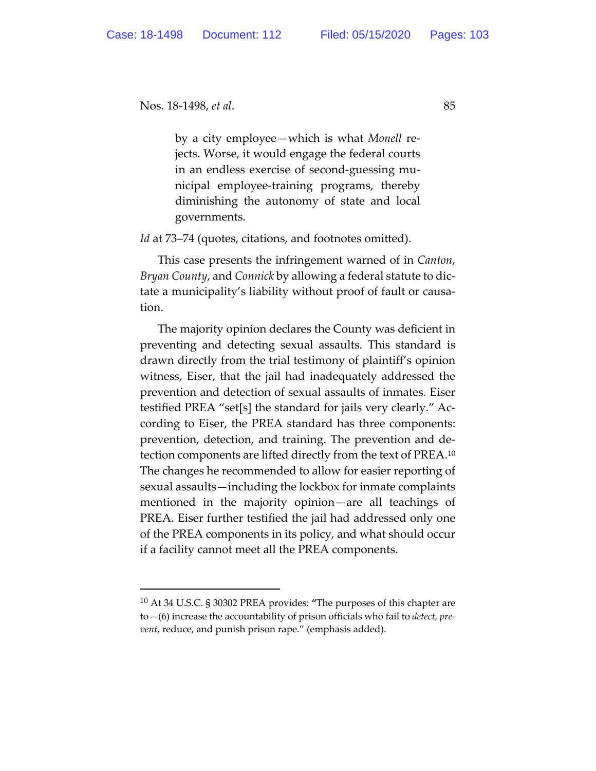by a city employee—which is what *Monell* rejects. Worse, it would engage the federal courts in an endless exercise of second-guessing municipal employee-training programs, thereby diminishing the autonomy of state and local governments.

*Id* at 73–74 (quotes, citations, and footnotes omitted).

This case presents the infringement warned of in *Canton*, *Bryan County*, and *Connick* by allowing a federal statute to dictate a municipality's liability without proof of fault or causation.

The majority opinion declares the County was deficient in preventing and detecting sexual assaults. This standard is drawn directly from the trial testimony of plaintiff's opinion witness, Eiser, that the jail had inadequately addressed the prevention and detection of sexual assaults of inmates. Eiser testified PREA "set[s] the standard for jails very clearly." According to Eiser, the PREA standard has three components: prevention, detection, and training. The prevention and detection components are lifted directly from the text of PREA.10 The changes he recommended to allow for easier reporting of sexual assaults—including the lockbox for inmate complaints mentioned in the majority opinion—are all teachings of PREA. Eiser further testified the jail had addressed only one of the PREA components in its policy, and what should occur if a facility cannot meet all the PREA components.

<sup>10</sup> At 34 U.S.C. § 30302 PREA provides: **"**The purposes of this chapter are to—(6) increase the accountability of prison officials who fail to *detect, prevent*, reduce, and punish prison rape." (emphasis added).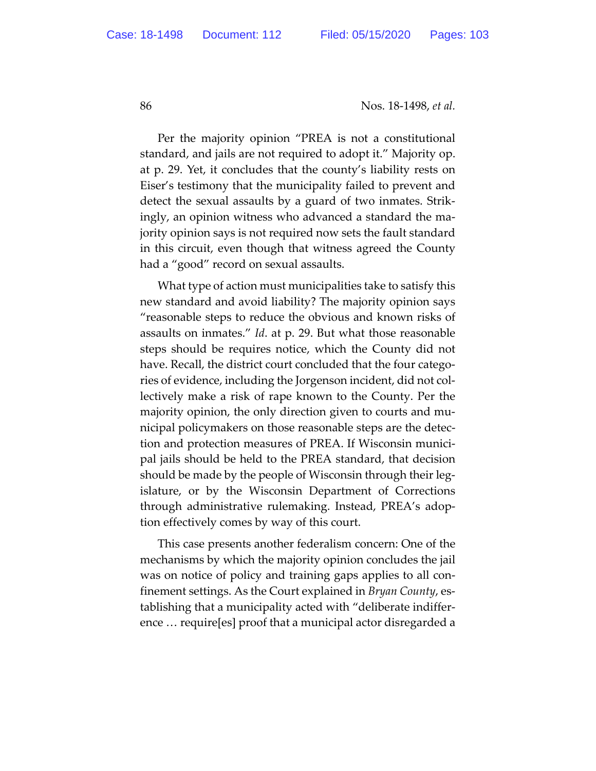Per the majority opinion "PREA is not a constitutional standard, and jails are not required to adopt it." Majority op. at p. 29. Yet, it concludes that the county's liability rests on Eiser's testimony that the municipality failed to prevent and detect the sexual assaults by a guard of two inmates. Strikingly, an opinion witness who advanced a standard the majority opinion says is not required now sets the fault standard in this circuit, even though that witness agreed the County had a "good" record on sexual assaults.

What type of action must municipalities take to satisfy this new standard and avoid liability? The majority opinion says "reasonable steps to reduce the obvious and known risks of assaults on inmates." *Id*. at p. 29. But what those reasonable steps should be requires notice, which the County did not have. Recall, the district court concluded that the four categories of evidence, including the Jorgenson incident, did not collectively make a risk of rape known to the County. Per the majority opinion, the only direction given to courts and municipal policymakers on those reasonable steps are the detection and protection measures of PREA. If Wisconsin municipal jails should be held to the PREA standard, that decision should be made by the people of Wisconsin through their legislature, or by the Wisconsin Department of Corrections through administrative rulemaking. Instead, PREA's adoption effectively comes by way of this court.

This case presents another federalism concern: One of the mechanisms by which the majority opinion concludes the jail was on notice of policy and training gaps applies to all confinement settings. As the Court explained in *Bryan County*, establishing that a municipality acted with "deliberate indifference … require[es] proof that a municipal actor disregarded a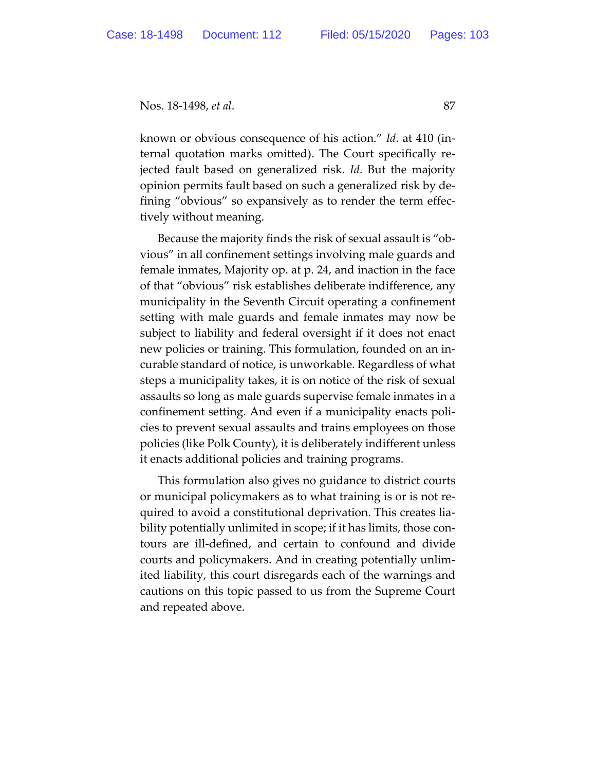known or obvious consequence of his action." *Id*. at 410 (internal quotation marks omitted). The Court specifically rejected fault based on generalized risk. *Id*. But the majority opinion permits fault based on such a generalized risk by defining "obvious" so expansively as to render the term effectively without meaning.

Because the majority finds the risk of sexual assault is "obvious" in all confinement settings involving male guards and female inmates, Majority op. at p. 24, and inaction in the face of that "obvious" risk establishes deliberate indifference, any municipality in the Seventh Circuit operating a confinement setting with male guards and female inmates may now be subject to liability and federal oversight if it does not enact new policies or training. This formulation, founded on an incurable standard of notice, is unworkable. Regardless of what steps a municipality takes, it is on notice of the risk of sexual assaults so long as male guards supervise female inmates in a confinement setting. And even if a municipality enacts policies to prevent sexual assaults and trains employees on those policies (like Polk County), it is deliberately indifferent unless it enacts additional policies and training programs.

This formulation also gives no guidance to district courts or municipal policymakers as to what training is or is not required to avoid a constitutional deprivation. This creates liability potentially unlimited in scope; if it has limits, those contours are ill-defined, and certain to confound and divide courts and policymakers. And in creating potentially unlimited liability, this court disregards each of the warnings and cautions on this topic passed to us from the Supreme Court and repeated above.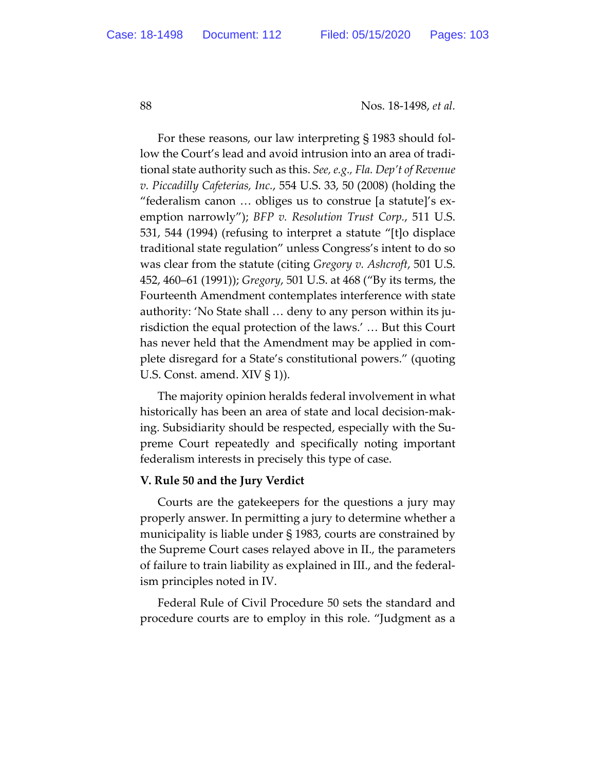For these reasons, our law interpreting § 1983 should follow the Court's lead and avoid intrusion into an area of traditional state authority such as this. *See, e.g., Fla. Dep't of Revenue v. Piccadilly Cafeterias, Inc.*, 554 U.S. 33, 50 (2008) (holding the "federalism canon … obliges us to construe [a statute]'s exemption narrowly"); *BFP v. Resolution Trust Corp.*, 511 U.S. 531, 544 (1994) (refusing to interpret a statute "[t]o displace traditional state regulation" unless Congress's intent to do so was clear from the statute (citing *Gregory v. Ashcroft*, 501 U.S. 452, 460–61 (1991)); *Gregory*, 501 U.S. at 468 ("By its terms, the Fourteenth Amendment contemplates interference with state authority: 'No State shall … deny to any person within its jurisdiction the equal protection of the laws.' … But this Court has never held that the Amendment may be applied in complete disregard for a State's constitutional powers." (quoting U.S. Const. amend. XIV § 1)).

The majority opinion heralds federal involvement in what historically has been an area of state and local decision-making. Subsidiarity should be respected, especially with the Supreme Court repeatedly and specifically noting important federalism interests in precisely this type of case.

### **V. Rule 50 and the Jury Verdict**

Courts are the gatekeepers for the questions a jury may properly answer. In permitting a jury to determine whether a municipality is liable under § 1983, courts are constrained by the Supreme Court cases relayed above in II., the parameters of failure to train liability as explained in III., and the federalism principles noted in IV.

Federal Rule of Civil Procedure 50 sets the standard and procedure courts are to employ in this role. "Judgment as a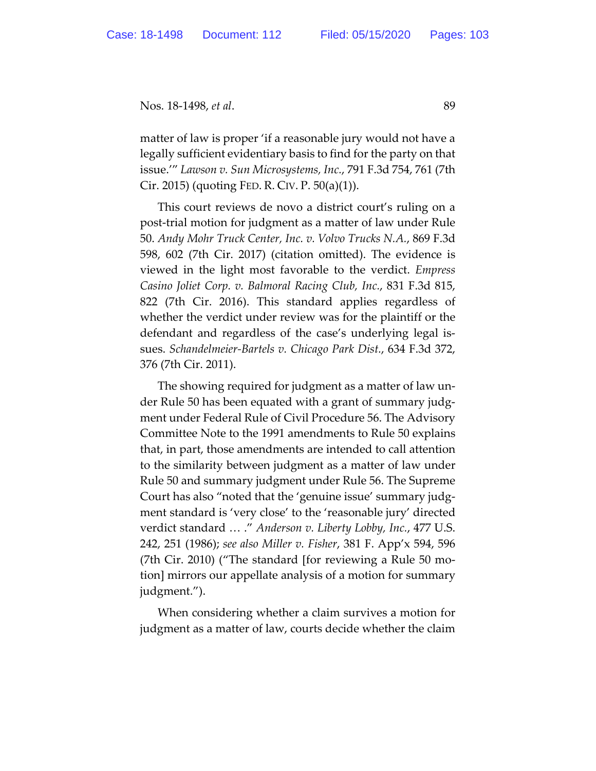matter of law is proper 'if a reasonable jury would not have a legally sufficient evidentiary basis to find for the party on that issue.'" *Lawson v. Sun Microsystems, Inc.*, 791 F.3d 754, 761 (7th Cir. 2015) (quoting FED. R. CIV. P. 50(a)(1)).

This court reviews de novo a district court's ruling on a post-trial motion for judgment as a matter of law under Rule 50. *Andy Mohr Truck Center, Inc. v. Volvo Trucks N.A.*, 869 F.3d 598, 602 (7th Cir. 2017) (citation omitted). The evidence is viewed in the light most favorable to the verdict. *Empress Casino Joliet Corp. v. Balmoral Racing Club, Inc.*, 831 F.3d 815, 822 (7th Cir. 2016). This standard applies regardless of whether the verdict under review was for the plaintiff or the defendant and regardless of the case's underlying legal issues. *Schandelmeier-Bartels v. Chicago Park Dist.*, 634 F.3d 372, 376 (7th Cir. 2011).

The showing required for judgment as a matter of law under Rule 50 has been equated with a grant of summary judgment under Federal Rule of Civil Procedure 56. The Advisory Committee Note to the 1991 amendments to Rule 50 explains that, in part, those amendments are intended to call attention to the similarity between judgment as a matter of law under Rule 50 and summary judgment under Rule 56. The Supreme Court has also "noted that the 'genuine issue' summary judgment standard is 'very close' to the 'reasonable jury' directed verdict standard … ." *Anderson v. Liberty Lobby, Inc.*, 477 U.S. 242, 251 (1986); *see also Miller v. Fisher*, 381 F. App'x 594, 596 (7th Cir. 2010) ("The standard [for reviewing a Rule 50 motion] mirrors our appellate analysis of a motion for summary judgment.").

When considering whether a claim survives a motion for judgment as a matter of law, courts decide whether the claim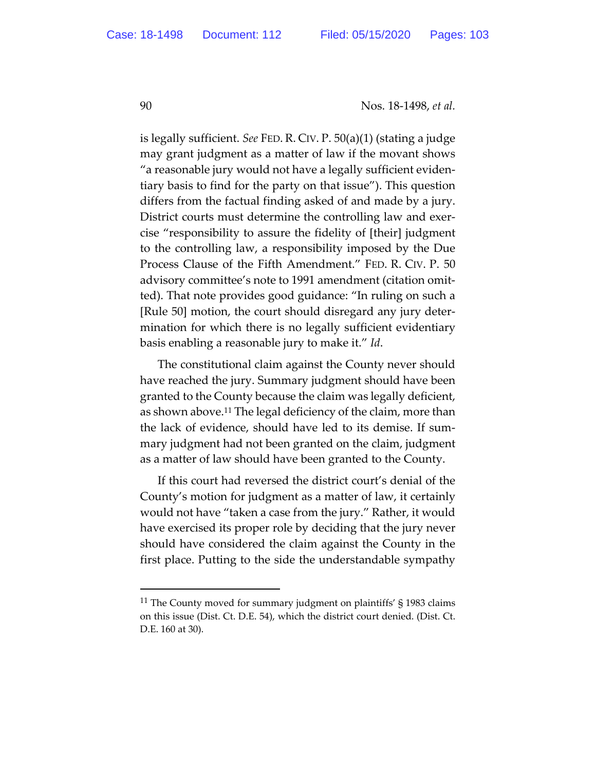is legally sufficient. *See* FED. R. CIV. P. 50(a)(1) (stating a judge may grant judgment as a matter of law if the movant shows "a reasonable jury would not have a legally sufficient evidentiary basis to find for the party on that issue"). This question differs from the factual finding asked of and made by a jury. District courts must determine the controlling law and exercise "responsibility to assure the fidelity of [their] judgment to the controlling law, a responsibility imposed by the Due Process Clause of the Fifth Amendment." FED. R. CIV. P. 50 advisory committee's note to 1991 amendment (citation omitted). That note provides good guidance: "In ruling on such a [Rule 50] motion, the court should disregard any jury determination for which there is no legally sufficient evidentiary basis enabling a reasonable jury to make it." *Id*.

The constitutional claim against the County never should have reached the jury. Summary judgment should have been granted to the County because the claim was legally deficient, as shown above.11 The legal deficiency of the claim, more than the lack of evidence, should have led to its demise. If summary judgment had not been granted on the claim, judgment as a matter of law should have been granted to the County.

If this court had reversed the district court's denial of the County's motion for judgment as a matter of law, it certainly would not have "taken a case from the jury." Rather, it would have exercised its proper role by deciding that the jury never should have considered the claim against the County in the first place. Putting to the side the understandable sympathy

<sup>&</sup>lt;sup>11</sup> The County moved for summary judgment on plaintiffs'  $\S$  1983 claims on this issue (Dist. Ct. D.E. 54), which the district court denied. (Dist. Ct. D.E. 160 at 30).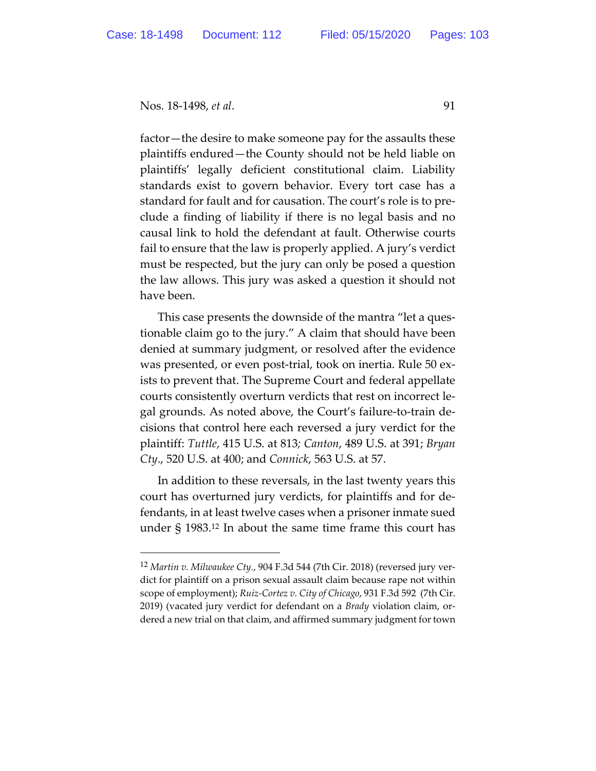factor—the desire to make someone pay for the assaults these plaintiffs endured—the County should not be held liable on plaintiffs' legally deficient constitutional claim. Liability standards exist to govern behavior. Every tort case has a standard for fault and for causation. The court's role is to preclude a finding of liability if there is no legal basis and no causal link to hold the defendant at fault. Otherwise courts fail to ensure that the law is properly applied. A jury's verdict must be respected, but the jury can only be posed a question the law allows. This jury was asked a question it should not have been.

This case presents the downside of the mantra "let a questionable claim go to the jury." A claim that should have been denied at summary judgment, or resolved after the evidence was presented, or even post-trial, took on inertia. Rule 50 exists to prevent that. The Supreme Court and federal appellate courts consistently overturn verdicts that rest on incorrect legal grounds. As noted above, the Court's failure-to-train decisions that control here each reversed a jury verdict for the plaintiff: *Tuttle*, 415 U.S. at 813*; Canton*, 489 U.S. at 391; *Bryan Cty*., 520 U.S. at 400; and *Connick*, 563 U.S. at 57.

In addition to these reversals, in the last twenty years this court has overturned jury verdicts, for plaintiffs and for defendants, in at least twelve cases when a prisoner inmate sued under § 1983.12 In about the same time frame this court has

<sup>12</sup> *Martin v. Milwaukee Cty.*, 904 F.3d 544 (7th Cir. 2018) (reversed jury verdict for plaintiff on a prison sexual assault claim because rape not within scope of employment); *Ruiz-Cortez v. City of Chicago*, 931 F.3d 592 (7th Cir. 2019) (vacated jury verdict for defendant on a *Brady* violation claim, ordered a new trial on that claim, and affirmed summary judgment for town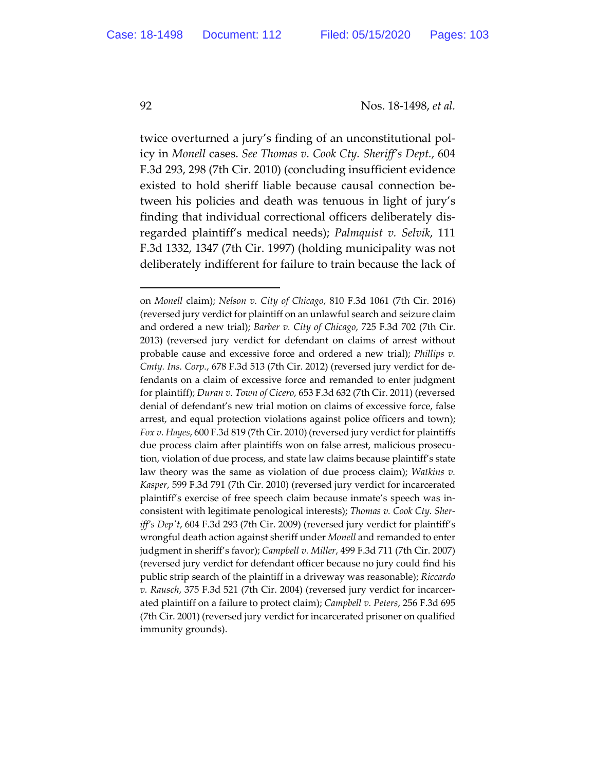twice overturned a jury's finding of an unconstitutional policy in *Monell* cases. *See Thomas v. Cook Cty. Sheriff's Dept.*, 604 F.3d 293, 298 (7th Cir. 2010) (concluding insufficient evidence existed to hold sheriff liable because causal connection between his policies and death was tenuous in light of jury's finding that individual correctional officers deliberately disregarded plaintiff's medical needs); *Palmquist v. Selvik*, 111 F.3d 1332, 1347 (7th Cir. 1997) (holding municipality was not deliberately indifferent for failure to train because the lack of

on *Monell* claim); *Nelson v. City of Chicago*, 810 F.3d 1061 (7th Cir. 2016) (reversed jury verdict for plaintiff on an unlawful search and seizure claim and ordered a new trial); *Barber v. City of Chicago*, 725 F.3d 702 (7th Cir. 2013) (reversed jury verdict for defendant on claims of arrest without probable cause and excessive force and ordered a new trial); *Phillips v. Cmty. Ins. Corp.*, 678 F.3d 513 (7th Cir. 2012) (reversed jury verdict for defendants on a claim of excessive force and remanded to enter judgment for plaintiff); *Duran v. Town of Cicero*, 653 F.3d 632 (7th Cir. 2011) (reversed denial of defendant's new trial motion on claims of excessive force, false arrest, and equal protection violations against police officers and town); *Fox v. Hayes*, 600 F.3d 819 (7th Cir. 2010) (reversed jury verdict for plaintiffs due process claim after plaintiffs won on false arrest, malicious prosecution, violation of due process, and state law claims because plaintiff's state law theory was the same as violation of due process claim); *Watkins v. Kasper*, 599 F.3d 791 (7th Cir. 2010) (reversed jury verdict for incarcerated plaintiff's exercise of free speech claim because inmate's speech was inconsistent with legitimate penological interests); *Thomas v. Cook Cty. Sheriff's Dep't*, 604 F.3d 293 (7th Cir. 2009) (reversed jury verdict for plaintiff's wrongful death action against sheriff under *Monell* and remanded to enter judgment in sheriff's favor); *Campbell v. Miller*, 499 F.3d 711 (7th Cir. 2007) (reversed jury verdict for defendant officer because no jury could find his public strip search of the plaintiff in a driveway was reasonable); *Riccardo v. Rausch*, 375 F.3d 521 (7th Cir. 2004) (reversed jury verdict for incarcerated plaintiff on a failure to protect claim); *Campbell v. Peters*, 256 F.3d 695 (7th Cir. 2001) (reversed jury verdict for incarcerated prisoner on qualified immunity grounds).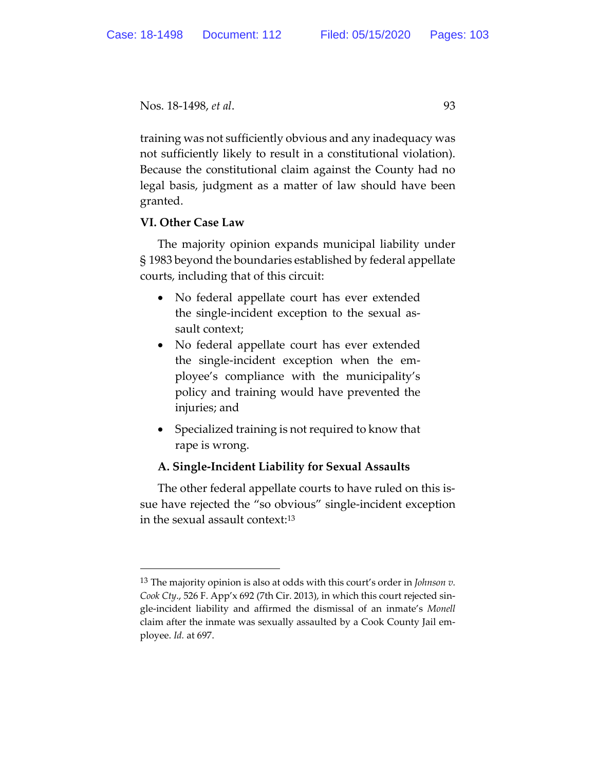```
Nos. 18-1498, et al. 93
```
training was not sufficiently obvious and any inadequacy was not sufficiently likely to result in a constitutional violation). Because the constitutional claim against the County had no legal basis, judgment as a matter of law should have been granted.

# **VI. Other Case Law**

The majority opinion expands municipal liability under § 1983 beyond the boundaries established by federal appellate courts, including that of this circuit:

- No federal appellate court has ever extended the single-incident exception to the sexual assault context;
- No federal appellate court has ever extended the single-incident exception when the employee's compliance with the municipality's policy and training would have prevented the injuries; and
- Specialized training is not required to know that rape is wrong.

# **A. Single-Incident Liability for Sexual Assaults**

The other federal appellate courts to have ruled on this issue have rejected the "so obvious" single-incident exception in the sexual assault context:13

<sup>13</sup> The majority opinion is also at odds with this court's order in *Johnson v. Cook Cty*., 526 F. App'x 692 (7th Cir. 2013), in which this court rejected single-incident liability and affirmed the dismissal of an inmate's *Monell* claim after the inmate was sexually assaulted by a Cook County Jail employee. *Id.* at 697.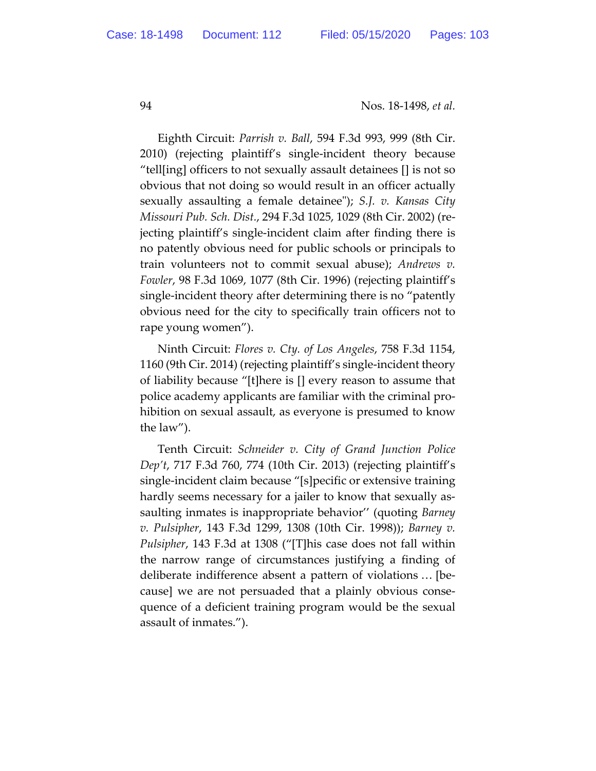Eighth Circuit: *Parrish v. Ball*, 594 F.3d 993, 999 (8th Cir. 2010) (rejecting plaintiff's single-incident theory because "tell[ing] officers to not sexually assault detainees [] is not so obvious that not doing so would result in an officer actually sexually assaulting a female detainee"); *S.J. v. Kansas City Missouri Pub. Sch. Dist.*, 294 F.3d 1025, 1029 (8th Cir. 2002) (rejecting plaintiff's single-incident claim after finding there is no patently obvious need for public schools or principals to train volunteers not to commit sexual abuse); *Andrews v. Fowler*, 98 F.3d 1069, 1077 (8th Cir. 1996) (rejecting plaintiff's single-incident theory after determining there is no "patently obvious need for the city to specifically train officers not to rape young women").

Ninth Circuit: *Flores v. Cty. of Los Angeles*, 758 F.3d 1154, 1160 (9th Cir. 2014) (rejecting plaintiff's single-incident theory of liability because "[t]here is [] every reason to assume that police academy applicants are familiar with the criminal prohibition on sexual assault, as everyone is presumed to know the law").

Tenth Circuit: *Schneider v. City of Grand Junction Police Dep't*, 717 F.3d 760, 774 (10th Cir. 2013) (rejecting plaintiff's single-incident claim because "[s]pecific or extensive training hardly seems necessary for a jailer to know that sexually assaulting inmates is inappropriate behavior'' (quoting *Barney v. Pulsipher*, 143 F.3d 1299, 1308 (10th Cir. 1998)); *Barney v. Pulsipher*, 143 F.3d at 1308 ("[T]his case does not fall within the narrow range of circumstances justifying a finding of deliberate indifference absent a pattern of violations … [because] we are not persuaded that a plainly obvious consequence of a deficient training program would be the sexual assault of inmates.").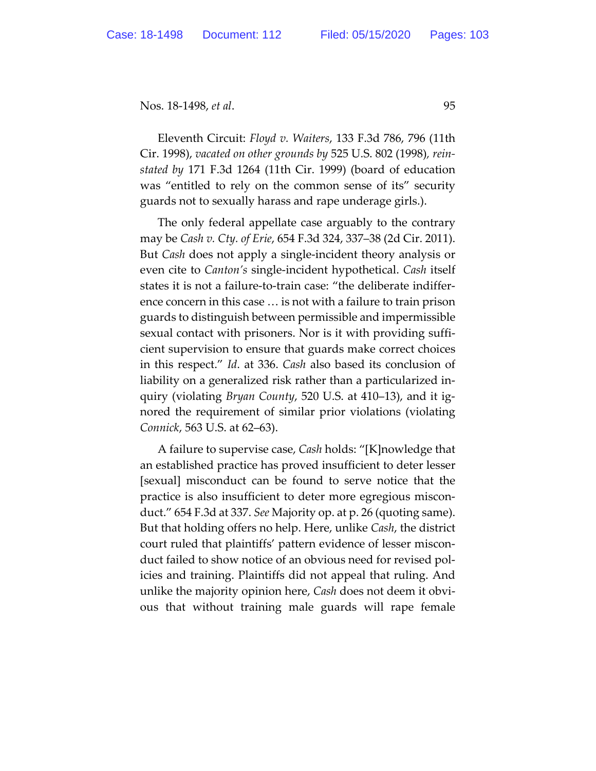Eleventh Circuit: *Floyd v. Waiters*, 133 F.3d 786, 796 (11th Cir. 1998), *vacated on other grounds by* 525 U.S. 802 (1998)*, reinstated by* 171 F.3d 1264 (11th Cir. 1999) (board of education was "entitled to rely on the common sense of its" security guards not to sexually harass and rape underage girls.).

The only federal appellate case arguably to the contrary may be *Cash v. Cty. of Erie*, 654 F.3d 324, 337–38 (2d Cir. 2011). But *Cash* does not apply a single-incident theory analysis or even cite to *Canton's* single-incident hypothetical. *Cash* itself states it is not a failure-to-train case: "the deliberate indifference concern in this case … is not with a failure to train prison guards to distinguish between permissible and impermissible sexual contact with prisoners. Nor is it with providing sufficient supervision to ensure that guards make correct choices in this respect." *Id*. at 336. *Cash* also based its conclusion of liability on a generalized risk rather than a particularized inquiry (violating *Bryan County*, 520 U.S. at 410–13), and it ignored the requirement of similar prior violations (violating *Connick*, 563 U.S. at 62–63).

A failure to supervise case, *Cash* holds: "[K]nowledge that an established practice has proved insufficient to deter lesser [sexual] misconduct can be found to serve notice that the practice is also insufficient to deter more egregious misconduct." 654 F.3d at 337. *See* Majority op. at p. 26 (quoting same). But that holding offers no help. Here, unlike *Cash*, the district court ruled that plaintiffs' pattern evidence of lesser misconduct failed to show notice of an obvious need for revised policies and training. Plaintiffs did not appeal that ruling. And unlike the majority opinion here, *Cash* does not deem it obvious that without training male guards will rape female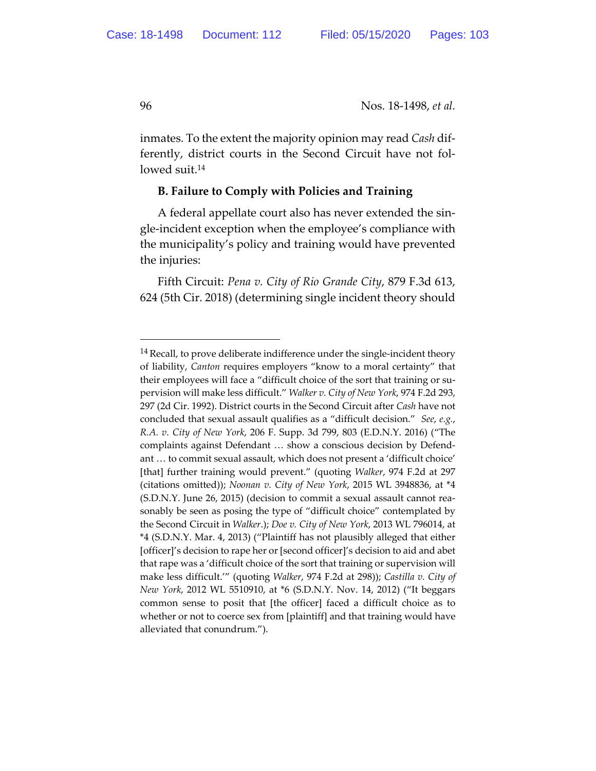inmates. To the extent the majority opinion may read *Cash* differently, district courts in the Second Circuit have not followed suit.<sup>14</sup>

#### **B. Failure to Comply with Policies and Training**

A federal appellate court also has never extended the single-incident exception when the employee's compliance with the municipality's policy and training would have prevented the injuries:

Fifth Circuit: *Pena v. City of Rio Grande City*, 879 F.3d 613, 624 (5th Cir. 2018) (determining single incident theory should

<sup>&</sup>lt;sup>14</sup> Recall, to prove deliberate indifference under the single-incident theory of liability, *Canton* requires employers "know to a moral certainty" that their employees will face a "difficult choice of the sort that training or supervision will make less difficult." *Walker v. City of New York*, 974 F.2d 293, 297 (2d Cir. 1992). District courts in the Second Circuit after *Cash* have not concluded that sexual assault qualifies as a "difficult decision." *See*, *e.g.*, *R.A. v. City of New York*, 206 F. Supp. 3d 799, 803 (E.D.N.Y. 2016) ("The complaints against Defendant … show a conscious decision by Defendant … to commit sexual assault, which does not present a 'difficult choice' [that] further training would prevent." (quoting *Walker*, 974 F.2d at 297 (citations omitted)); *Noonan v. City of New York*, 2015 WL 3948836, at \*4 (S.D.N.Y. June 26, 2015) (decision to commit a sexual assault cannot reasonably be seen as posing the type of "difficult choice" contemplated by the Second Circuit in *Walker*.); *Doe v. City of New York*, 2013 WL 796014, at \*4 (S.D.N.Y. Mar. 4, 2013) ("Plaintiff has not plausibly alleged that either [officer]'s decision to rape her or [second officer]'s decision to aid and abet that rape was a 'difficult choice of the sort that training or supervision will make less difficult.'" (quoting *Walker*, 974 F.2d at 298)); *Castilla v. City of New York*, 2012 WL 5510910, at \*6 (S.D.N.Y. Nov. 14, 2012) ("It beggars common sense to posit that [the officer] faced a difficult choice as to whether or not to coerce sex from [plaintiff] and that training would have alleviated that conundrum.").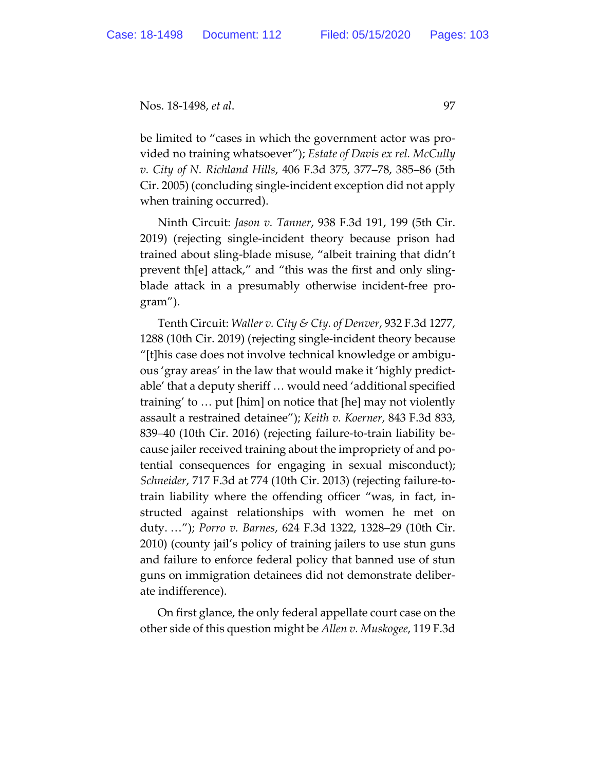be limited to "cases in which the government actor was provided no training whatsoever"); *Estate of Davis ex rel. McCully v. City of N. Richland Hills*, 406 F.3d 375, 377–78, 385–86 (5th Cir. 2005) (concluding single-incident exception did not apply when training occurred).

Ninth Circuit: *Jason v. Tanner*, 938 F.3d 191, 199 (5th Cir. 2019) (rejecting single-incident theory because prison had trained about sling-blade misuse, "albeit training that didn't prevent th[e] attack," and "this was the first and only slingblade attack in a presumably otherwise incident-free program").

Tenth Circuit: *Waller v. City & Cty. of Denver*, 932 F.3d 1277, 1288 (10th Cir. 2019) (rejecting single-incident theory because "[t]his case does not involve technical knowledge or ambiguous 'gray areas' in the law that would make it 'highly predictable' that a deputy sheriff … would need 'additional specified training' to … put [him] on notice that [he] may not violently assault a restrained detainee"); *Keith v. Koerner*, 843 F.3d 833, 839–40 (10th Cir. 2016) (rejecting failure-to-train liability because jailer received training about the impropriety of and potential consequences for engaging in sexual misconduct); *Schneider*, 717 F.3d at 774 (10th Cir. 2013) (rejecting failure-totrain liability where the offending officer "was, in fact, instructed against relationships with women he met on duty. …"); *Porro v. Barnes*, 624 F.3d 1322, 1328–29 (10th Cir. 2010) (county jail's policy of training jailers to use stun guns and failure to enforce federal policy that banned use of stun guns on immigration detainees did not demonstrate deliberate indifference).

On first glance, the only federal appellate court case on the other side of this question might be *Allen v. Muskogee*, 119 F.3d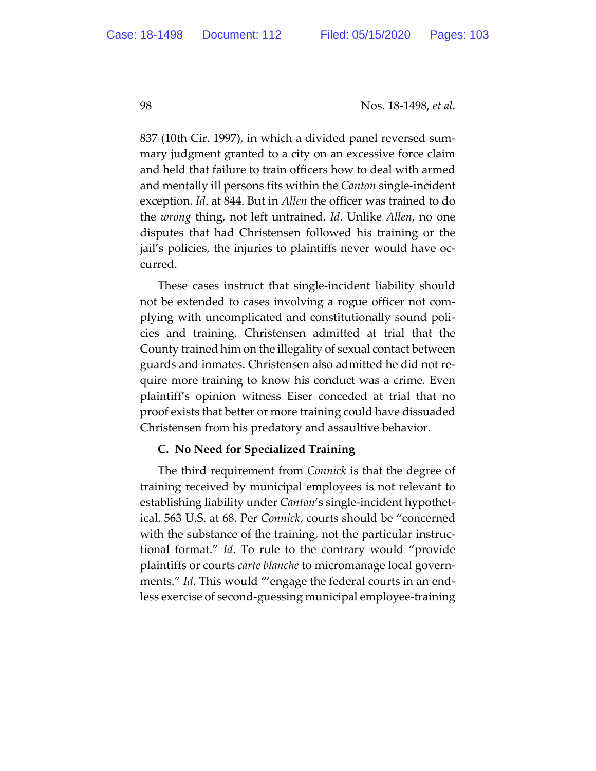837 (10th Cir. 1997), in which a divided panel reversed summary judgment granted to a city on an excessive force claim and held that failure to train officers how to deal with armed and mentally ill persons fits within the *Canton* single-incident exception. *Id*. at 844. But in *Allen* the officer was trained to do the *wrong* thing, not left untrained. *Id*. Unlike *Allen*, no one disputes that had Christensen followed his training or the jail's policies, the injuries to plaintiffs never would have occurred.

These cases instruct that single-incident liability should not be extended to cases involving a rogue officer not complying with uncomplicated and constitutionally sound policies and training. Christensen admitted at trial that the County trained him on the illegality of sexual contact between guards and inmates. Christensen also admitted he did not require more training to know his conduct was a crime. Even plaintiff's opinion witness Eiser conceded at trial that no proof exists that better or more training could have dissuaded Christensen from his predatory and assaultive behavior.

### **C. No Need for Specialized Training**

The third requirement from *Connick* is that the degree of training received by municipal employees is not relevant to establishing liability under *Canton*'s single-incident hypothetical. 563 U.S. at 68. Per *Connick*, courts should be "concerned with the substance of the training, not the particular instructional format." *Id.* To rule to the contrary would "provide plaintiffs or courts *carte blanche* to micromanage local governments." *Id.* This would "'engage the federal courts in an endless exercise of second-guessing municipal employee-training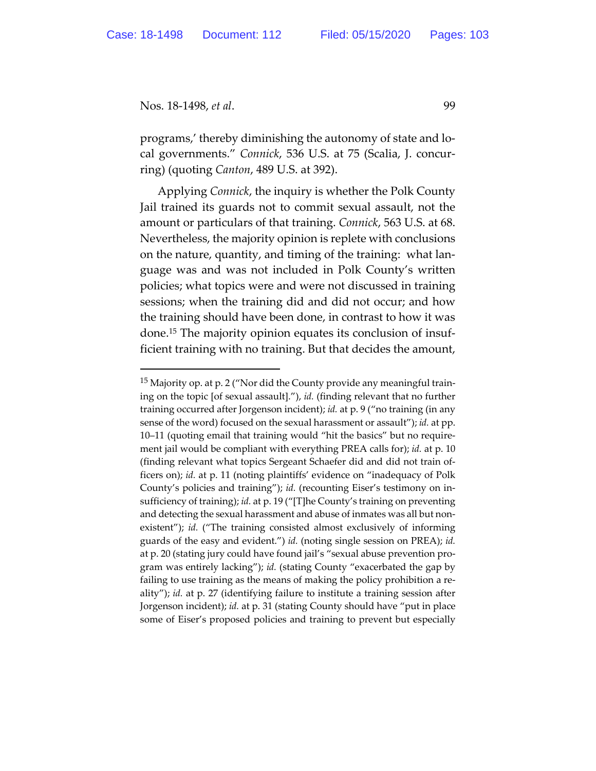programs,' thereby diminishing the autonomy of state and local governments." *Connick*, 536 U.S. at 75 (Scalia, J. concurring) (quoting *Canton*, 489 U.S. at 392).

Applying *Connick*, the inquiry is whether the Polk County Jail trained its guards not to commit sexual assault, not the amount or particulars of that training. *Connick*, 563 U.S. at 68. Nevertheless, the majority opinion is replete with conclusions on the nature, quantity, and timing of the training: what language was and was not included in Polk County's written policies; what topics were and were not discussed in training sessions; when the training did and did not occur; and how the training should have been done, in contrast to how it was done.15 The majority opinion equates its conclusion of insufficient training with no training. But that decides the amount,

<sup>&</sup>lt;sup>15</sup> Majority op. at p. 2 ("Nor did the County provide any meaningful training on the topic [of sexual assault]."), *id.* (finding relevant that no further training occurred after Jorgenson incident); *id.* at p. 9 ("no training (in any sense of the word) focused on the sexual harassment or assault"); *id.* at pp. 10–11 (quoting email that training would "hit the basics" but no requirement jail would be compliant with everything PREA calls for); *id.* at p. 10 (finding relevant what topics Sergeant Schaefer did and did not train officers on); *id.* at p. 11 (noting plaintiffs' evidence on "inadequacy of Polk County's policies and training"); *id.* (recounting Eiser's testimony on insufficiency of training); *id.* at p. 19 ("[T]he County's training on preventing and detecting the sexual harassment and abuse of inmates was all but nonexistent"); *id.* ("The training consisted almost exclusively of informing guards of the easy and evident.") *id.* (noting single session on PREA); *id.*  at p. 20 (stating jury could have found jail's "sexual abuse prevention program was entirely lacking"); *id.* (stating County "exacerbated the gap by failing to use training as the means of making the policy prohibition a reality"); *id.* at p. 27 (identifying failure to institute a training session after Jorgenson incident); *id.* at p. 31 (stating County should have "put in place some of Eiser's proposed policies and training to prevent but especially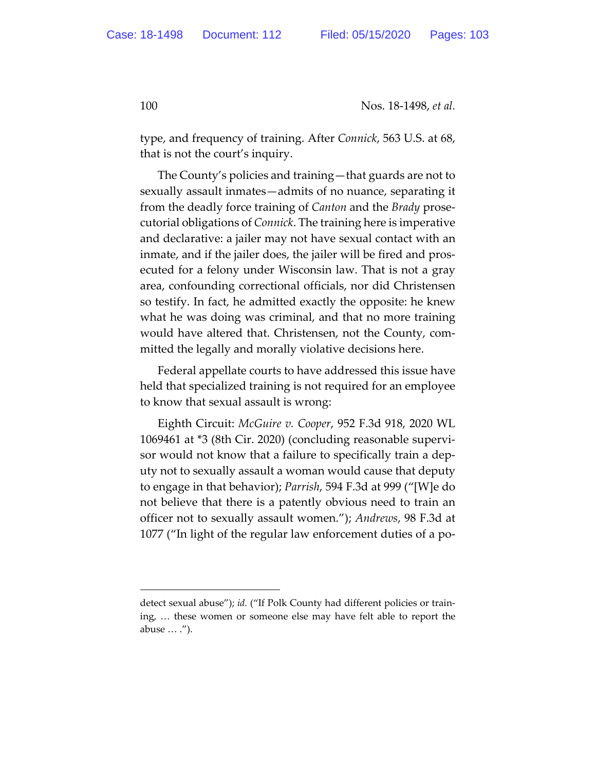type, and frequency of training. After *Connick*, 563 U.S. at 68, that is not the court's inquiry.

The County's policies and training—that guards are not to sexually assault inmates—admits of no nuance, separating it from the deadly force training of *Canton* and the *Brady* prosecutorial obligations of *Connick*. The training here is imperative and declarative: a jailer may not have sexual contact with an inmate, and if the jailer does, the jailer will be fired and prosecuted for a felony under Wisconsin law. That is not a gray area, confounding correctional officials, nor did Christensen so testify. In fact, he admitted exactly the opposite: he knew what he was doing was criminal, and that no more training would have altered that. Christensen, not the County, committed the legally and morally violative decisions here.

Federal appellate courts to have addressed this issue have held that specialized training is not required for an employee to know that sexual assault is wrong:

Eighth Circuit: *McGuire v. Cooper*, 952 F.3d 918, 2020 WL 1069461 at \*3 (8th Cir. 2020) (concluding reasonable supervisor would not know that a failure to specifically train a deputy not to sexually assault a woman would cause that deputy to engage in that behavior); *Parrish*, 594 F.3d at 999 ("[W]e do not believe that there is a patently obvious need to train an officer not to sexually assault women."); *Andrews*, 98 F.3d at 1077 ("In light of the regular law enforcement duties of a po-

detect sexual abuse"); *id.* ("If Polk County had different policies or training, … these women or someone else may have felt able to report the abuse … .").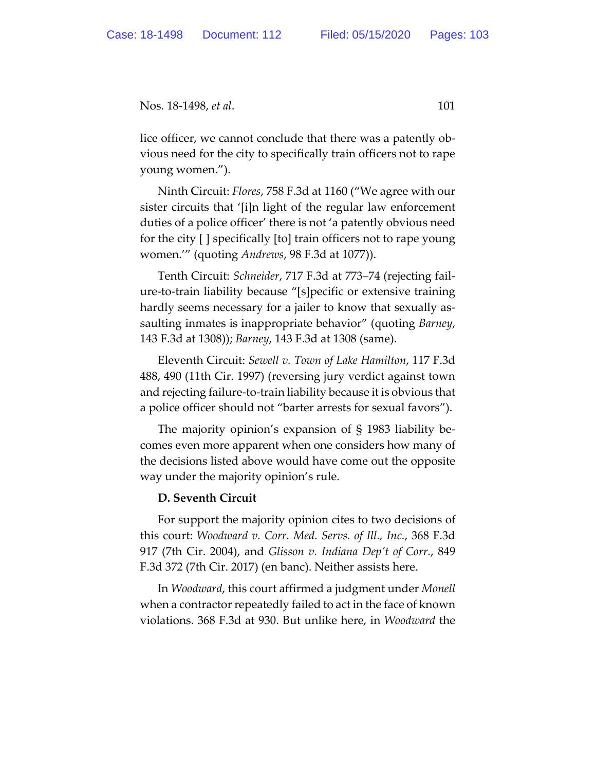Nos. 18-1498, *et al*. 101

lice officer, we cannot conclude that there was a patently obvious need for the city to specifically train officers not to rape young women.").

Ninth Circuit: *Flores*, 758 F.3d at 1160 ("We agree with our sister circuits that '[i]n light of the regular law enforcement duties of a police officer' there is not 'a patently obvious need for the city [ ] specifically [to] train officers not to rape young women.'" (quoting *Andrews*, 98 F.3d at 1077)).

Tenth Circuit: *Schneider*, 717 F.3d at 773–74 (rejecting failure-to-train liability because "[s]pecific or extensive training hardly seems necessary for a jailer to know that sexually assaulting inmates is inappropriate behavior" (quoting *Barney*, 143 F.3d at 1308)); *Barney*, 143 F.3d at 1308 (same).

Eleventh Circuit: *Sewell v. Town of Lake Hamilton*, 117 F.3d 488, 490 (11th Cir. 1997) (reversing jury verdict against town and rejecting failure-to-train liability because it is obvious that a police officer should not "barter arrests for sexual favors").

The majority opinion's expansion of § 1983 liability becomes even more apparent when one considers how many of the decisions listed above would have come out the opposite way under the majority opinion's rule.

### **D. Seventh Circuit**

For support the majority opinion cites to two decisions of this court: *Woodward v. Corr. Med. Servs. of Ill., Inc.*, 368 F.3d 917 (7th Cir. 2004), and *Glisson v. Indiana Dep't of Corr.*, 849 F.3d 372 (7th Cir. 2017) (en banc). Neither assists here.

In *Woodward*, this court affirmed a judgment under *Monell* when a contractor repeatedly failed to act in the face of known violations. 368 F.3d at 930. But unlike here, in *Woodward* the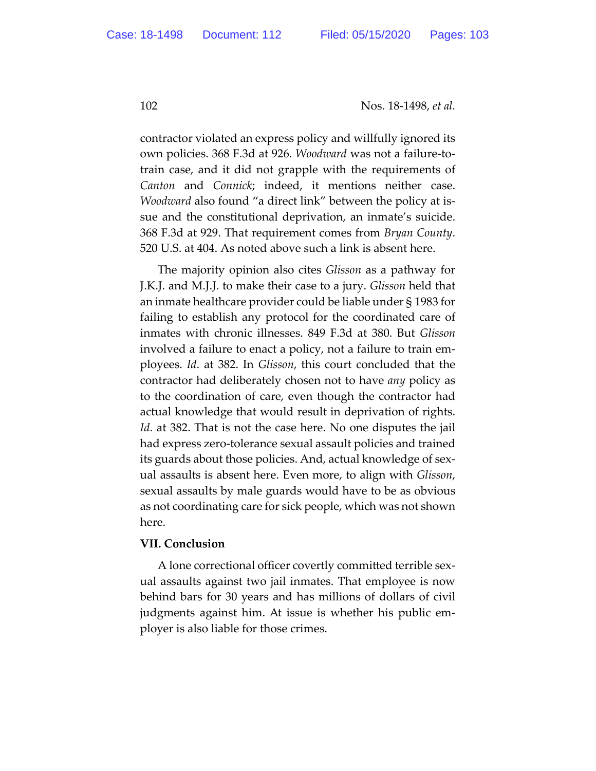contractor violated an express policy and willfully ignored its own policies. 368 F.3d at 926. *Woodward* was not a failure-totrain case, and it did not grapple with the requirements of *Canton* and *Connick*; indeed, it mentions neither case. *Woodward* also found "a direct link" between the policy at issue and the constitutional deprivation, an inmate's suicide. 368 F.3d at 929. That requirement comes from *Bryan County*. 520 U.S. at 404. As noted above such a link is absent here.

The majority opinion also cites *Glisson* as a pathway for J.K.J. and M.J.J. to make their case to a jury. *Glisson* held that an inmate healthcare provider could be liable under § 1983 for failing to establish any protocol for the coordinated care of inmates with chronic illnesses. 849 F.3d at 380. But *Glisson* involved a failure to enact a policy, not a failure to train employees. *Id*. at 382. In *Glisson*, this court concluded that the contractor had deliberately chosen not to have *any* policy as to the coordination of care, even though the contractor had actual knowledge that would result in deprivation of rights. *Id*. at 382. That is not the case here. No one disputes the jail had express zero-tolerance sexual assault policies and trained its guards about those policies. And, actual knowledge of sexual assaults is absent here. Even more, to align with *Glisson*, sexual assaults by male guards would have to be as obvious as not coordinating care for sick people, which was not shown here.

### **VII. Conclusion**

A lone correctional officer covertly committed terrible sexual assaults against two jail inmates. That employee is now behind bars for 30 years and has millions of dollars of civil judgments against him. At issue is whether his public employer is also liable for those crimes.